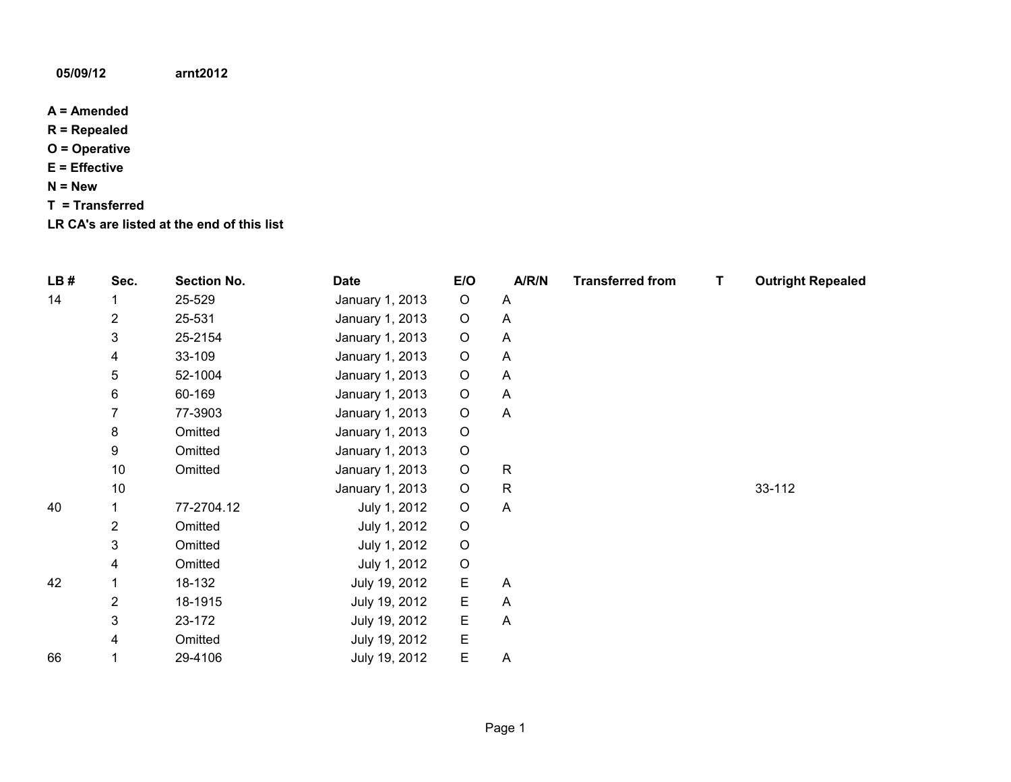## **05/09/12 arnt2012**

- **A = Amended**
- **R = Repealed**
- **O = Operative**
- **E = Effective**
- **N = New**
- **T = Transferred**
- **LR CA's are listed at the end of this list**

| LB# | Sec. | <b>Section No.</b> | <b>Date</b>     | E/O         | A/R/N        | <b>Transferred from</b> | Τ | <b>Outright Repealed</b> |
|-----|------|--------------------|-----------------|-------------|--------------|-------------------------|---|--------------------------|
| 14  |      | 25-529             | January 1, 2013 | $\circ$     | A            |                         |   |                          |
|     | 2    | 25-531             | January 1, 2013 | $\circ$     | A            |                         |   |                          |
|     | 3    | 25-2154            | January 1, 2013 | $\circ$     | A            |                         |   |                          |
|     | 4    | 33-109             | January 1, 2013 | $\mathsf O$ | A            |                         |   |                          |
|     | 5    | 52-1004            | January 1, 2013 | $\mathsf O$ | A            |                         |   |                          |
|     | 6    | 60-169             | January 1, 2013 | $\mathsf O$ | A            |                         |   |                          |
|     | 7    | 77-3903            | January 1, 2013 | $\mathsf O$ | A            |                         |   |                          |
|     | 8    | Omitted            | January 1, 2013 | $\mathsf O$ |              |                         |   |                          |
|     | 9    | Omitted            | January 1, 2013 | $\mathsf O$ |              |                         |   |                          |
|     | 10   | Omitted            | January 1, 2013 | $\mathsf O$ | $\mathsf{R}$ |                         |   |                          |
|     | 10   |                    | January 1, 2013 | $\circ$     | $\mathsf{R}$ |                         |   | 33-112                   |
| 40  |      | 77-2704.12         | July 1, 2012    | $\mathsf O$ | A            |                         |   |                          |
|     | 2    | Omitted            | July 1, 2012    | $\mathsf O$ |              |                         |   |                          |
|     | 3    | Omitted            | July 1, 2012    | $\mathsf O$ |              |                         |   |                          |
|     | 4    | Omitted            | July 1, 2012    | $\mathsf O$ |              |                         |   |                          |
| 42  |      | 18-132             | July 19, 2012   | E           | A            |                         |   |                          |
|     | 2    | 18-1915            | July 19, 2012   | E           | A            |                         |   |                          |
|     | 3    | 23-172             | July 19, 2012   | Ε           | A            |                         |   |                          |
|     | 4    | Omitted            | July 19, 2012   | E           |              |                         |   |                          |
| 66  |      | 29-4106            | July 19, 2012   | E           | A            |                         |   |                          |
|     |      |                    |                 |             |              |                         |   |                          |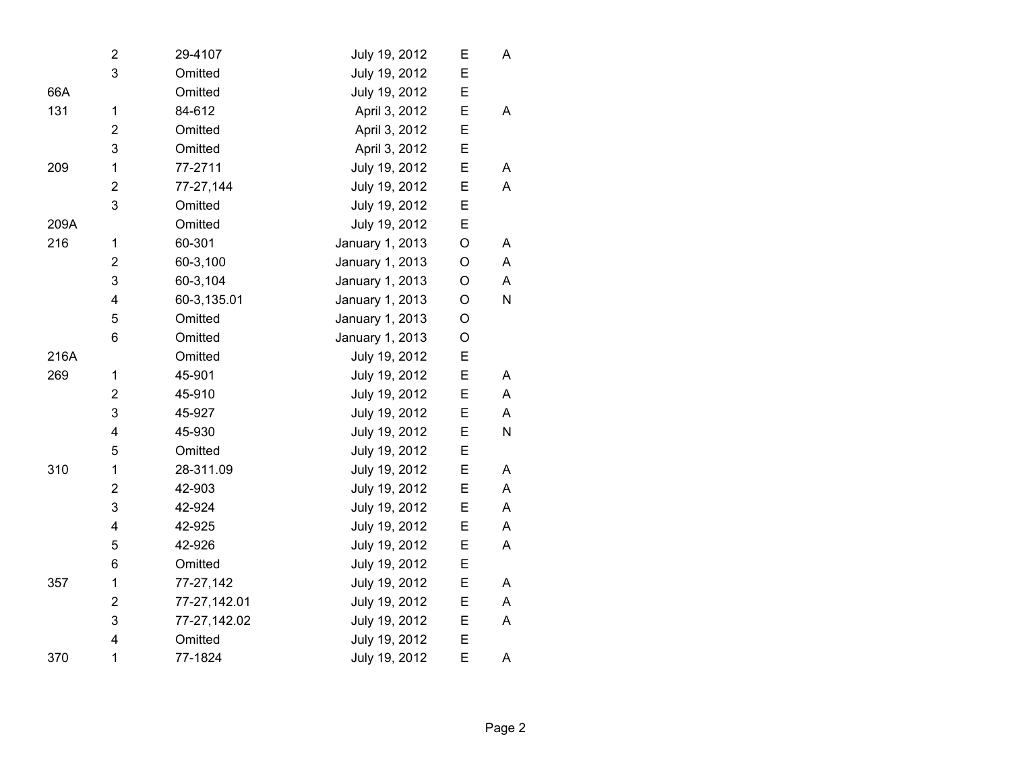|      | 2                       | 29-4107      | July 19, 2012   | E           | A |  |
|------|-------------------------|--------------|-----------------|-------------|---|--|
|      | 3                       | Omitted      | July 19, 2012   | E           |   |  |
| 66A  |                         | Omitted      | July 19, 2012   | E           |   |  |
| 131  | $\mathbf 1$             | 84-612       | April 3, 2012   | E           | A |  |
|      | $\overline{2}$          | Omitted      | April 3, 2012   | E           |   |  |
|      | 3                       | Omitted      | April 3, 2012   | E           |   |  |
| 209  | 1                       | 77-2711      | July 19, 2012   | E           | A |  |
|      | $\overline{2}$          | 77-27,144    | July 19, 2012   | E           | A |  |
|      | 3                       | Omitted      | July 19, 2012   | E           |   |  |
| 209A |                         | Omitted      | July 19, 2012   | E           |   |  |
| 216  | 1                       | 60-301       | January 1, 2013 | $\mathsf O$ | A |  |
|      | $\overline{2}$          | 60-3,100     | January 1, 2013 | O           | A |  |
|      | 3                       | 60-3,104     | January 1, 2013 | O           | A |  |
|      | 4                       | 60-3,135.01  | January 1, 2013 | O           | N |  |
|      | 5                       | Omitted      | January 1, 2013 | O           |   |  |
|      | 6                       | Omitted      | January 1, 2013 | O           |   |  |
| 216A |                         | Omitted      | July 19, 2012   | Ε           |   |  |
| 269  | $\mathbf{1}$            | 45-901       | July 19, 2012   | E           | A |  |
|      | $\overline{2}$          | 45-910       | July 19, 2012   | E           | A |  |
|      | 3                       | 45-927       | July 19, 2012   | E           | A |  |
|      | $\overline{\mathbf{4}}$ | 45-930       | July 19, 2012   | E           | N |  |
|      | 5                       | Omitted      | July 19, 2012   | E           |   |  |
| 310  | 1                       | 28-311.09    | July 19, 2012   | E           | A |  |
|      | 2                       | 42-903       | July 19, 2012   | E           | A |  |
|      | 3                       | 42-924       | July 19, 2012   | E           | A |  |
|      | $\overline{\mathbf{4}}$ | 42-925       | July 19, 2012   | Ε           | A |  |
|      | 5                       | 42-926       | July 19, 2012   | E           | Α |  |
|      | 6                       | Omitted      | July 19, 2012   | Е           |   |  |
| 357  | 1                       | 77-27,142    | July 19, 2012   | E           | A |  |
|      | $\mathbf 2$             | 77-27,142.01 | July 19, 2012   | E           | A |  |
|      | 3                       | 77-27,142.02 | July 19, 2012   | Е           | A |  |
|      | 4                       | Omitted      | July 19, 2012   | E           |   |  |
| 370  | 1                       | 77-1824      | July 19, 2012   | E           | A |  |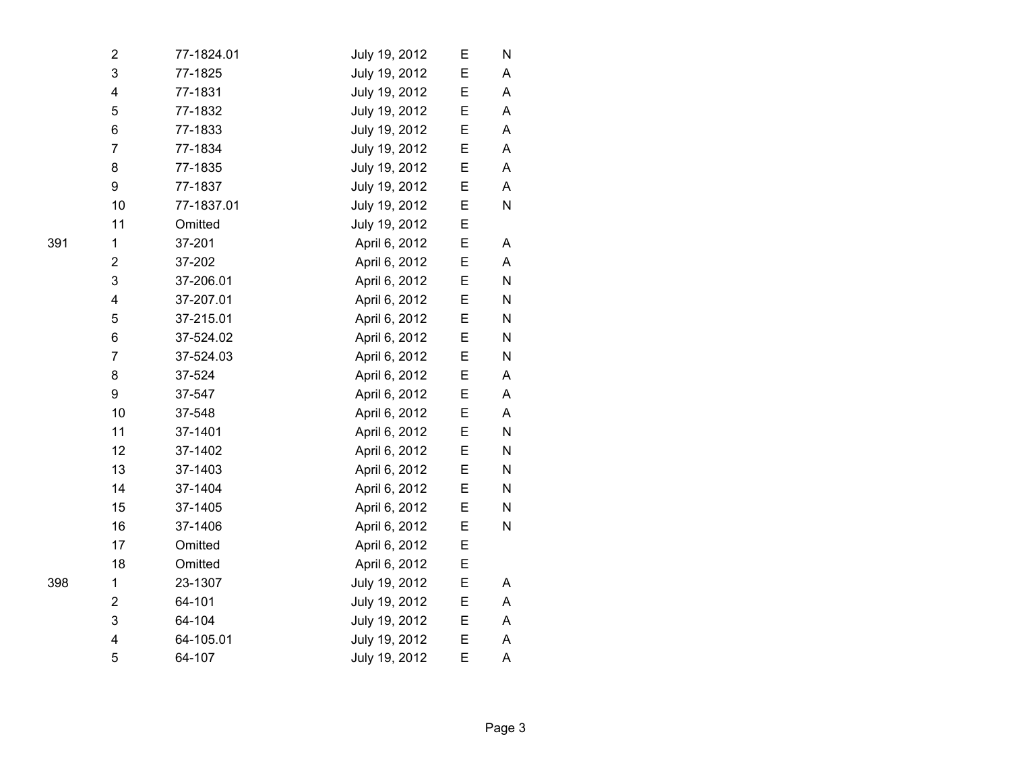| 2              | 77-1824.01 | July 19, 2012 | Е | N         |  |
|----------------|------------|---------------|---|-----------|--|
| 3              | 77-1825    | July 19, 2012 | E | Α         |  |
| 4              | 77-1831    | July 19, 2012 | Е | A         |  |
| 5              | 77-1832    | July 19, 2012 | Е | A         |  |
| 6              | 77-1833    | July 19, 2012 | Е | A         |  |
| $\overline{7}$ | 77-1834    | July 19, 2012 | Ε | A         |  |
| 8              | 77-1835    | July 19, 2012 | E | Α         |  |
| 9              | 77-1837    | July 19, 2012 | Е | A         |  |
| 10             | 77-1837.01 | July 19, 2012 | Е | N         |  |
| 11             | Omitted    | July 19, 2012 | Е |           |  |
| 1              | 37-201     | April 6, 2012 | Ε | A         |  |
| 2              | 37-202     | April 6, 2012 | E | A         |  |
| 3              | 37-206.01  | April 6, 2012 | Е | N         |  |
| 4              | 37-207.01  | April 6, 2012 | E | ${\sf N}$ |  |
| 5              | 37-215.01  | April 6, 2012 | E | ${\sf N}$ |  |
| 6              | 37-524.02  | April 6, 2012 | Е | ${\sf N}$ |  |
| $\overline{7}$ | 37-524.03  | April 6, 2012 | Е | ${\sf N}$ |  |
| 8              | 37-524     | April 6, 2012 | Е | Α         |  |
| 9              | 37-547     | April 6, 2012 | Е | Α         |  |
| 10             | 37-548     | April 6, 2012 | Е | A         |  |
| 11             | 37-1401    | April 6, 2012 | Ε | ${\sf N}$ |  |
| 12             | 37-1402    | April 6, 2012 | E | ${\sf N}$ |  |
| 13             | 37-1403    | April 6, 2012 | Е | N         |  |
| 14             | 37-1404    | April 6, 2012 | Е | N         |  |
| 15             | 37-1405    | April 6, 2012 | E | N         |  |
| 16             | 37-1406    | April 6, 2012 | Е | N         |  |
| 17             | Omitted    | April 6, 2012 | Е |           |  |
| 18             | Omitted    | April 6, 2012 | Е |           |  |
| 1              | 23-1307    | July 19, 2012 | Ε | Α         |  |
| 2              | 64-101     | July 19, 2012 | E | A         |  |
| 3              | 64-104     | July 19, 2012 | Е | A         |  |
| 4              | 64-105.01  | July 19, 2012 | E | A         |  |
| 5              | 64-107     | July 19, 2012 | E | A         |  |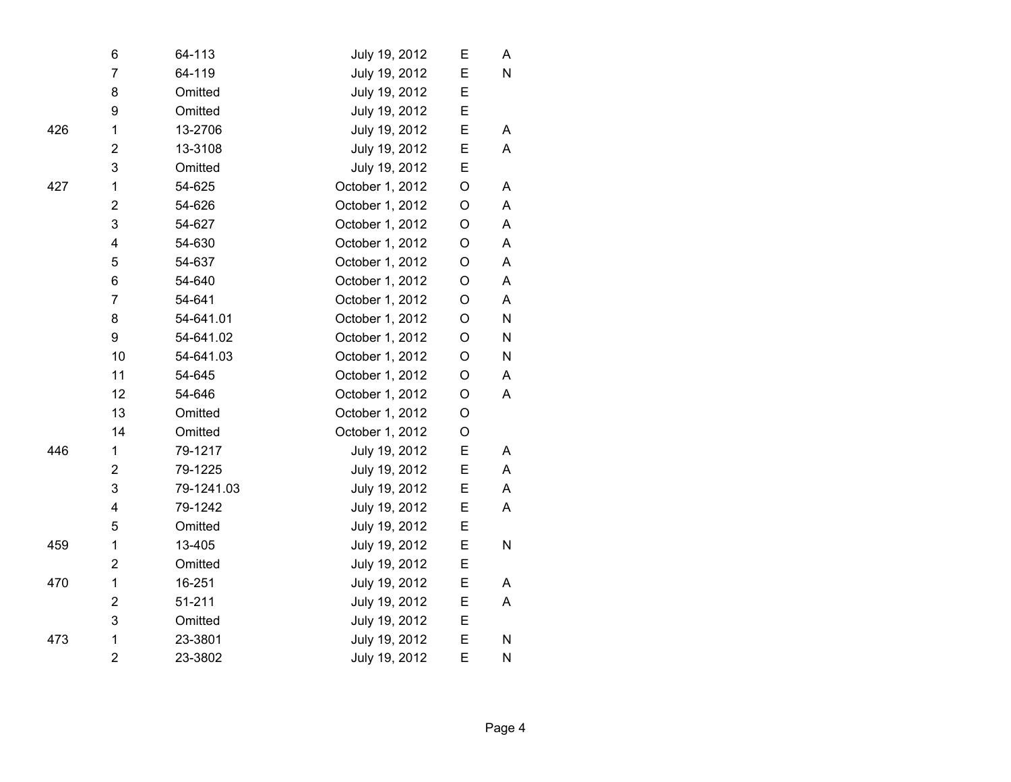|     | 6                       | 64-113     | July 19, 2012   | Е           | A         |
|-----|-------------------------|------------|-----------------|-------------|-----------|
|     | $\overline{7}$          | 64-119     | July 19, 2012   | E           | N         |
|     | 8                       | Omitted    | July 19, 2012   | E           |           |
|     | 9                       | Omitted    | July 19, 2012   | E           |           |
| 426 | 1                       | 13-2706    | July 19, 2012   | E           | A         |
|     | $\mathbf 2$             | 13-3108    | July 19, 2012   | Ε           | A         |
|     | 3                       | Omitted    | July 19, 2012   | E           |           |
| 427 | 1                       | 54-625     | October 1, 2012 | $\bigcirc$  | A         |
|     | $\overline{2}$          | 54-626     | October 1, 2012 | $\mathsf O$ | A         |
|     | 3                       | 54-627     | October 1, 2012 | O           | A         |
|     | $\overline{\mathbf{4}}$ | 54-630     | October 1, 2012 | $\mathsf O$ | A         |
|     | 5                       | 54-637     | October 1, 2012 | O           | Α         |
|     | 6                       | 54-640     | October 1, 2012 | O           | A         |
|     | 7                       | 54-641     | October 1, 2012 | O           | A         |
|     | 8                       | 54-641.01  | October 1, 2012 | $\mathsf O$ | ${\sf N}$ |
|     | 9                       | 54-641.02  | October 1, 2012 | O           | N         |
|     | 10                      | 54-641.03  | October 1, 2012 | O           | N         |
|     | 11                      | 54-645     | October 1, 2012 | O           | A         |
|     | 12                      | 54-646     | October 1, 2012 | O           | A         |
|     | 13                      | Omitted    | October 1, 2012 | O           |           |
|     | 14                      | Omitted    | October 1, 2012 | $\mathsf O$ |           |
| 446 | 1                       | 79-1217    | July 19, 2012   | E           | A         |
|     | $\overline{2}$          | 79-1225    | July 19, 2012   | E           | A         |
|     | 3                       | 79-1241.03 | July 19, 2012   | E           | Α         |
|     | $\overline{\mathbf{4}}$ | 79-1242    | July 19, 2012   | E           | A         |
|     | 5                       | Omitted    | July 19, 2012   | E           |           |
| 459 | 1                       | 13-405     | July 19, 2012   | E           | N         |
|     | $\overline{2}$          | Omitted    | July 19, 2012   | E           |           |
| 470 | $\mathbf{1}$            | 16-251     | July 19, 2012   | E           | A         |
|     | $\overline{2}$          | 51-211     | July 19, 2012   | E           | A         |
|     | 3                       | Omitted    | July 19, 2012   | E           |           |
| 473 | $\mathbf{1}$            | 23-3801    | July 19, 2012   | E           | N         |
|     | $\overline{2}$          | 23-3802    | July 19, 2012   | E           | N         |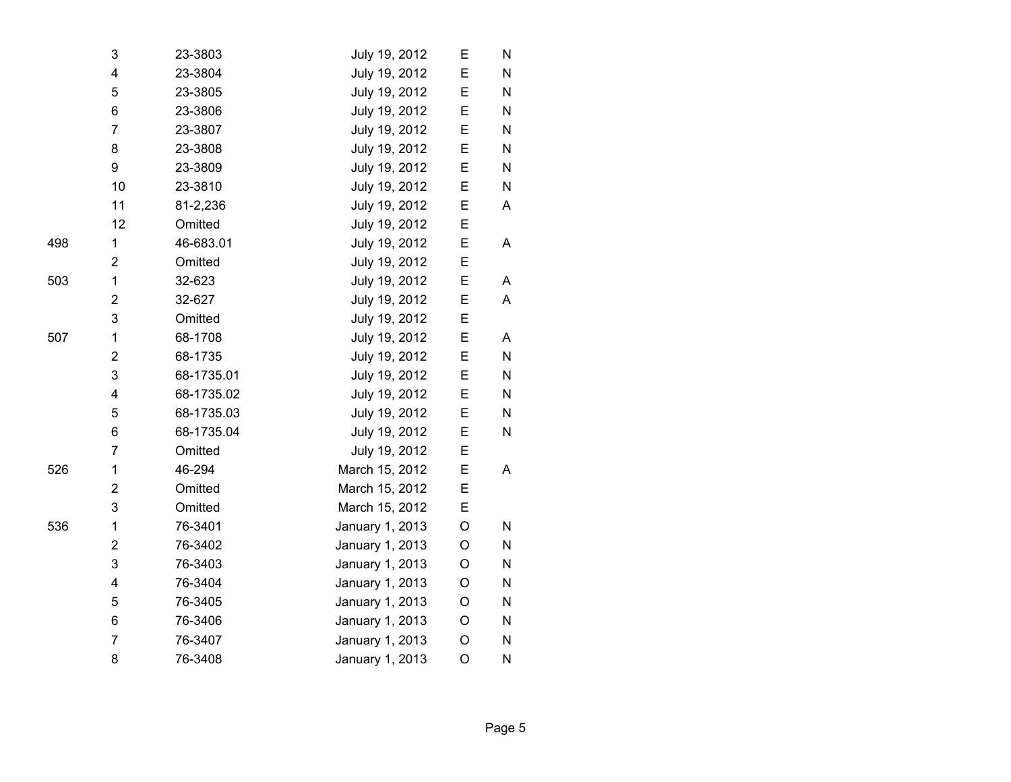|     | 3                       | 23-3803    | July 19, 2012   | E | N |
|-----|-------------------------|------------|-----------------|---|---|
|     | $\overline{\mathbf{4}}$ | 23-3804    | July 19, 2012   | E | N |
|     | 5                       | 23-3805    | July 19, 2012   | Ε | N |
|     | 6                       | 23-3806    | July 19, 2012   | E | N |
|     | $\overline{7}$          | 23-3807    | July 19, 2012   | E | N |
|     | 8                       | 23-3808    | July 19, 2012   | Ε | N |
|     | 9                       | 23-3809    | July 19, 2012   | Ε | N |
|     | 10                      | 23-3810    | July 19, 2012   | E | N |
|     | 11                      | 81-2,236   | July 19, 2012   | E | Α |
|     | 12                      | Omitted    | July 19, 2012   | E |   |
| 498 | 1                       | 46-683.01  | July 19, 2012   | E | Α |
|     | $\overline{2}$          | Omitted    | July 19, 2012   | E |   |
| 503 | 1                       | 32-623     | July 19, 2012   | E | A |
|     | $\overline{\mathbf{c}}$ | 32-627     | July 19, 2012   | E | A |
|     | 3                       | Omitted    | July 19, 2012   | E |   |
| 507 | 1                       | 68-1708    | July 19, 2012   | E | Α |
|     | $\overline{\mathbf{c}}$ | 68-1735    | July 19, 2012   | E | N |
|     | 3                       | 68-1735.01 | July 19, 2012   | Е | N |
|     | 4                       | 68-1735.02 | July 19, 2012   | E | N |
|     | 5                       | 68-1735.03 | July 19, 2012   | E | N |
|     | 6                       | 68-1735.04 | July 19, 2012   | E | N |
|     | $\overline{7}$          | Omitted    | July 19, 2012   | E |   |
| 526 | 1                       | 46-294     | March 15, 2012  | E | A |
|     | $\overline{\mathbf{c}}$ | Omitted    | March 15, 2012  | E |   |
|     | 3                       | Omitted    | March 15, 2012  | E |   |
| 536 | 1                       | 76-3401    | January 1, 2013 | O | N |
|     | $\overline{2}$          | 76-3402    | January 1, 2013 | O | N |
|     | 3                       | 76-3403    | January 1, 2013 | O | N |
|     | 4                       | 76-3404    | January 1, 2013 | O | N |
|     | 5                       | 76-3405    | January 1, 2013 | O | N |
|     | 6                       | 76-3406    | January 1, 2013 | O | N |
|     | $\overline{7}$          | 76-3407    | January 1, 2013 | O | N |
|     | 8                       | 76-3408    | January 1, 2013 | O | N |
|     |                         |            |                 |   |   |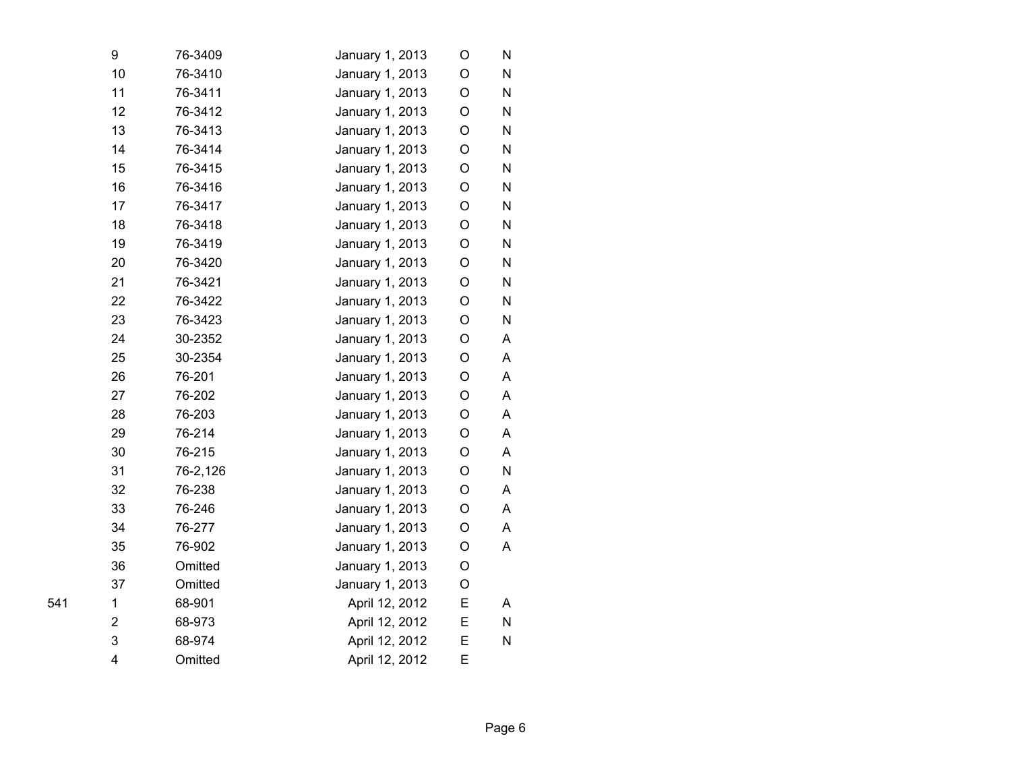| 9           | 76-3409  | January 1, 2013 | O           | N |
|-------------|----------|-----------------|-------------|---|
| 10          | 76-3410  | January 1, 2013 | O           | N |
| 11          | 76-3411  | January 1, 2013 | O           | N |
| 12          | 76-3412  | January 1, 2013 | O           | N |
| 13          | 76-3413  | January 1, 2013 | $\circ$     | N |
| 14          | 76-3414  | January 1, 2013 | O           | N |
| 15          | 76-3415  | January 1, 2013 | $\mathsf O$ | N |
| 16          | 76-3416  | January 1, 2013 | O           | N |
| 17          | 76-3417  | January 1, 2013 | O           | N |
| 18          | 76-3418  | January 1, 2013 | O           | N |
| 19          | 76-3419  | January 1, 2013 | O           | N |
| 20          | 76-3420  | January 1, 2013 | O           | N |
| 21          | 76-3421  | January 1, 2013 | O           | N |
| 22          | 76-3422  | January 1, 2013 | O           | N |
| 23          | 76-3423  | January 1, 2013 | O           | N |
| 24          | 30-2352  | January 1, 2013 | O           | A |
| 25          | 30-2354  | January 1, 2013 | O           | A |
| 26          | 76-201   | January 1, 2013 | O           | A |
| 27          | 76-202   | January 1, 2013 | O           | A |
| 28          | 76-203   | January 1, 2013 | O           | A |
| 29          | 76-214   | January 1, 2013 | $\mathsf O$ | A |
| 30          | 76-215   | January 1, 2013 | O           | A |
| 31          | 76-2,126 | January 1, 2013 | O           | N |
| 32          | 76-238   | January 1, 2013 | O           | A |
| 33          | 76-246   | January 1, 2013 | O           | A |
| 34          | 76-277   | January 1, 2013 | O           | A |
| 35          | 76-902   | January 1, 2013 | O           | A |
| 36          | Omitted  | January 1, 2013 | O           |   |
| 37          | Omitted  | January 1, 2013 | O           |   |
| $\mathbf 1$ | 68-901   | April 12, 2012  | E           | A |
| 2           | 68-973   | April 12, 2012  | E           | N |
| 3           | 68-974   | April 12, 2012  | E           | N |
| 4           | Omitted  | April 12, 2012  | E           |   |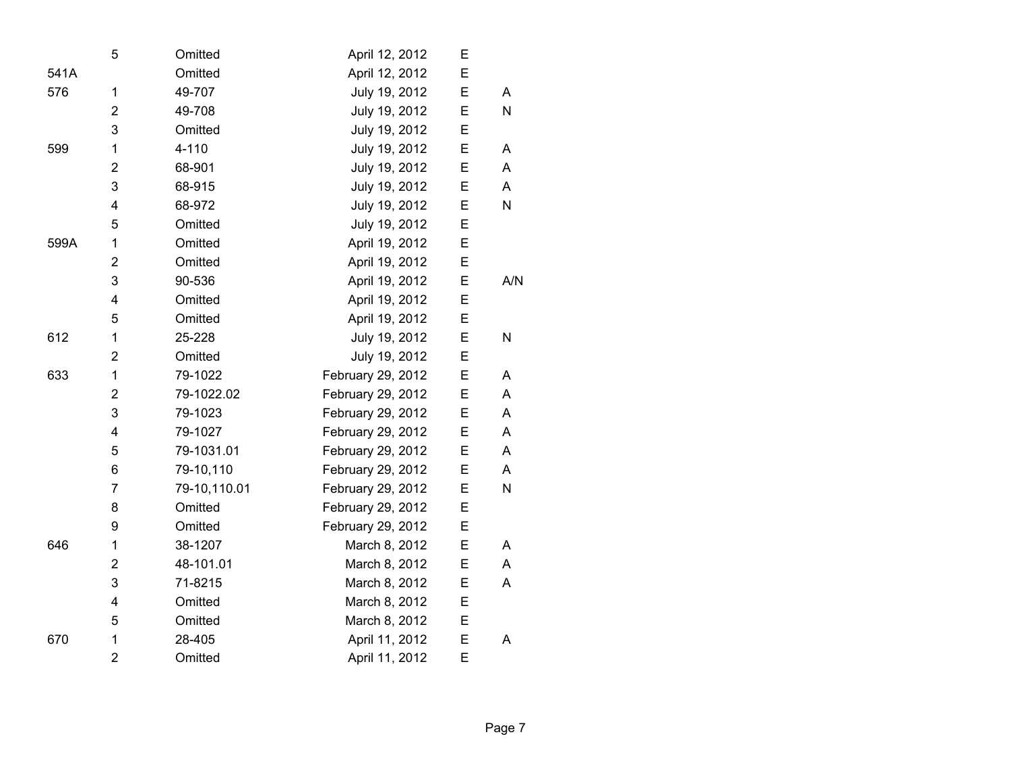| 5                       | Omitted      | April 12, 2012    | Е |     |
|-------------------------|--------------|-------------------|---|-----|
|                         | Omitted      | April 12, 2012    | E |     |
| 1                       | 49-707       | July 19, 2012     | E | A   |
| $\overline{2}$          | 49-708       | July 19, 2012     | E | N   |
| 3                       | Omitted      | July 19, 2012     | Е |     |
| 1                       | $4 - 110$    | July 19, 2012     | E | A   |
| $\overline{2}$          | 68-901       | July 19, 2012     | E | A   |
| 3                       | 68-915       | July 19, 2012     | E | A   |
| $\overline{\mathbf{4}}$ | 68-972       | July 19, 2012     | E | N   |
| 5                       | Omitted      | July 19, 2012     | E |     |
| 1                       | Omitted      | April 19, 2012    | E |     |
| $\overline{2}$          | Omitted      | April 19, 2012    | E |     |
| 3                       | 90-536       | April 19, 2012    | Е | A/N |
| 4                       | Omitted      | April 19, 2012    | E |     |
| 5                       | Omitted      | April 19, 2012    | E |     |
| 1                       | 25-228       | July 19, 2012     | E | N   |
| $\overline{2}$          | Omitted      | July 19, 2012     | E |     |
| 1                       | 79-1022      | February 29, 2012 | E | A   |
| $\overline{2}$          | 79-1022.02   | February 29, 2012 | E | A   |
| 3                       | 79-1023      | February 29, 2012 | Е | A   |
| 4                       | 79-1027      | February 29, 2012 | E | A   |
| 5                       | 79-1031.01   | February 29, 2012 | E | A   |
| 6                       | 79-10,110    | February 29, 2012 | E | A   |
| $\overline{7}$          | 79-10,110.01 | February 29, 2012 | E | N   |
| 8                       | Omitted      | February 29, 2012 | E |     |
| 9                       | Omitted      | February 29, 2012 | E |     |
| 1                       | 38-1207      | March 8, 2012     | E | A   |
| $\overline{2}$          | 48-101.01    | March 8, 2012     | E | A   |
| 3                       | 71-8215      | March 8, 2012     | E | A   |
| 4                       | Omitted      | March 8, 2012     | E |     |
| 5                       | Omitted      | March 8, 2012     | E |     |
| 1                       | 28-405       | April 11, 2012    | E | A   |
| $\overline{2}$          | Omitted      | April 11, 2012    | E |     |
|                         |              |                   |   |     |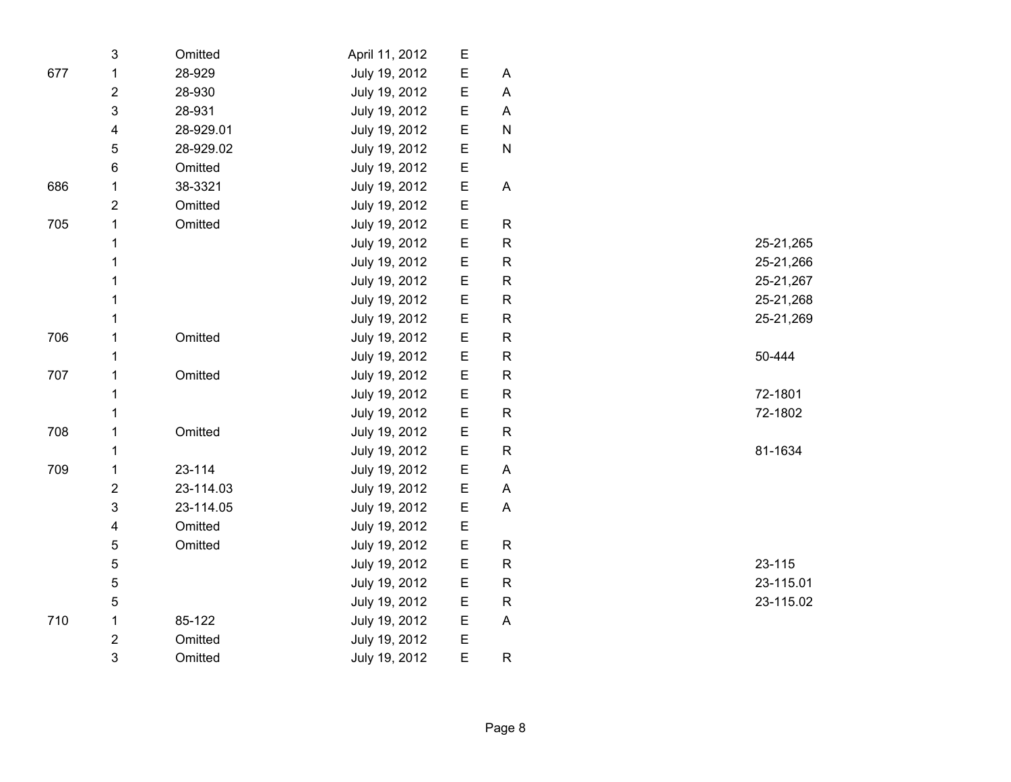|     | $\ensuremath{\mathsf{3}}$ | Omitted   | April 11, 2012 | E           |                           |         |           |
|-----|---------------------------|-----------|----------------|-------------|---------------------------|---------|-----------|
| 677 | 1                         | 28-929    | July 19, 2012  | E           | A                         |         |           |
|     | $\mathbf 2$               | 28-930    | July 19, 2012  | E           | A                         |         |           |
|     | $\mathsf 3$               | 28-931    | July 19, 2012  | E           | $\overline{A}$            |         |           |
|     | 4                         | 28-929.01 | July 19, 2012  | E           | ${\sf N}$                 |         |           |
|     | $\mathbf 5$               | 28-929.02 | July 19, 2012  | E           | ${\sf N}$                 |         |           |
|     | 6                         | Omitted   | July 19, 2012  | E           |                           |         |           |
| 686 | 1                         | 38-3321   | July 19, 2012  | E           | $\boldsymbol{\mathsf{A}}$ |         |           |
|     | $\overline{2}$            | Omitted   | July 19, 2012  | E           |                           |         |           |
| 705 | 1                         | Omitted   | July 19, 2012  | E           | $\mathsf R$               |         |           |
|     | 1                         |           | July 19, 2012  | E           | ${\sf R}$                 |         | 25-21,265 |
|     | 1                         |           | July 19, 2012  | E           | ${\sf R}$                 |         | 25-21,266 |
|     | 1                         |           | July 19, 2012  | E           | $\mathsf R$               |         | 25-21,267 |
|     | 1                         |           | July 19, 2012  | E           | $\mathsf{R}$              |         | 25-21,268 |
|     | 1                         |           | July 19, 2012  | E           | $\mathsf{R}$              |         | 25-21,269 |
| 706 | 1                         | Omitted   | July 19, 2012  | E           | ${\sf R}$                 |         |           |
|     | 1                         |           | July 19, 2012  | E           | $\mathsf R$               | 50-444  |           |
| 707 | 1                         | Omitted   | July 19, 2012  | $\mathsf E$ | ${\sf R}$                 |         |           |
|     | 1                         |           | July 19, 2012  | E           | $\mathsf R$               | 72-1801 |           |
|     | 1                         |           | July 19, 2012  | E           | $\mathsf{R}$              | 72-1802 |           |
| 708 | 1                         | Omitted   | July 19, 2012  | E           | $\mathsf{R}$              |         |           |
|     | 1                         |           | July 19, 2012  | E           | ${\sf R}$                 | 81-1634 |           |
| 709 | 1                         | 23-114    | July 19, 2012  | E           | $\boldsymbol{\mathsf{A}}$ |         |           |
|     | $\mathbf 2$               | 23-114.03 | July 19, 2012  | E           | A                         |         |           |
|     | 3                         | 23-114.05 | July 19, 2012  | $\mathsf E$ | $\boldsymbol{\mathsf{A}}$ |         |           |
|     | 4                         | Omitted   | July 19, 2012  | E           |                           |         |           |
|     | 5                         | Omitted   | July 19, 2012  | E           | R                         |         |           |
|     | 5                         |           | July 19, 2012  | E           | $\mathsf{R}$              | 23-115  |           |
|     | 5                         |           | July 19, 2012  | E           | ${\sf R}$                 |         | 23-115.01 |
|     | 5                         |           | July 19, 2012  | E           | ${\sf R}$                 |         | 23-115.02 |
| 710 | 1                         | 85-122    | July 19, 2012  | E           | $\boldsymbol{\mathsf{A}}$ |         |           |
|     | $\mathbf 2$               | Omitted   | July 19, 2012  | E           |                           |         |           |
|     | 3                         | Omitted   | July 19, 2012  | E           | $\mathsf{R}$              |         |           |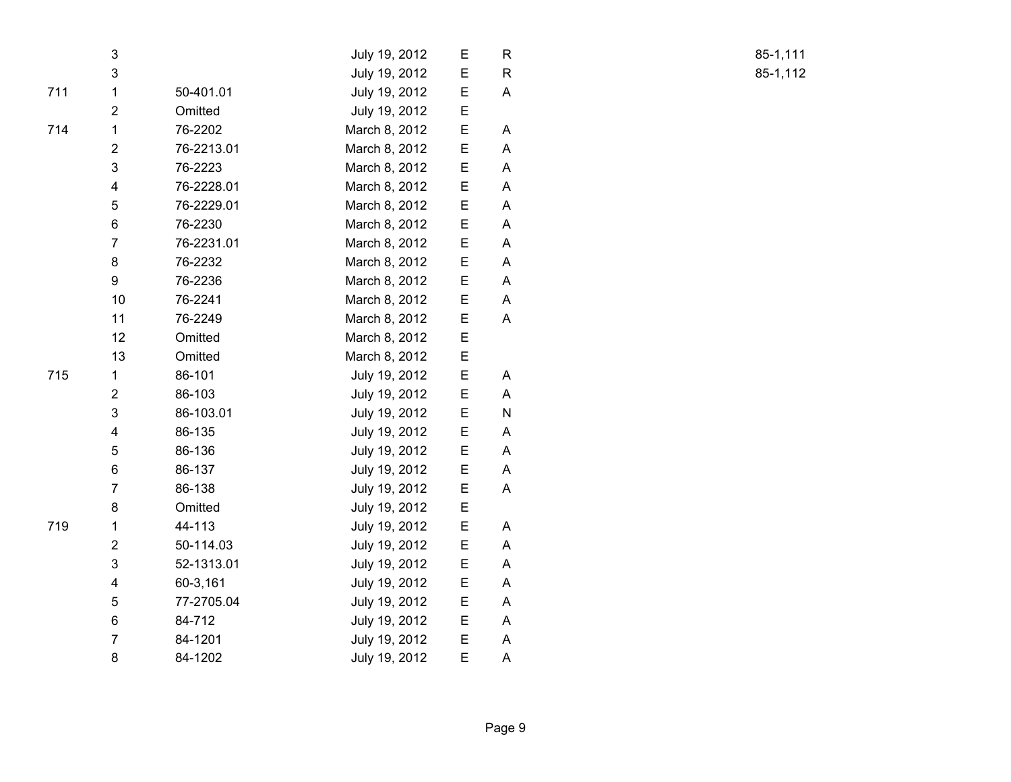|     | 3                       |            | July 19, 2012 | Е | $\mathsf{R}$ |
|-----|-------------------------|------------|---------------|---|--------------|
|     | $\mathsf 3$             |            | July 19, 2012 | E | $\mathsf{R}$ |
| 711 | $\mathbf 1$             | 50-401.01  | July 19, 2012 | E | A            |
|     | $\overline{2}$          | Omitted    | July 19, 2012 | Ε |              |
| 714 | $\mathbf 1$             | 76-2202    | March 8, 2012 | E | A            |
|     | $\overline{2}$          | 76-2213.01 | March 8, 2012 | Е | A            |
|     | 3                       | 76-2223    | March 8, 2012 | E | A            |
|     | 4                       | 76-2228.01 | March 8, 2012 | E | A            |
|     | 5                       | 76-2229.01 | March 8, 2012 | E | A            |
|     | 6                       | 76-2230    | March 8, 2012 | Е | A            |
|     | $\overline{7}$          | 76-2231.01 | March 8, 2012 | E | A            |
|     | 8                       | 76-2232    | March 8, 2012 | Е | A            |
|     | 9                       | 76-2236    | March 8, 2012 | Е | A            |
|     | 10                      | 76-2241    | March 8, 2012 | E | A            |
|     | 11                      | 76-2249    | March 8, 2012 | E | A            |
|     | 12                      | Omitted    | March 8, 2012 | E |              |
|     | 13                      | Omitted    | March 8, 2012 | E |              |
| 715 | $\mathbf 1$             | 86-101     | July 19, 2012 | E | A            |
|     | $\overline{c}$          | 86-103     | July 19, 2012 | E | A            |
|     | $\mathsf 3$             | 86-103.01  | July 19, 2012 | E | ${\sf N}$    |
|     | 4                       | 86-135     | July 19, 2012 | E | A            |
|     | 5                       | 86-136     | July 19, 2012 | E | A            |
|     | 6                       | 86-137     | July 19, 2012 | E | Α            |
|     | $\overline{7}$          | 86-138     | July 19, 2012 | Е | A            |
|     | 8                       | Omitted    | July 19, 2012 | E |              |
| 719 | $\mathbf{1}$            | 44-113     | July 19, 2012 | E | A            |
|     | $\overline{2}$          | 50-114.03  | July 19, 2012 | E | A            |
|     | 3                       | 52-1313.01 | July 19, 2012 | E | A            |
|     | $\overline{\mathbf{4}}$ | 60-3,161   | July 19, 2012 | E | A            |
|     | 5                       | 77-2705.04 | July 19, 2012 | Е | A            |
|     | 6                       | 84-712     | July 19, 2012 | E | A            |
|     | $\overline{7}$          | 84-1201    | July 19, 2012 | E | A            |
|     | 8                       | 84-1202    | July 19, 2012 | E | A            |

R 85-1,111 R 85-1,112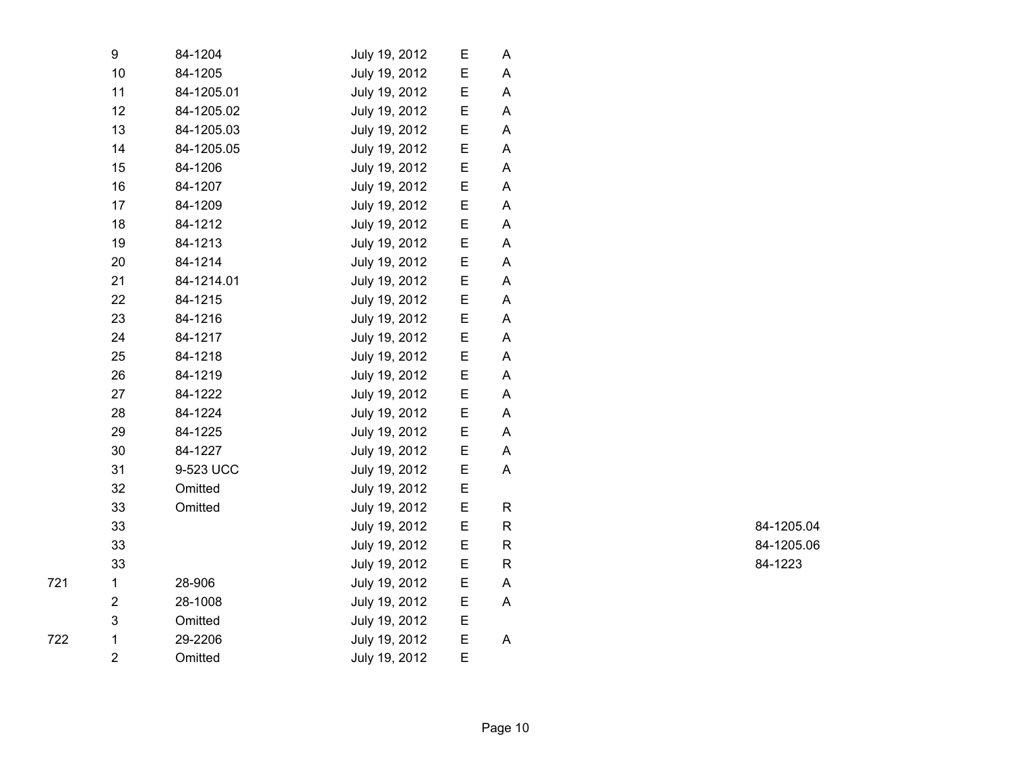| 9              | 84-1204    | July 19, 2012 | Е | Α            |
|----------------|------------|---------------|---|--------------|
| 10             | 84-1205    | July 19, 2012 | E | A            |
| 11             | 84-1205.01 | July 19, 2012 | Е | A            |
| 12             | 84-1205.02 | July 19, 2012 | Е | A            |
| 13             | 84-1205.03 | July 19, 2012 | Е | Α            |
| 14             | 84-1205.05 | July 19, 2012 | Ε | A            |
| 15             | 84-1206    | July 19, 2012 | E | A            |
| 16             | 84-1207    | July 19, 2012 | Е | A            |
| 17             | 84-1209    | July 19, 2012 | Е | A            |
| 18             | 84-1212    | July 19, 2012 | Е | A            |
| 19             | 84-1213    | July 19, 2012 | Ε | A            |
| 20             | 84-1214    | July 19, 2012 | Е | Α            |
| 21             | 84-1214.01 | July 19, 2012 | Ε | A            |
| 22             | 84-1215    | July 19, 2012 | E | A            |
| 23             | 84-1216    | July 19, 2012 | E | A            |
| 24             | 84-1217    | July 19, 2012 | E | A            |
| 25             | 84-1218    | July 19, 2012 | Е | A            |
| 26             | 84-1219    | July 19, 2012 | E | A            |
| 27             | 84-1222    | July 19, 2012 | E | Α            |
| 28             | 84-1224    | July 19, 2012 | Ε | A            |
| 29             | 84-1225    | July 19, 2012 | E | A            |
| 30             | 84-1227    | July 19, 2012 | Е | A            |
| 31             | 9-523 UCC  | July 19, 2012 | Е | A            |
| 32             | Omitted    | July 19, 2012 | Ε |              |
| 33             | Omitted    | July 19, 2012 | E | R            |
| 33             |            | July 19, 2012 | E | $\mathsf{R}$ |
| 33             |            | July 19, 2012 | E | R            |
| 33             |            | July 19, 2012 | E | R            |
| $\mathbf{1}$   | 28-906     | July 19, 2012 | E | A            |
| $\overline{2}$ | 28-1008    | July 19, 2012 | Е | A            |
| 3              | Omitted    | July 19, 2012 | Е |              |
| $\mathbf{1}$   | 29-2206    | July 19, 2012 | E | A            |
| $\overline{2}$ | Omitted    | July 19, 2012 | E |              |

722

R 84-1205.04 R 84-1205.06 R 84-1223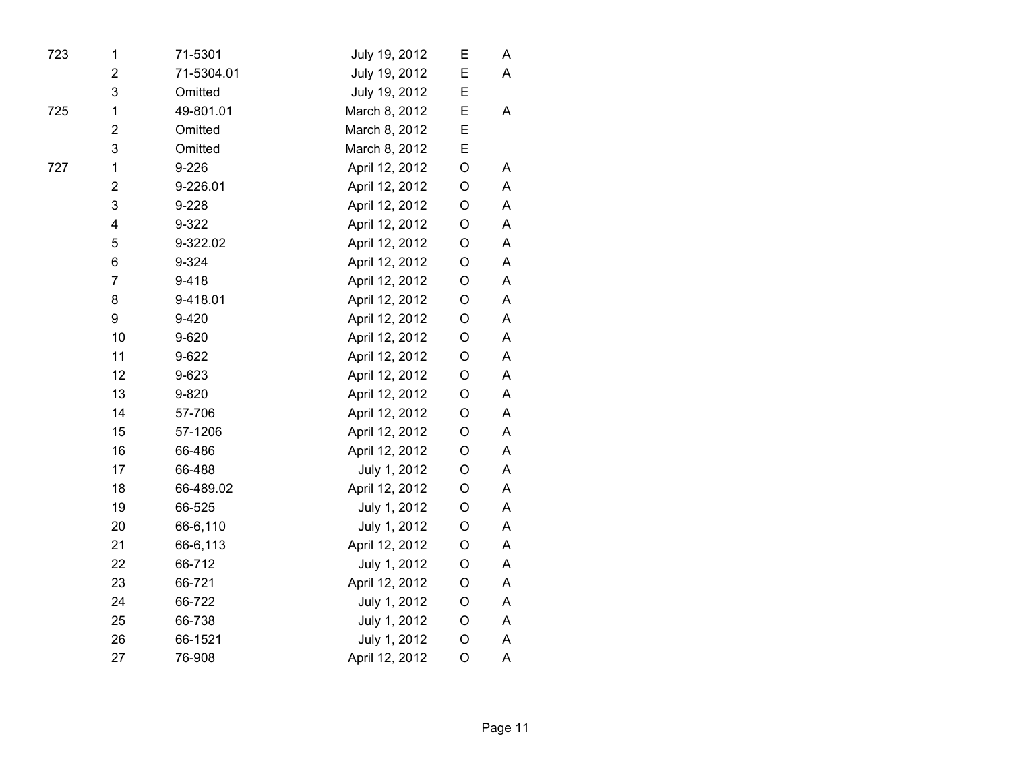| 723 | 1                       | 71-5301    | July 19, 2012  | Ε | A |  |
|-----|-------------------------|------------|----------------|---|---|--|
|     | $\overline{\mathbf{c}}$ | 71-5304.01 | July 19, 2012  | E | A |  |
|     | 3                       | Omitted    | July 19, 2012  | Ε |   |  |
| 725 | 1                       | 49-801.01  | March 8, 2012  | E | A |  |
|     | $\overline{\mathbf{c}}$ | Omitted    | March 8, 2012  | E |   |  |
|     | 3                       | Omitted    | March 8, 2012  | E |   |  |
| 727 | $\mathbf 1$             | 9-226      | April 12, 2012 | O | Α |  |
|     | $\overline{\mathbf{c}}$ | 9-226.01   | April 12, 2012 | O | A |  |
|     | 3                       | 9-228      | April 12, 2012 | O | Α |  |
|     | $\overline{\mathbf{4}}$ | 9-322      | April 12, 2012 | O | Α |  |
|     | 5                       | 9-322.02   | April 12, 2012 | O | A |  |
|     | 6                       | 9-324      | April 12, 2012 | O | A |  |
|     | $\overline{7}$          | $9 - 418$  | April 12, 2012 | O | A |  |
|     | 8                       | 9-418.01   | April 12, 2012 | O | A |  |
|     | 9                       | 9-420      | April 12, 2012 | O | A |  |
|     | 10                      | 9-620      | April 12, 2012 | O | A |  |
|     | 11                      | 9-622      | April 12, 2012 | O | A |  |
|     | 12                      | 9-623      | April 12, 2012 | O | A |  |
|     | 13                      | 9-820      | April 12, 2012 | O | A |  |
|     | 14                      | 57-706     | April 12, 2012 | O | A |  |
|     | 15                      | 57-1206    | April 12, 2012 | O | A |  |
|     | 16                      | 66-486     | April 12, 2012 | O | A |  |
|     | 17                      | 66-488     | July 1, 2012   | O | Α |  |
|     | 18                      | 66-489.02  | April 12, 2012 | O | A |  |
|     | 19                      | 66-525     | July 1, 2012   | O | A |  |
|     | 20                      | 66-6,110   | July 1, 2012   | O | A |  |
|     | 21                      | 66-6,113   | April 12, 2012 | O | Α |  |
|     | 22                      | 66-712     | July 1, 2012   | O | Α |  |
|     | 23                      | 66-721     | April 12, 2012 | O | A |  |
|     | 24                      | 66-722     | July 1, 2012   | O | Α |  |
|     | 25                      | 66-738     | July 1, 2012   | O | Α |  |
|     | 26                      | 66-1521    | July 1, 2012   | O | Α |  |
|     | 27                      | 76-908     | April 12, 2012 | O | A |  |
|     |                         |            |                |   |   |  |

Page 11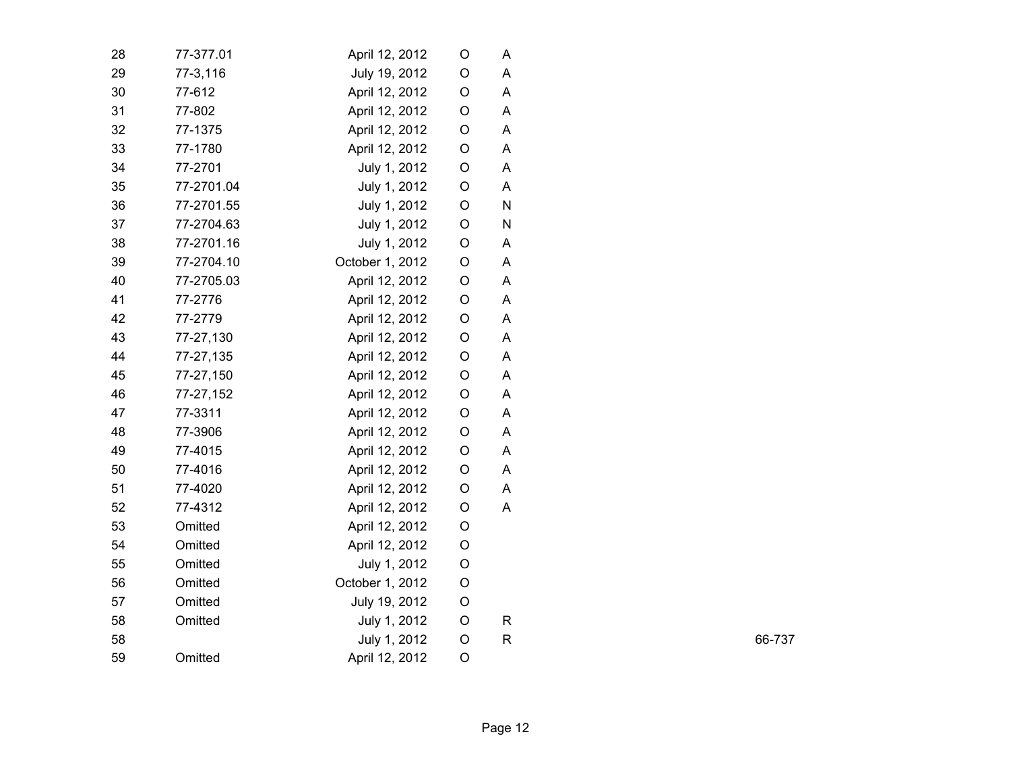| 28 | 77-377.01  | April 12, 2012  | O | A |
|----|------------|-----------------|---|---|
| 29 | 77-3,116   | July 19, 2012   | O | Α |
| 30 | 77-612     | April 12, 2012  | O | A |
| 31 | 77-802     | April 12, 2012  | О | A |
| 32 | 77-1375    | April 12, 2012  | O | A |
| 33 | 77-1780    | April 12, 2012  | O | A |
| 34 | 77-2701    | July 1, 2012    | O | A |
| 35 | 77-2701.04 | July 1, 2012    | O | A |
| 36 | 77-2701.55 | July 1, 2012    | O | N |
| 37 | 77-2704.63 | July 1, 2012    | O | N |
| 38 | 77-2701.16 | July 1, 2012    | O | Α |
| 39 | 77-2704.10 | October 1, 2012 | O | A |
| 40 | 77-2705.03 | April 12, 2012  | O | Α |
| 41 | 77-2776    | April 12, 2012  | O | A |
| 42 | 77-2779    | April 12, 2012  | O | A |
| 43 | 77-27,130  | April 12, 2012  | O | A |
| 44 | 77-27,135  | April 12, 2012  | О | A |
| 45 | 77-27,150  | April 12, 2012  | O | A |
| 46 | 77-27,152  | April 12, 2012  | О | A |
| 47 | 77-3311    | April 12, 2012  | О | A |
| 48 | 77-3906    | April 12, 2012  | O | A |
| 49 | 77-4015    | April 12, 2012  | О | A |
| 50 | 77-4016    | April 12, 2012  | O | A |
| 51 | 77-4020    | April 12, 2012  | O | A |
| 52 | 77-4312    | April 12, 2012  | O | A |
| 53 | Omitted    | April 12, 2012  | O |   |
| 54 | Omitted    | April 12, 2012  | O |   |
| 55 | Omitted    | July 1, 2012    | O |   |
| 56 | Omitted    | October 1, 2012 | O |   |
| 57 | Omitted    | July 19, 2012   | O |   |
| 58 | Omitted    | July 1, 2012    | O | R |
| 58 |            | July 1, 2012    | O | R |
| 59 | Omitted    | April 12, 2012  | O |   |
|    |            |                 |   |   |

R 66-737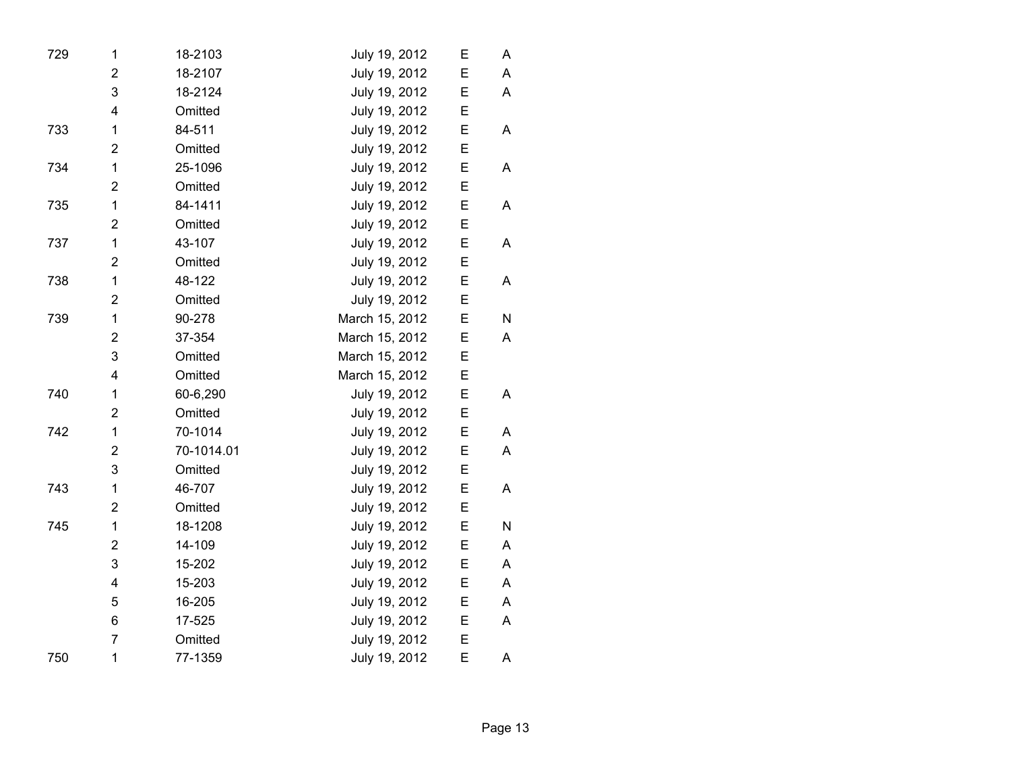| 729 | 1                       | 18-2103    | July 19, 2012  | Ε | A |
|-----|-------------------------|------------|----------------|---|---|
|     | $\overline{2}$          | 18-2107    | July 19, 2012  | E | A |
|     | 3                       | 18-2124    | July 19, 2012  | E | A |
|     | 4                       | Omitted    | July 19, 2012  | E |   |
| 733 | $\mathbf 1$             | 84-511     | July 19, 2012  | E | A |
|     | $\overline{2}$          | Omitted    | July 19, 2012  | Ε |   |
| 734 | 1                       | 25-1096    | July 19, 2012  | E | A |
|     | $\overline{2}$          | Omitted    | July 19, 2012  | E |   |
| 735 | $\mathbf{1}$            | 84-1411    | July 19, 2012  | Ε | A |
|     | $\overline{2}$          | Omitted    | July 19, 2012  | E |   |
| 737 | 1                       | 43-107     | July 19, 2012  | E | A |
|     | $\overline{2}$          | Omitted    | July 19, 2012  | E |   |
| 738 | 1                       | 48-122     | July 19, 2012  | Ε | Α |
|     | $\overline{2}$          | Omitted    | July 19, 2012  | E |   |
| 739 | $\mathbf{1}$            | 90-278     | March 15, 2012 | E | N |
|     | $\overline{2}$          | 37-354     | March 15, 2012 | E | A |
|     | 3                       | Omitted    | March 15, 2012 | Е |   |
|     | 4                       | Omitted    | March 15, 2012 | E |   |
| 740 | 1                       | 60-6,290   | July 19, 2012  | Ε | A |
|     | $\overline{2}$          | Omitted    | July 19, 2012  | Ε |   |
| 742 | $\mathbf{1}$            | 70-1014    | July 19, 2012  | E | A |
|     | $\overline{2}$          | 70-1014.01 | July 19, 2012  | E | A |
|     | 3                       | Omitted    | July 19, 2012  | Ε |   |
| 743 | 1                       | 46-707     | July 19, 2012  | E | A |
|     | $\overline{2}$          | Omitted    | July 19, 2012  | E |   |
| 745 | 1                       | 18-1208    | July 19, 2012  | Ε | N |
|     | $\overline{\mathbf{c}}$ | 14-109     | July 19, 2012  | Ε | A |
|     | 3                       | 15-202     | July 19, 2012  | E | A |
|     | 4                       | 15-203     | July 19, 2012  | E | A |
|     | 5                       | 16-205     | July 19, 2012  | Ε | Α |
|     | 6                       | 17-525     | July 19, 2012  | E | A |
|     | $\overline{7}$          | Omitted    | July 19, 2012  | E |   |
| 750 | $\mathbf{1}$            | 77-1359    | July 19, 2012  | E | Α |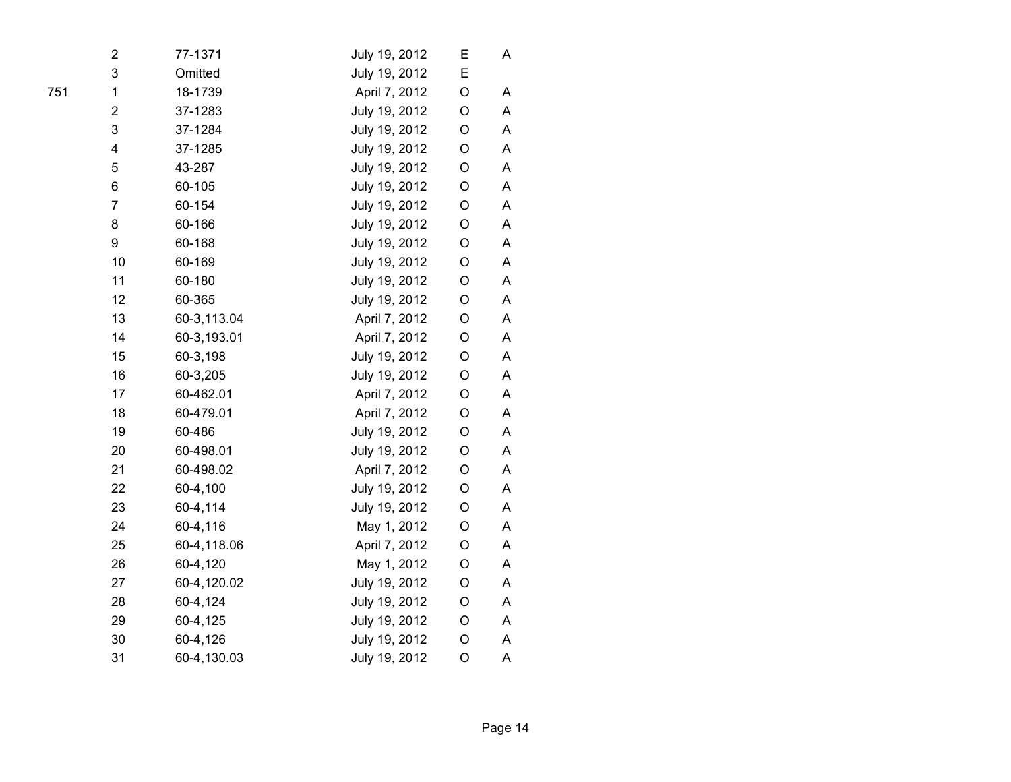| 2                       | 77-1371     | July 19, 2012 | Е       | A |
|-------------------------|-------------|---------------|---------|---|
| 3                       | Omitted     | July 19, 2012 | E       |   |
| $\mathbf 1$             | 18-1739     | April 7, 2012 | O       | A |
| $\overline{\mathbf{c}}$ | 37-1283     | July 19, 2012 | O       | A |
| 3                       | 37-1284     | July 19, 2012 | O       | Α |
| 4                       | 37-1285     | July 19, 2012 | O       | A |
| 5                       | 43-287      | July 19, 2012 | O       | A |
| 6                       | 60-105      | July 19, 2012 | O       | A |
| $\overline{7}$          | 60-154      | July 19, 2012 | O       | Α |
| 8                       | 60-166      | July 19, 2012 | O       | Α |
| 9                       | 60-168      | July 19, 2012 | O       | Α |
| 10                      | 60-169      | July 19, 2012 | O       | A |
| 11                      | 60-180      | July 19, 2012 | O       | Α |
| 12                      | 60-365      | July 19, 2012 | O       | A |
| 13                      | 60-3,113.04 | April 7, 2012 | O       | Α |
| 14                      | 60-3,193.01 | April 7, 2012 | O       | Α |
| 15                      | 60-3,198    | July 19, 2012 | O       | Α |
| 16                      | 60-3,205    | July 19, 2012 | O       | A |
| 17                      | 60-462.01   | April 7, 2012 | O       | A |
| 18                      | 60-479.01   | April 7, 2012 | O       | Α |
| 19                      | 60-486      | July 19, 2012 | O       | Α |
| 20                      | 60-498.01   | July 19, 2012 | O       | Α |
| 21                      | 60-498.02   | April 7, 2012 | O       | Α |
| 22                      | 60-4,100    | July 19, 2012 | O       | A |
| 23                      | 60-4,114    | July 19, 2012 | O       | A |
| 24                      | 60-4,116    | May 1, 2012   | O       | Α |
| 25                      | 60-4,118.06 | April 7, 2012 | O       | Α |
| 26                      | 60-4,120    | May 1, 2012   | O       | Α |
| 27                      | 60-4,120.02 | July 19, 2012 | $\circ$ | A |
| 28                      | 60-4,124    | July 19, 2012 | $\circ$ | A |
| 29                      | 60-4,125    | July 19, 2012 | O       | Α |
| 30                      | 60-4,126    | July 19, 2012 | O       | Α |
| 31                      | 60-4,130.03 | July 19, 2012 | $\circ$ | A |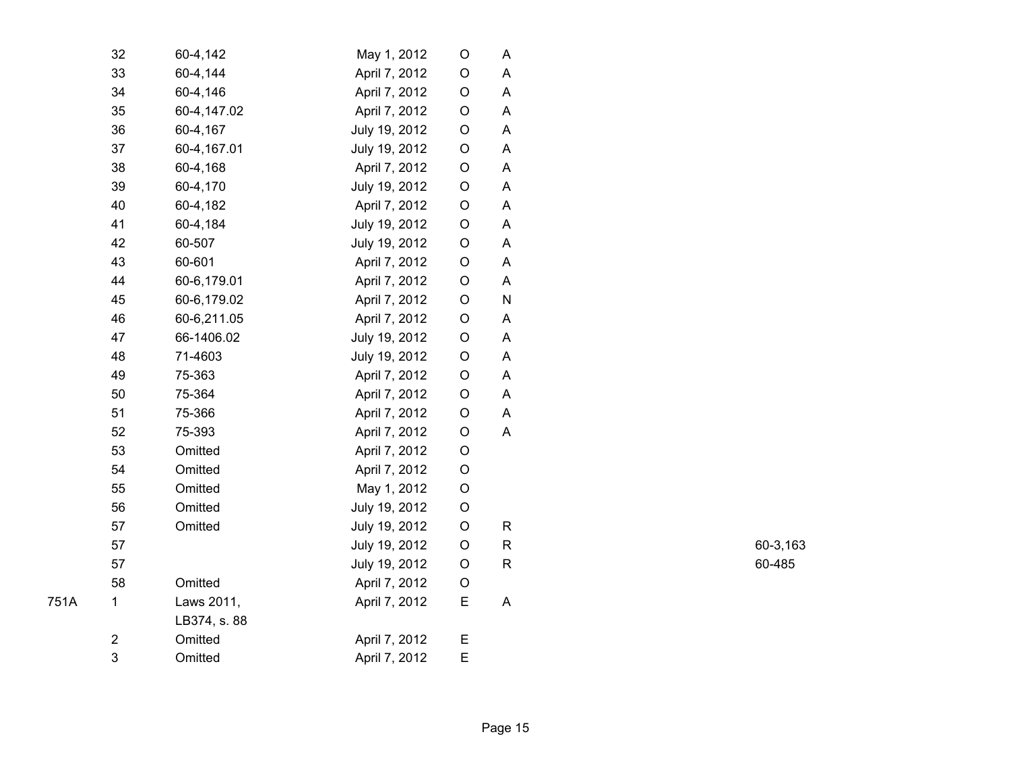| 32 | 60-4,142     | May 1, 2012   | O | Α            |
|----|--------------|---------------|---|--------------|
| 33 | 60-4,144     | April 7, 2012 | O | A            |
| 34 | 60-4,146     | April 7, 2012 | O | A            |
| 35 | 60-4,147.02  | April 7, 2012 | O | A            |
| 36 | 60-4,167     | July 19, 2012 | O | Α            |
| 37 | 60-4,167.01  | July 19, 2012 | O | Α            |
| 38 | 60-4,168     | April 7, 2012 | O | A            |
| 39 | 60-4,170     | July 19, 2012 | O | Α            |
| 40 | 60-4,182     | April 7, 2012 | O | A            |
| 41 | 60-4,184     | July 19, 2012 | O | A            |
| 42 | 60-507       | July 19, 2012 | O | A            |
| 43 | 60-601       | April 7, 2012 | O | Α            |
| 44 | 60-6,179.01  | April 7, 2012 | O | A            |
| 45 | 60-6,179.02  | April 7, 2012 | O | N            |
| 46 | 60-6,211.05  | April 7, 2012 | O | Α            |
| 47 | 66-1406.02   | July 19, 2012 | O | $\mathsf A$  |
| 48 | 71-4603      | July 19, 2012 | O | A            |
| 49 | 75-363       | April 7, 2012 | O | A            |
| 50 | 75-364       | April 7, 2012 | O | A            |
| 51 | 75-366       | April 7, 2012 | O | A            |
| 52 | 75-393       | April 7, 2012 | O | A            |
| 53 | Omitted      | April 7, 2012 | O |              |
| 54 | Omitted      | April 7, 2012 | O |              |
| 55 | Omitted      | May 1, 2012   | O |              |
| 56 | Omitted      | July 19, 2012 | O |              |
| 57 | Omitted      | July 19, 2012 | O | $\mathsf{R}$ |
| 57 |              | July 19, 2012 | O | R            |
| 57 |              | July 19, 2012 | O | R            |
| 58 | Omitted      | April 7, 2012 | O |              |
| 1  | Laws 2011,   | April 7, 2012 | Ε | A            |
|    | LB374, s. 88 |               |   |              |
| 2  | Omitted      | April 7, 2012 | Ε |              |
| 3  | Omitted      | April 7, 2012 | E |              |

R 60-3,163 R 60-485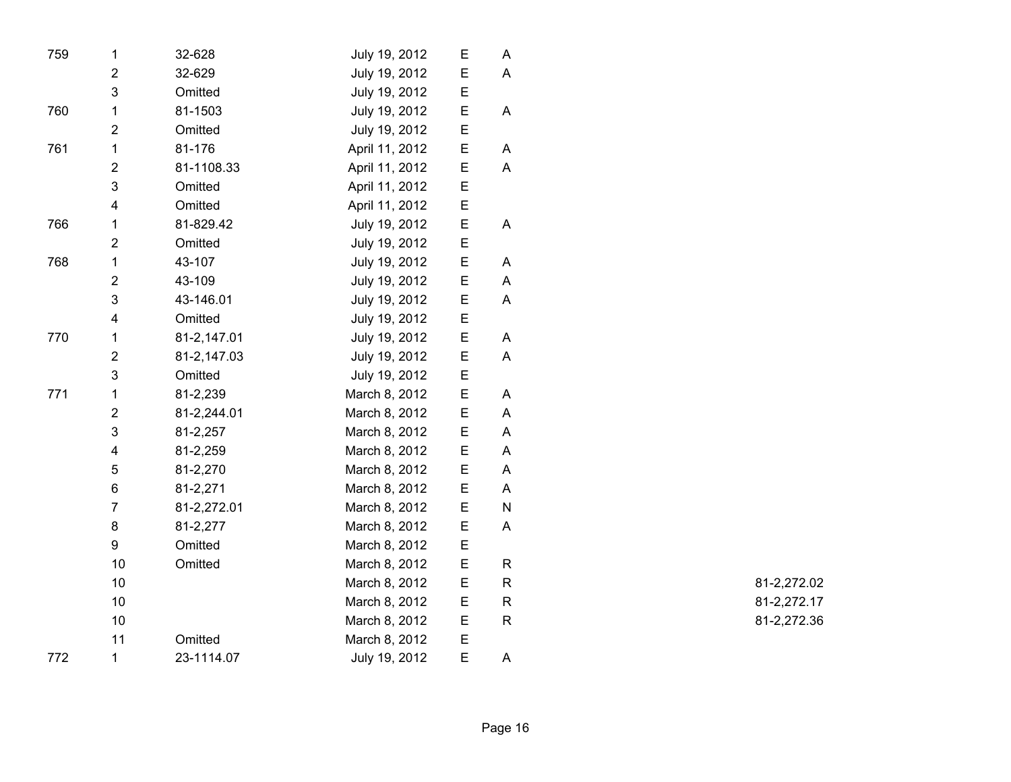| 759 | $\mathbf 1$             | 32-628      | July 19, 2012  | Ε | Α            |  |
|-----|-------------------------|-------------|----------------|---|--------------|--|
|     | $\overline{2}$          | 32-629      | July 19, 2012  | E | A            |  |
|     | 3                       | Omitted     | July 19, 2012  | E |              |  |
| 760 | 1                       | 81-1503     | July 19, 2012  | E | A            |  |
|     | $\overline{2}$          | Omitted     | July 19, 2012  | E |              |  |
| 761 | 1                       | 81-176      | April 11, 2012 | E | A            |  |
|     | $\overline{\mathbf{c}}$ | 81-1108.33  | April 11, 2012 | E | A            |  |
|     | 3                       | Omitted     | April 11, 2012 | E |              |  |
|     | 4                       | Omitted     | April 11, 2012 | E |              |  |
| 766 | 1                       | 81-829.42   | July 19, 2012  | E | A            |  |
|     | 2                       | Omitted     | July 19, 2012  | E |              |  |
| 768 | $\mathbf{1}$            | 43-107      | July 19, 2012  | E | A            |  |
|     | $\overline{\mathbf{c}}$ | 43-109      | July 19, 2012  | E | A            |  |
|     | 3                       | 43-146.01   | July 19, 2012  | E | A            |  |
|     | $\overline{\mathbf{4}}$ | Omitted     | July 19, 2012  | E |              |  |
| 770 | 1                       | 81-2,147.01 | July 19, 2012  | E | Α            |  |
|     | $\overline{2}$          | 81-2,147.03 | July 19, 2012  | Ε | A            |  |
|     | 3                       | Omitted     | July 19, 2012  | E |              |  |
| 771 | $\mathbf{1}$            | 81-2,239    | March 8, 2012  | E | A            |  |
|     | $\overline{\mathbf{c}}$ | 81-2,244.01 | March 8, 2012  | E | A            |  |
|     | 3                       | 81-2,257    | March 8, 2012  | E | A            |  |
|     | $\overline{\mathbf{4}}$ | 81-2,259    | March 8, 2012  | E | A            |  |
|     | 5                       | 81-2,270    | March 8, 2012  | E | Α            |  |
|     | 6                       | 81-2,271    | March 8, 2012  | E | A            |  |
|     | $\overline{7}$          | 81-2,272.01 | March 8, 2012  | E | ${\sf N}$    |  |
|     | 8                       | 81-2,277    | March 8, 2012  | E | A            |  |
|     | 9                       | Omitted     | March 8, 2012  | E |              |  |
|     | 10                      | Omitted     | March 8, 2012  | E | $\mathsf{R}$ |  |
|     | 10                      |             | March 8, 2012  | E | $\mathsf R$  |  |
|     | 10                      |             | March 8, 2012  | E | R            |  |
|     | 10                      |             | March 8, 2012  | E | R            |  |
|     | 11                      | Omitted     | March 8, 2012  | E |              |  |
| 772 | $\mathbf 1$             | 23-1114.07  | July 19, 2012  | E | A            |  |

R 81-2,272.02 R 81-2,272.17 R 81-2,272.36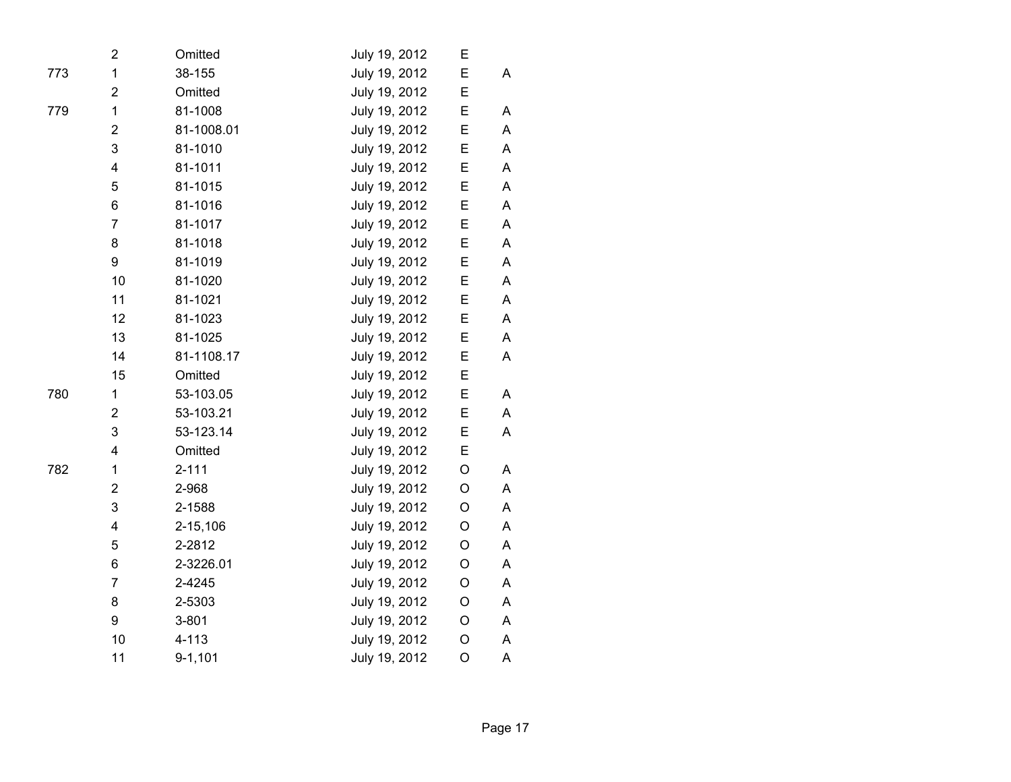|     | 2                       | Omitted     | July 19, 2012 | Е           |             |
|-----|-------------------------|-------------|---------------|-------------|-------------|
| 773 | 1                       | 38-155      | July 19, 2012 | E           | A           |
|     | $\overline{\mathbf{c}}$ | Omitted     | July 19, 2012 | E           |             |
| 779 | $\mathbf{1}$            | 81-1008     | July 19, 2012 | E           | A           |
|     | $\overline{2}$          | 81-1008.01  | July 19, 2012 | E           | A           |
|     | 3                       | 81-1010     | July 19, 2012 | E           | A           |
|     | 4                       | 81-1011     | July 19, 2012 | E           | A           |
|     | 5                       | 81-1015     | July 19, 2012 | E           | A           |
|     | 6                       | 81-1016     | July 19, 2012 | E           | A           |
|     | 7                       | 81-1017     | July 19, 2012 | E           | A           |
|     | 8                       | 81-1018     | July 19, 2012 | E           | A           |
|     | 9                       | 81-1019     | July 19, 2012 | E           | $\mathsf A$ |
|     | 10                      | 81-1020     | July 19, 2012 | E           | A           |
|     | 11                      | 81-1021     | July 19, 2012 | E           | A           |
|     | 12                      | 81-1023     | July 19, 2012 | E           | A           |
|     | 13                      | 81-1025     | July 19, 2012 | E           | A           |
|     | 14                      | 81-1108.17  | July 19, 2012 | E           | A           |
|     | 15                      | Omitted     | July 19, 2012 | E           |             |
| 780 | $\mathbf{1}$            | 53-103.05   | July 19, 2012 | E           | A           |
|     | $\overline{2}$          | 53-103.21   | July 19, 2012 | E           | A           |
|     | 3                       | 53-123.14   | July 19, 2012 | E           | A           |
|     | 4                       | Omitted     | July 19, 2012 | E           |             |
| 782 | $\mathbf{1}$            | $2 - 111$   | July 19, 2012 | $\mathsf O$ | A           |
|     | $\overline{2}$          | 2-968       | July 19, 2012 | $\mathsf O$ | A           |
|     | 3                       | 2-1588      | July 19, 2012 | $\mathsf O$ | A           |
|     | 4                       | 2-15,106    | July 19, 2012 | $\mathsf O$ | A           |
|     | 5                       | 2-2812      | July 19, 2012 | $\mathsf O$ | A           |
|     | 6                       | 2-3226.01   | July 19, 2012 | $\mathsf O$ | A           |
|     | $\overline{7}$          | 2-4245      | July 19, 2012 | $\mathsf O$ | Α           |
|     | 8                       | 2-5303      | July 19, 2012 | $\mathsf O$ | A           |
|     | 9                       | $3 - 801$   | July 19, 2012 | O           | A           |
|     | 10                      | $4 - 113$   | July 19, 2012 | $\mathsf O$ | A           |
|     | 11                      | $9 - 1,101$ | July 19, 2012 | O           | A           |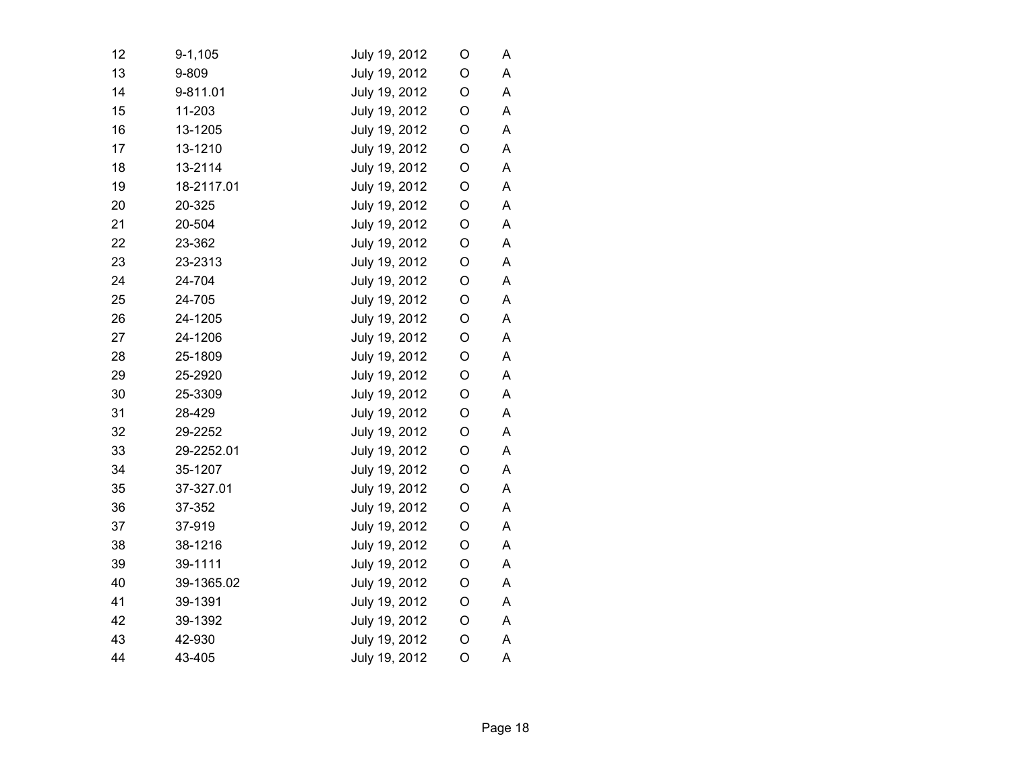| 12 | $9 - 1,105$ | July 19, 2012 | O           | A |
|----|-------------|---------------|-------------|---|
| 13 | 9-809       | July 19, 2012 | O           | A |
| 14 | 9-811.01    | July 19, 2012 | O           | A |
| 15 | 11-203      | July 19, 2012 | O           | A |
| 16 | 13-1205     | July 19, 2012 | O           | A |
| 17 | 13-1210     | July 19, 2012 | O           | A |
| 18 | 13-2114     | July 19, 2012 | O           | A |
| 19 | 18-2117.01  | July 19, 2012 | O           | A |
| 20 | 20-325      | July 19, 2012 | O           | A |
| 21 | 20-504      | July 19, 2012 | O           | A |
| 22 | 23-362      | July 19, 2012 | O           | A |
| 23 | 23-2313     | July 19, 2012 | O           | Α |
| 24 | 24-704      | July 19, 2012 | O           | A |
| 25 | 24-705      | July 19, 2012 | O           | A |
| 26 | 24-1205     | July 19, 2012 | $\mathsf O$ | A |
| 27 | 24-1206     | July 19, 2012 | O           | A |
| 28 | 25-1809     | July 19, 2012 | O           | Α |
| 29 | 25-2920     | July 19, 2012 | O           | A |
| 30 | 25-3309     | July 19, 2012 | O           | A |
| 31 | 28-429      | July 19, 2012 | O           | A |
| 32 | 29-2252     | July 19, 2012 | O           | A |
| 33 | 29-2252.01  | July 19, 2012 | O           | A |
| 34 | 35-1207     | July 19, 2012 | O           | A |
| 35 | 37-327.01   | July 19, 2012 | O           | A |
| 36 | 37-352      | July 19, 2012 | O           | A |
| 37 | 37-919      | July 19, 2012 | O           | A |
| 38 | 38-1216     | July 19, 2012 | O           | A |
| 39 | 39-1111     | July 19, 2012 | O           | A |
| 40 | 39-1365.02  | July 19, 2012 | O           | A |
| 41 | 39-1391     | July 19, 2012 | O           | A |
| 42 | 39-1392     | July 19, 2012 | O           | A |
| 43 | 42-930      | July 19, 2012 | O           | A |
| 44 | 43-405      | July 19, 2012 | O           | A |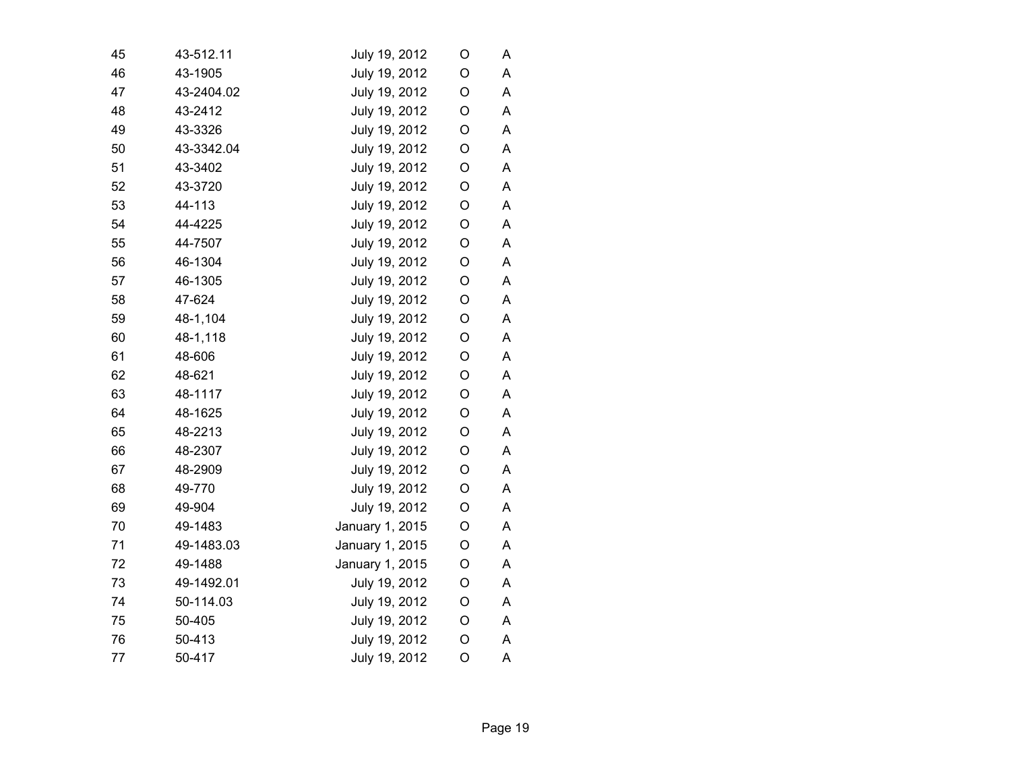| 45 | 43-512.11  | July 19, 2012   | O           | Α |  |
|----|------------|-----------------|-------------|---|--|
| 46 | 43-1905    | July 19, 2012   | O           | A |  |
| 47 | 43-2404.02 | July 19, 2012   | O           | A |  |
| 48 | 43-2412    | July 19, 2012   | O           | A |  |
| 49 | 43-3326    | July 19, 2012   | O           | Α |  |
| 50 | 43-3342.04 | July 19, 2012   | $\mathsf O$ | A |  |
| 51 | 43-3402    | July 19, 2012   | $\mathsf O$ | A |  |
| 52 | 43-3720    | July 19, 2012   | $\mathsf O$ | A |  |
| 53 | 44-113     | July 19, 2012   | O           | Α |  |
| 54 | 44-4225    | July 19, 2012   | O           | А |  |
| 55 | 44-7507    | July 19, 2012   | O           | A |  |
| 56 | 46-1304    | July 19, 2012   | O           | А |  |
| 57 | 46-1305    | July 19, 2012   | O           | А |  |
| 58 | 47-624     | July 19, 2012   | O           | A |  |
| 59 | 48-1,104   | July 19, 2012   | $\mathsf O$ | A |  |
| 60 | 48-1,118   | July 19, 2012   | O           | А |  |
| 61 | 48-606     | July 19, 2012   | O           | А |  |
| 62 | 48-621     | July 19, 2012   | O           | Α |  |
| 63 | 48-1117    | July 19, 2012   | $\mathsf O$ | A |  |
| 64 | 48-1625    | July 19, 2012   | O           | А |  |
| 65 | 48-2213    | July 19, 2012   | O           | A |  |
| 66 | 48-2307    | July 19, 2012   | O           | A |  |
| 67 | 48-2909    | July 19, 2012   | O           | А |  |
| 68 | 49-770     | July 19, 2012   | O           | Α |  |
| 69 | 49-904     | July 19, 2012   | O           | Α |  |
| 70 | 49-1483    | January 1, 2015 | O           | A |  |
| 71 | 49-1483.03 | January 1, 2015 | O           | A |  |
| 72 | 49-1488    | January 1, 2015 | O           | A |  |
| 73 | 49-1492.01 | July 19, 2012   | O           | A |  |
| 74 | 50-114.03  | July 19, 2012   | $\mathsf O$ | A |  |
| 75 | 50-405     | July 19, 2012   | $\mathsf O$ | Α |  |
| 76 | 50-413     | July 19, 2012   | O           | А |  |
| 77 | 50-417     | July 19, 2012   | O           | A |  |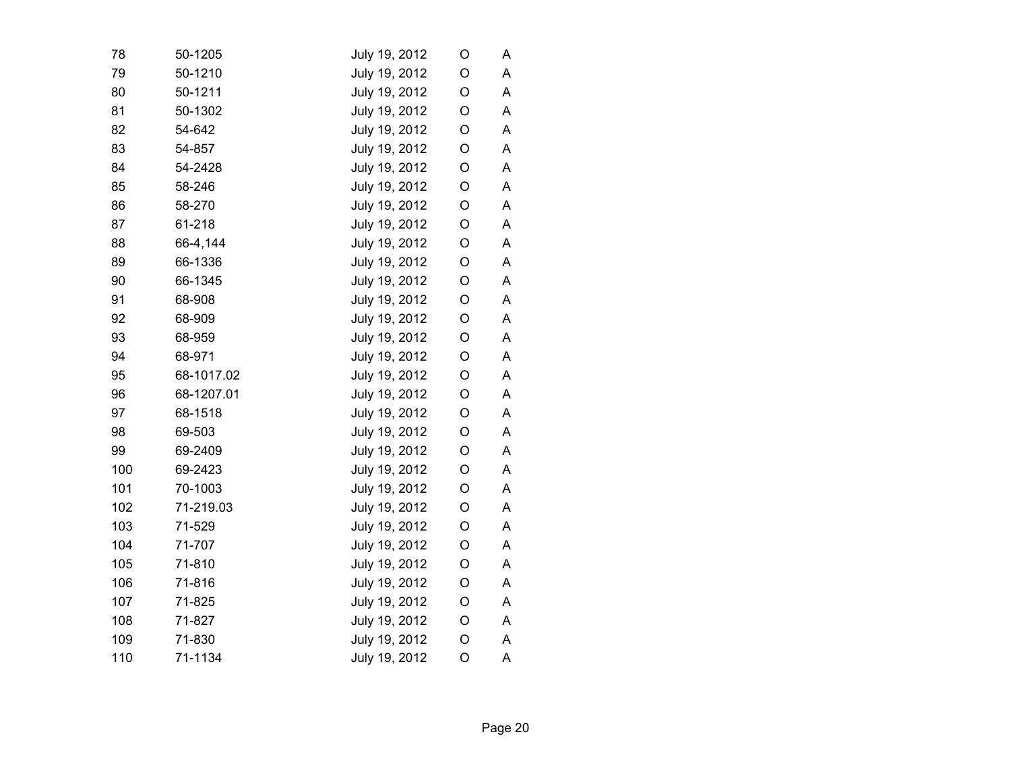| 79<br>80 | 50-1210<br>50-1211<br>50-1302<br>54-642 | July 19, 2012<br>July 19, 2012<br>July 19, 2012 | O<br>O      | A<br>A |
|----------|-----------------------------------------|-------------------------------------------------|-------------|--------|
|          |                                         |                                                 |             |        |
|          |                                         |                                                 |             |        |
| 81       |                                         |                                                 | O           | A      |
| 82       |                                         | July 19, 2012                                   | O           | Α      |
| 83       | 54-857                                  | July 19, 2012                                   | O           | A      |
| 84       | 54-2428                                 | July 19, 2012                                   | O           | A      |
| 85       | 58-246                                  | July 19, 2012                                   | O           | A      |
| 86       | 58-270                                  | July 19, 2012                                   | O           | A      |
| 87       | 61-218                                  | July 19, 2012                                   | O           | A      |
| 88       | 66-4,144                                | July 19, 2012                                   | O           | A      |
| 89       | 66-1336                                 | July 19, 2012                                   | O           | A      |
| 90       | 66-1345                                 | July 19, 2012                                   | O           | A      |
| 91       | 68-908                                  | July 19, 2012                                   | O           | A      |
| 92       | 68-909                                  | July 19, 2012                                   | O           | A      |
| 93       | 68-959                                  | July 19, 2012                                   | O           | A      |
| 94       | 68-971                                  | July 19, 2012                                   | O           | A      |
| 95       | 68-1017.02                              | July 19, 2012                                   | O           | A      |
| 96       | 68-1207.01                              | July 19, 2012                                   | $\mathsf O$ | A      |
| 97       | 68-1518                                 | July 19, 2012                                   | $\mathsf O$ | A      |
| 98       | 69-503                                  | July 19, 2012                                   | O           | A      |
| 99       | 69-2409                                 | July 19, 2012                                   | $\mathsf O$ | A      |
| 100      | 69-2423                                 | July 19, 2012                                   | O           | A      |
| 101      | 70-1003                                 | July 19, 2012                                   | O           | A      |
| 102      | 71-219.03                               | July 19, 2012                                   | O           | A      |
| 103      | 71-529                                  | July 19, 2012                                   | O           | A      |
| 104      | 71-707                                  | July 19, 2012                                   | O           | A      |
| 105      | 71-810                                  | July 19, 2012                                   | O           | A      |
| 106      | 71-816                                  | July 19, 2012                                   | $\mathsf O$ | A      |
| 107      | 71-825                                  | July 19, 2012                                   | O           | A      |
| 108      | 71-827                                  | July 19, 2012                                   | O           | A      |
| 109      | 71-830                                  | July 19, 2012                                   | O           | A      |
| 110      | 71-1134                                 | July 19, 2012                                   | O           | A      |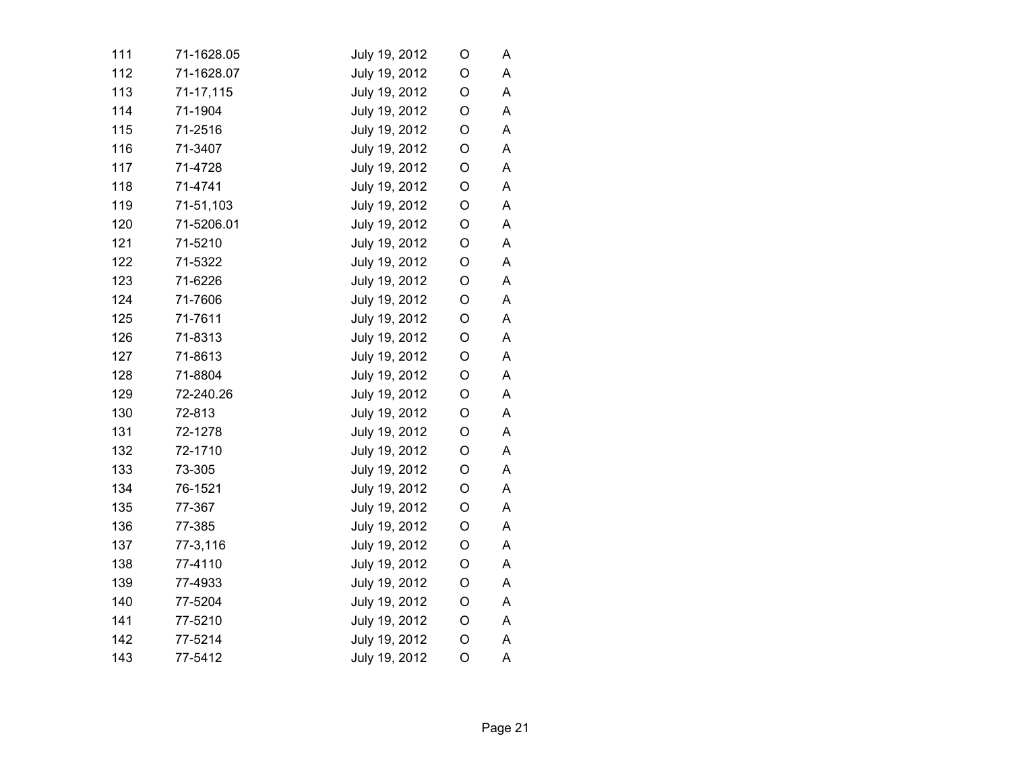| 111 | 71-1628.05 | July 19, 2012 | O           | A |
|-----|------------|---------------|-------------|---|
| 112 | 71-1628.07 | July 19, 2012 | O           | A |
| 113 | 71-17,115  | July 19, 2012 | O           | A |
| 114 | 71-1904    | July 19, 2012 | O           | A |
| 115 | 71-2516    | July 19, 2012 | O           | A |
| 116 | 71-3407    | July 19, 2012 | O           | A |
| 117 | 71-4728    | July 19, 2012 | $\mathsf O$ | A |
| 118 | 71-4741    | July 19, 2012 | O           | A |
| 119 | 71-51,103  | July 19, 2012 | O           | A |
| 120 | 71-5206.01 | July 19, 2012 | O           | A |
| 121 | 71-5210    | July 19, 2012 | O           | A |
| 122 | 71-5322    | July 19, 2012 | O           | A |
| 123 | 71-6226    | July 19, 2012 | O           | Α |
| 124 | 71-7606    | July 19, 2012 | O           | A |
| 125 | 71-7611    | July 19, 2012 | $\mathsf O$ | A |
| 126 | 71-8313    | July 19, 2012 | O           | A |
| 127 | 71-8613    | July 19, 2012 | $\mathsf O$ | A |
| 128 | 71-8804    | July 19, 2012 | O           | A |
| 129 | 72-240.26  | July 19, 2012 | $\mathsf O$ | A |
| 130 | 72-813     | July 19, 2012 | $\mathsf O$ | А |
| 131 | 72-1278    | July 19, 2012 | $\mathsf O$ | A |
| 132 | 72-1710    | July 19, 2012 | $\mathsf O$ | A |
| 133 | 73-305     | July 19, 2012 | O           | A |
| 134 | 76-1521    | July 19, 2012 | $\mathsf O$ | A |
| 135 | 77-367     | July 19, 2012 | O           | A |
| 136 | 77-385     | July 19, 2012 | O           | A |
| 137 | 77-3,116   | July 19, 2012 | O           | Α |
| 138 | 77-4110    | July 19, 2012 | $\mathsf O$ | A |
| 139 | 77-4933    | July 19, 2012 | $\mathsf O$ | A |
| 140 | 77-5204    | July 19, 2012 | $\mathsf O$ | A |
| 141 | 77-5210    | July 19, 2012 | O           | Α |
| 142 | 77-5214    | July 19, 2012 | O           | A |
| 143 | 77-5412    | July 19, 2012 | O           | A |
|     |            |               |             |   |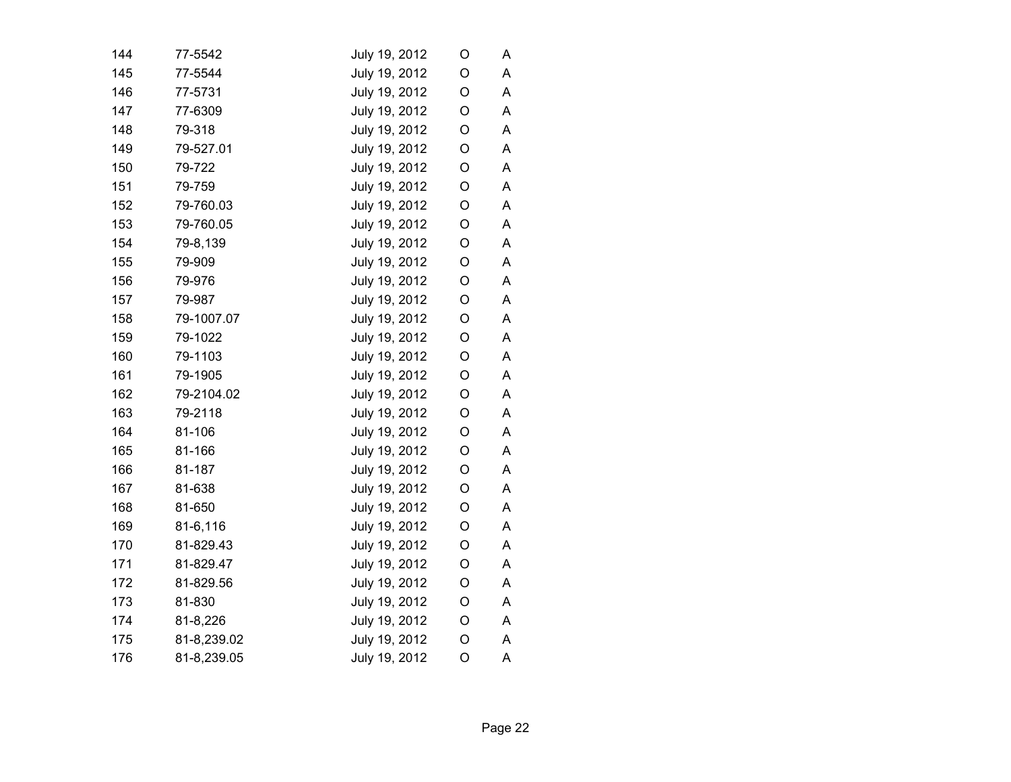| 144 | 77-5542     | July 19, 2012 | O           | A |
|-----|-------------|---------------|-------------|---|
| 145 | 77-5544     | July 19, 2012 | O           | Α |
| 146 | 77-5731     | July 19, 2012 | O           | A |
| 147 | 77-6309     | July 19, 2012 | O           | A |
| 148 | 79-318      | July 19, 2012 | O           | A |
| 149 | 79-527.01   | July 19, 2012 | O           | A |
| 150 | 79-722      | July 19, 2012 | $\mathsf O$ | A |
| 151 | 79-759      | July 19, 2012 | $\mathsf O$ | A |
| 152 | 79-760.03   | July 19, 2012 | O           | A |
| 153 | 79-760.05   | July 19, 2012 | O           | A |
| 154 | 79-8,139    | July 19, 2012 | O           | A |
| 155 | 79-909      | July 19, 2012 | O           | A |
| 156 | 79-976      | July 19, 2012 | O           | A |
| 157 | 79-987      | July 19, 2012 | O           | A |
| 158 | 79-1007.07  | July 19, 2012 | O           | A |
| 159 | 79-1022     | July 19, 2012 | O           | A |
| 160 | 79-1103     | July 19, 2012 | $\mathsf O$ | A |
| 161 | 79-1905     | July 19, 2012 | O           | A |
| 162 | 79-2104.02  | July 19, 2012 | $\mathsf O$ | A |
| 163 | 79-2118     | July 19, 2012 | $\mathsf O$ | Α |
| 164 | 81-106      | July 19, 2012 | $\mathsf O$ | A |
| 165 | 81-166      | July 19, 2012 | $\mathsf O$ | A |
| 166 | 81-187      | July 19, 2012 | O           | A |
| 167 | 81-638      | July 19, 2012 | $\mathsf O$ | Α |
| 168 | 81-650      | July 19, 2012 | O           | A |
| 169 | 81-6,116    | July 19, 2012 | O           | A |
| 170 | 81-829.43   | July 19, 2012 | O           | Α |
| 171 | 81-829.47   | July 19, 2012 | $\mathsf O$ | A |
| 172 | 81-829.56   | July 19, 2012 | $\mathsf O$ | A |
| 173 | 81-830      | July 19, 2012 | $\mathsf O$ | A |
| 174 | 81-8,226    | July 19, 2012 | O           | Α |
| 175 | 81-8,239.02 | July 19, 2012 | O           | A |
| 176 | 81-8,239.05 | July 19, 2012 | O           | A |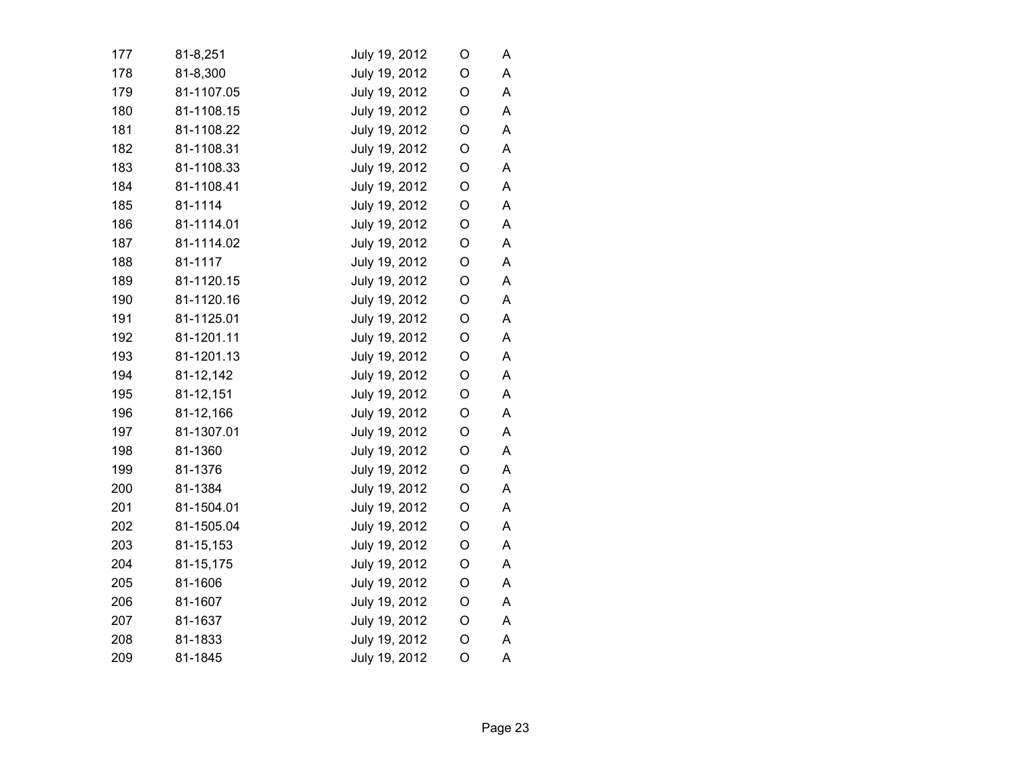| 177 | 81-8,251   | July 19, 2012 | O           | A |
|-----|------------|---------------|-------------|---|
| 178 | 81-8,300   | July 19, 2012 | O           | A |
| 179 | 81-1107.05 | July 19, 2012 | O           | A |
| 180 | 81-1108.15 | July 19, 2012 | O           | Α |
| 181 | 81-1108.22 | July 19, 2012 | O           | A |
| 182 | 81-1108.31 | July 19, 2012 | O           | A |
| 183 | 81-1108.33 | July 19, 2012 | $\mathsf O$ | A |
| 184 | 81-1108.41 | July 19, 2012 | $\mathsf O$ | A |
| 185 | 81-1114    | July 19, 2012 | O           | A |
| 186 | 81-1114.01 | July 19, 2012 | O           | A |
| 187 | 81-1114.02 | July 19, 2012 | O           | A |
| 188 | 81-1117    | July 19, 2012 | O           | A |
| 189 | 81-1120.15 | July 19, 2012 | O           | A |
| 190 | 81-1120.16 | July 19, 2012 | O           | A |
| 191 | 81-1125.01 | July 19, 2012 | O           | A |
| 192 | 81-1201.11 | July 19, 2012 | $\mathsf O$ | A |
| 193 | 81-1201.13 | July 19, 2012 | $\mathsf O$ | A |
| 194 | 81-12,142  | July 19, 2012 | O           | A |
| 195 | 81-12,151  | July 19, 2012 | $\mathsf O$ | A |
| 196 | 81-12,166  | July 19, 2012 | $\mathsf O$ | A |
| 197 | 81-1307.01 | July 19, 2012 | $\mathsf O$ | А |
| 198 | 81-1360    | July 19, 2012 | $\mathsf O$ | A |
| 199 | 81-1376    | July 19, 2012 | $\mathsf O$ | A |
| 200 | 81-1384    | July 19, 2012 | $\mathsf O$ | Α |
| 201 | 81-1504.01 | July 19, 2012 | O           | Α |
| 202 | 81-1505.04 | July 19, 2012 | O           | A |
| 203 | 81-15,153  | July 19, 2012 | O           | Α |
| 204 | 81-15,175  | July 19, 2012 | $\circ$     | A |
| 205 | 81-1606    | July 19, 2012 | O           | A |
| 206 | 81-1607    | July 19, 2012 | $\mathsf O$ | A |
| 207 | 81-1637    | July 19, 2012 | O           | Α |
| 208 | 81-1833    | July 19, 2012 | O           | A |
| 209 | 81-1845    | July 19, 2012 | O           | A |
|     |            |               |             |   |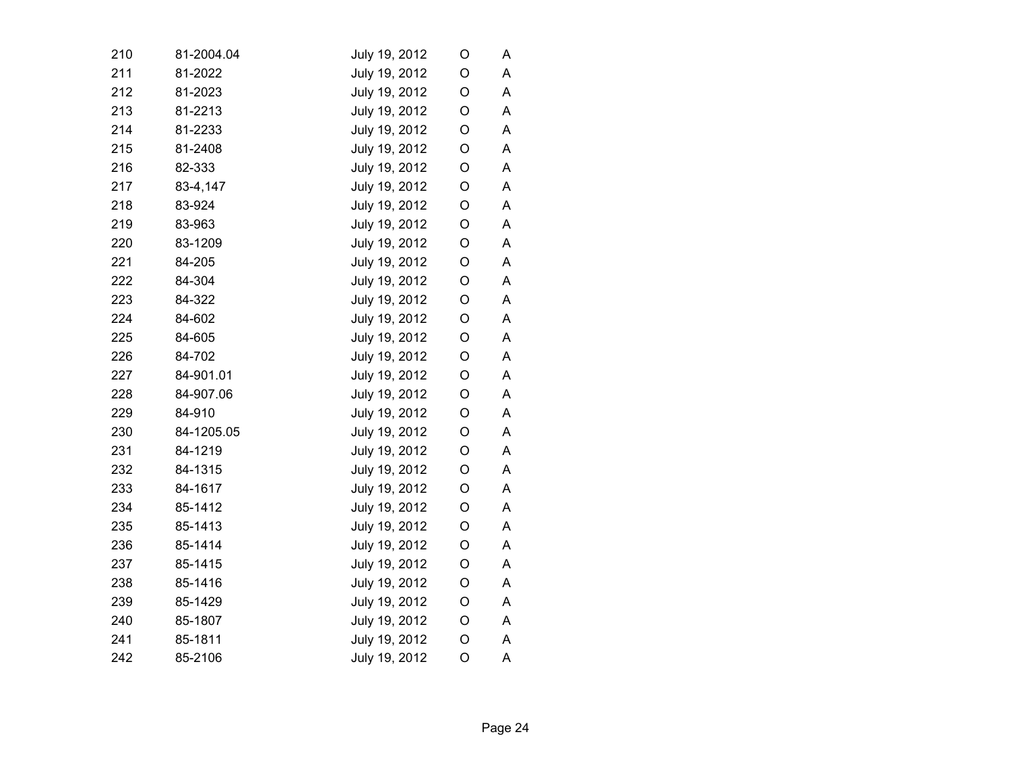| 210 | 81-2004.04 | July 19, 2012 | O | A |
|-----|------------|---------------|---|---|
| 211 | 81-2022    | July 19, 2012 | O | A |
| 212 | 81-2023    | July 19, 2012 | O | A |
| 213 | 81-2213    | July 19, 2012 | O | A |
| 214 | 81-2233    | July 19, 2012 | O | Α |
| 215 | 81-2408    | July 19, 2012 | O | A |
| 216 | 82-333     | July 19, 2012 | O | A |
| 217 | 83-4,147   | July 19, 2012 | O | A |
| 218 | 83-924     | July 19, 2012 | O | Α |
| 219 | 83-963     | July 19, 2012 | O | Α |
| 220 | 83-1209    | July 19, 2012 | O | A |
| 221 | 84-205     | July 19, 2012 | O | A |
| 222 | 84-304     | July 19, 2012 | O | A |
| 223 | 84-322     | July 19, 2012 | O | A |
| 224 | 84-602     | July 19, 2012 | O | A |
| 225 | 84-605     | July 19, 2012 | O | A |
| 226 | 84-702     | July 19, 2012 | O | A |
| 227 | 84-901.01  | July 19, 2012 | O | A |
| 228 | 84-907.06  | July 19, 2012 | O | A |
| 229 | 84-910     | July 19, 2012 | O | A |
| 230 | 84-1205.05 | July 19, 2012 | O | A |
| 231 | 84-1219    | July 19, 2012 | O | A |
| 232 | 84-1315    | July 19, 2012 | O | A |
| 233 | 84-1617    | July 19, 2012 | O | A |
| 234 | 85-1412    | July 19, 2012 | O | A |
| 235 | 85-1413    | July 19, 2012 | O | A |
| 236 | 85-1414    | July 19, 2012 | O | Α |
| 237 | 85-1415    | July 19, 2012 | O | A |
| 238 | 85-1416    | July 19, 2012 | O | A |
| 239 | 85-1429    | July 19, 2012 | O | A |
| 240 | 85-1807    | July 19, 2012 | O | Α |
| 241 | 85-1811    | July 19, 2012 | O | A |
| 242 | 85-2106    | July 19, 2012 | O | A |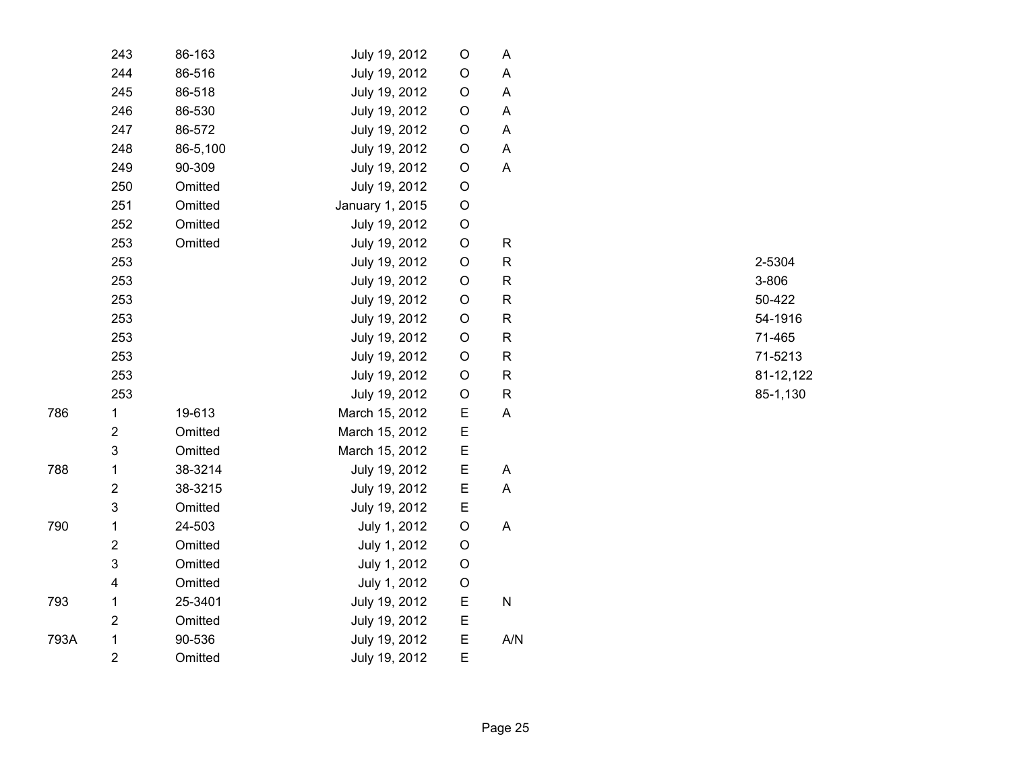|      | 243                     | 86-163   | July 19, 2012   | O           | A            |
|------|-------------------------|----------|-----------------|-------------|--------------|
|      | 244                     | 86-516   | July 19, 2012   | O           | A            |
|      | 245                     | 86-518   | July 19, 2012   | O           | A            |
|      | 246                     | 86-530   | July 19, 2012   | O           | A            |
|      | 247                     | 86-572   | July 19, 2012   | O           | A            |
|      | 248                     | 86-5,100 | July 19, 2012   | O           | A            |
|      | 249                     | 90-309   | July 19, 2012   | O           | A            |
|      | 250                     | Omitted  | July 19, 2012   | O           |              |
|      | 251                     | Omitted  | January 1, 2015 | O           |              |
|      | 252                     | Omitted  | July 19, 2012   | $\mathsf O$ |              |
|      | 253                     | Omitted  | July 19, 2012   | $\mathsf O$ | $\mathsf{R}$ |
|      | 253                     |          | July 19, 2012   | O           | $\mathsf{R}$ |
|      | 253                     |          | July 19, 2012   | O           | $\mathsf{R}$ |
|      | 253                     |          | July 19, 2012   | $\mathsf O$ | R            |
|      | 253                     |          | July 19, 2012   | $\mathsf O$ | $\mathsf R$  |
|      | 253                     |          | July 19, 2012   | O           | $\mathsf R$  |
|      | 253                     |          | July 19, 2012   | $\mathsf O$ | $\mathsf R$  |
|      | 253                     |          | July 19, 2012   | O           | $\mathsf R$  |
|      | 253                     |          | July 19, 2012   | O           | $\mathsf{R}$ |
| 786  | $\mathbf 1$             | 19-613   | March 15, 2012  | E           | A            |
|      | $\overline{2}$          | Omitted  | March 15, 2012  | E           |              |
|      | 3                       | Omitted  | March 15, 2012  | E           |              |
| 788  | 1                       | 38-3214  | July 19, 2012   | E           | A            |
|      | $\overline{2}$          | 38-3215  | July 19, 2012   | E           | A            |
|      | 3                       | Omitted  | July 19, 2012   | E           |              |
| 790  | 1                       | 24-503   | July 1, 2012    | O           | A            |
|      | $\overline{\mathbf{c}}$ | Omitted  | July 1, 2012    | O           |              |
|      | 3                       | Omitted  | July 1, 2012    | O           |              |
|      | $\overline{\mathbf{4}}$ | Omitted  | July 1, 2012    | O           |              |
| 793  | $\mathbf 1$             | 25-3401  | July 19, 2012   | E           | N            |
|      | $\overline{2}$          | Omitted  | July 19, 2012   | E           |              |
| 793A | $\mathbf{1}$            | 90-536   | July 19, 2012   | E           | A/N          |
|      | $\overline{2}$          | Omitted  | July 19, 2012   | E           |              |

R 2-5304 R 3-806 R 50-422 R 54-1916 R 71-465 R 71-5213 R 81-12,122 R 85-1,130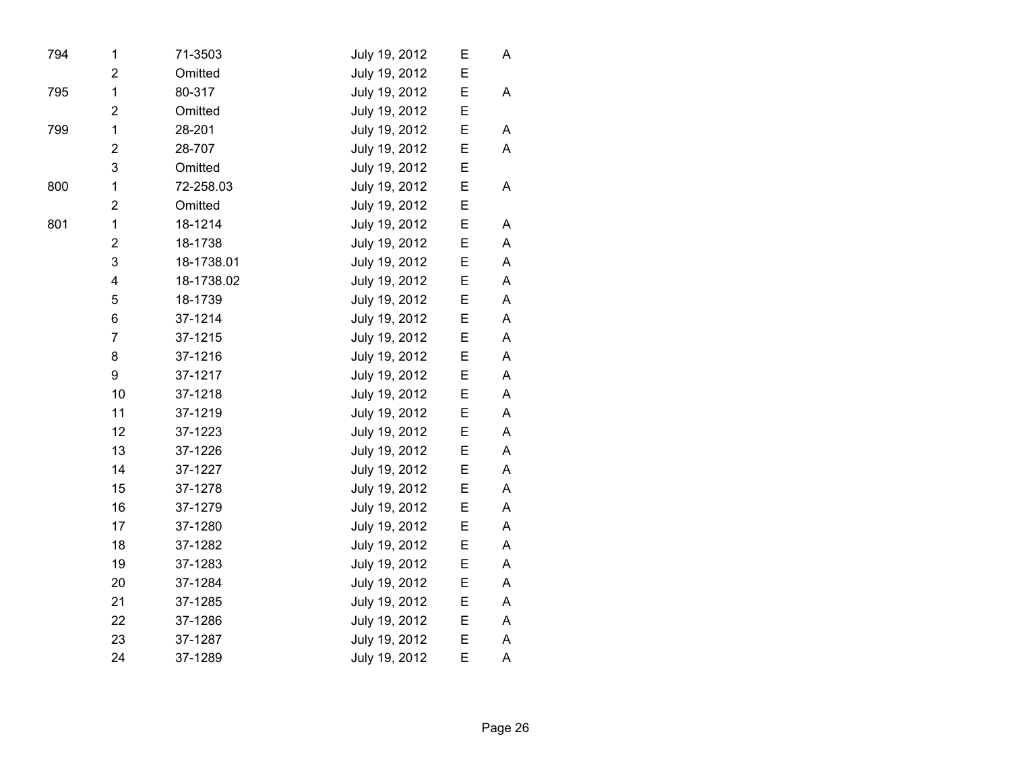| 794 | 1                       | 71-3503    | July 19, 2012 | E | A |  |
|-----|-------------------------|------------|---------------|---|---|--|
|     | $\overline{2}$          | Omitted    | July 19, 2012 | E |   |  |
| 795 | 1                       | 80-317     | July 19, 2012 | E | A |  |
|     | $\overline{2}$          | Omitted    | July 19, 2012 | E |   |  |
| 799 | $\mathbf 1$             | 28-201     | July 19, 2012 | E | Α |  |
|     | 2                       | 28-707     | July 19, 2012 | E | A |  |
|     | 3                       | Omitted    | July 19, 2012 | E |   |  |
| 800 | $\mathbf 1$             | 72-258.03  | July 19, 2012 | E | A |  |
|     | $\overline{\mathbf{c}}$ | Omitted    | July 19, 2012 | E |   |  |
| 801 | 1                       | 18-1214    | July 19, 2012 | E | A |  |
|     | $\overline{2}$          | 18-1738    | July 19, 2012 | E | A |  |
|     | 3                       | 18-1738.01 | July 19, 2012 | E | A |  |
|     | $\overline{\mathbf{4}}$ | 18-1738.02 | July 19, 2012 | E | A |  |
|     | 5                       | 18-1739    | July 19, 2012 | E | Α |  |
|     | 6                       | 37-1214    | July 19, 2012 | E | A |  |
|     | $\overline{7}$          | 37-1215    | July 19, 2012 | E | A |  |
|     | 8                       | 37-1216    | July 19, 2012 | E | A |  |
|     | 9                       | 37-1217    | July 19, 2012 | E | A |  |
|     | 10                      | 37-1218    | July 19, 2012 | E | A |  |
|     | 11                      | 37-1219    | July 19, 2012 | E | A |  |
|     | 12                      | 37-1223    | July 19, 2012 | E | A |  |
|     | 13                      | 37-1226    | July 19, 2012 | E | A |  |
|     | 14                      | 37-1227    | July 19, 2012 | E | A |  |
|     | 15                      | 37-1278    | July 19, 2012 | E | A |  |
|     | 16                      | 37-1279    | July 19, 2012 | E | A |  |
|     | 17                      | 37-1280    | July 19, 2012 | E | A |  |
|     | 18                      | 37-1282    | July 19, 2012 | E | A |  |
|     | 19                      | 37-1283    | July 19, 2012 | E | A |  |
|     | 20                      | 37-1284    | July 19, 2012 | E | Α |  |
|     | 21                      | 37-1285    | July 19, 2012 | E | A |  |
|     | 22                      | 37-1286    | July 19, 2012 | E | Α |  |
|     | 23                      | 37-1287    | July 19, 2012 | E | Α |  |
|     | 24                      | 37-1289    | July 19, 2012 | E | A |  |
|     |                         |            |               |   |   |  |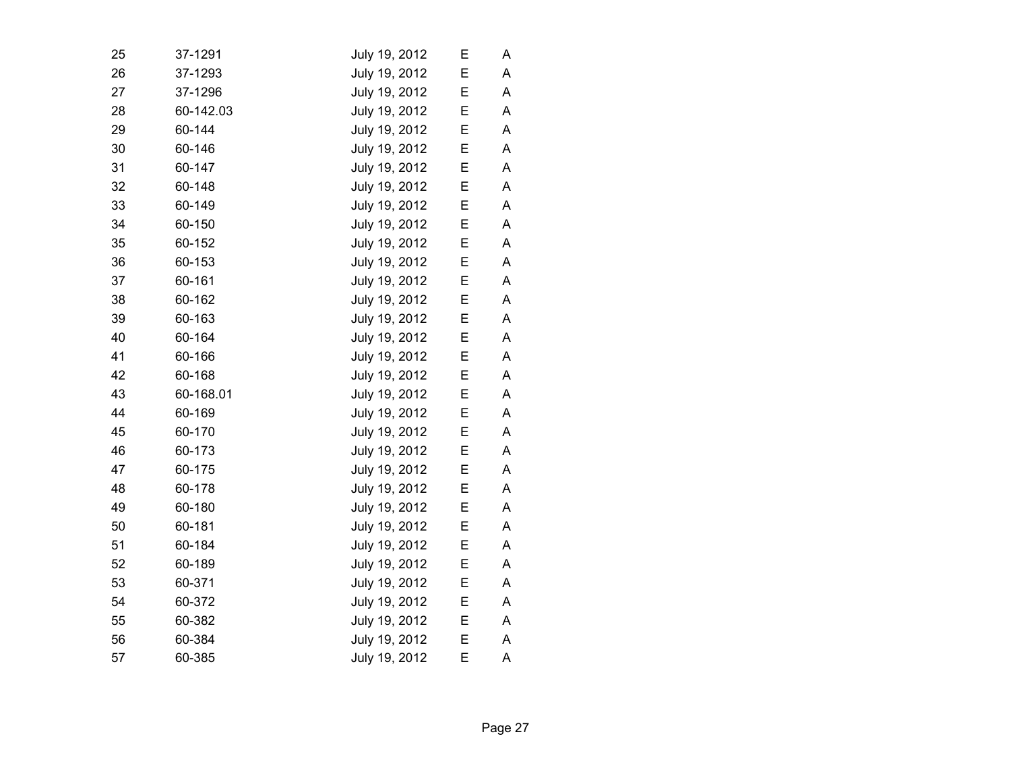| 25 | 37-1291   | July 19, 2012 | E | Α |  |
|----|-----------|---------------|---|---|--|
| 26 | 37-1293   | July 19, 2012 | E | A |  |
| 27 | 37-1296   | July 19, 2012 | Е | Α |  |
| 28 | 60-142.03 | July 19, 2012 | E | A |  |
| 29 | 60-144    | July 19, 2012 | Е | Α |  |
| 30 | 60-146    | July 19, 2012 | E | A |  |
| 31 | 60-147    | July 19, 2012 | E | A |  |
| 32 | 60-148    | July 19, 2012 | E | A |  |
| 33 | 60-149    | July 19, 2012 | E | A |  |
| 34 | 60-150    | July 19, 2012 | Ε | A |  |
| 35 | 60-152    | July 19, 2012 | E | Α |  |
| 36 | 60-153    | July 19, 2012 | Ε | Α |  |
| 37 | 60-161    | July 19, 2012 | Е | A |  |
| 38 | 60-162    | July 19, 2012 | Е | A |  |
| 39 | 60-163    | July 19, 2012 | E | A |  |
| 40 | 60-164    | July 19, 2012 | E | A |  |
| 41 | 60-166    | July 19, 2012 | E | A |  |
| 42 | 60-168    | July 19, 2012 | Е | A |  |
| 43 | 60-168.01 | July 19, 2012 | E | A |  |
| 44 | 60-169    | July 19, 2012 | E | A |  |
| 45 | 60-170    | July 19, 2012 | Е | A |  |
| 46 | 60-173    | July 19, 2012 | E | A |  |
| 47 | 60-175    | July 19, 2012 | Ε | Α |  |
| 48 | 60-178    | July 19, 2012 | Е | A |  |
| 49 | 60-180    | July 19, 2012 | Е | A |  |
| 50 | 60-181    | July 19, 2012 | Ε | Α |  |
| 51 | 60-184    | July 19, 2012 | Е | A |  |
| 52 | 60-189    | July 19, 2012 | Е | A |  |
| 53 | 60-371    | July 19, 2012 | E | A |  |
| 54 | 60-372    | July 19, 2012 | Е | Α |  |
| 55 | 60-382    | July 19, 2012 | Е | A |  |
| 56 | 60-384    | July 19, 2012 | E | A |  |
| 57 | 60-385    | July 19, 2012 | E | A |  |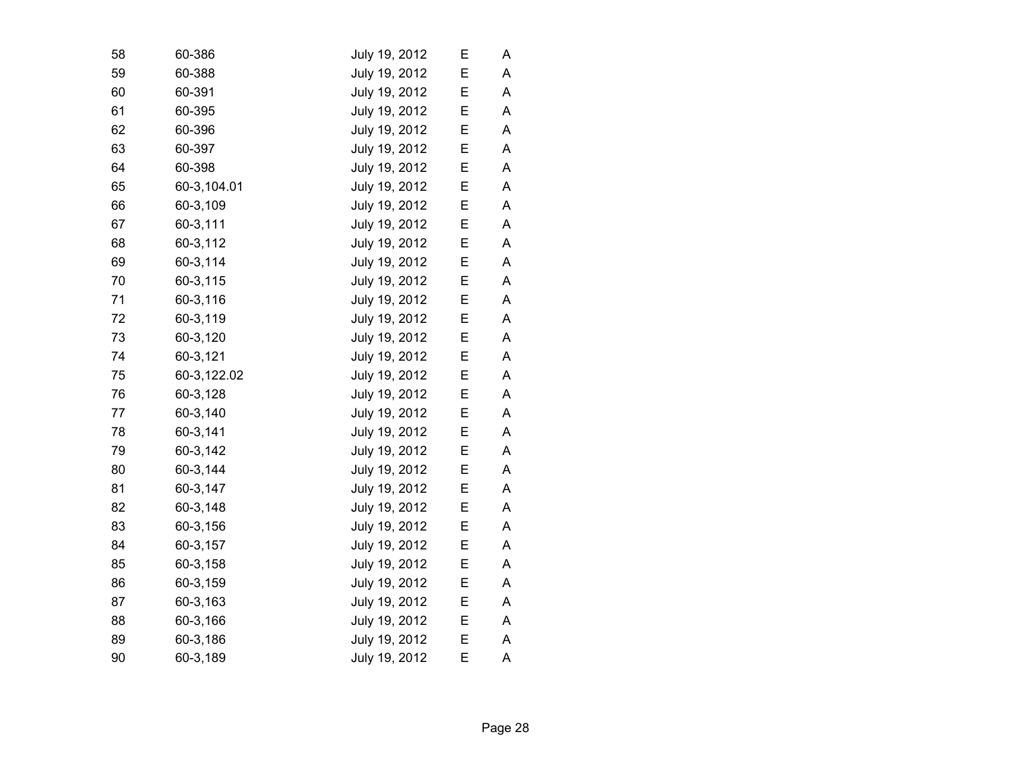| 58 | 60-386      | July 19, 2012 | Е | Α |  |
|----|-------------|---------------|---|---|--|
| 59 | 60-388      | July 19, 2012 | E | A |  |
| 60 | 60-391      | July 19, 2012 | Е | A |  |
| 61 | 60-395      | July 19, 2012 | Е | A |  |
| 62 | 60-396      | July 19, 2012 | E | A |  |
| 63 | 60-397      | July 19, 2012 | E | A |  |
| 64 | 60-398      | July 19, 2012 | E | A |  |
| 65 | 60-3,104.01 | July 19, 2012 | E | A |  |
| 66 | 60-3,109    | July 19, 2012 | Е | A |  |
| 67 | 60-3,111    | July 19, 2012 | Е | A |  |
| 68 | 60-3,112    | July 19, 2012 | E | A |  |
| 69 | 60-3,114    | July 19, 2012 | Е | Α |  |
| 70 | 60-3,115    | July 19, 2012 | Е | A |  |
| 71 | 60-3,116    | July 19, 2012 | Е | A |  |
| 72 | 60-3,119    | July 19, 2012 | E | A |  |
| 73 | 60-3,120    | July 19, 2012 | E | A |  |
| 74 | 60-3,121    | July 19, 2012 | E | A |  |
| 75 | 60-3,122.02 | July 19, 2012 | Е | Α |  |
| 76 | 60-3,128    | July 19, 2012 | E | A |  |
| 77 | 60-3,140    | July 19, 2012 | E | A |  |
| 78 | 60-3,141    | July 19, 2012 | Е | A |  |
| 79 | 60-3,142    | July 19, 2012 | E | A |  |
| 80 | 60-3,144    | July 19, 2012 | Е | Α |  |
| 81 | 60-3,147    | July 19, 2012 | Е | A |  |
| 82 | 60-3,148    | July 19, 2012 | Е | A |  |
| 83 | 60-3,156    | July 19, 2012 | E | A |  |
| 84 | 60-3,157    | July 19, 2012 | E | A |  |
| 85 | 60-3,158    | July 19, 2012 | E | A |  |
| 86 | 60-3,159    | July 19, 2012 | E | A |  |
| 87 | 60-3,163    | July 19, 2012 | E | A |  |
| 88 | 60-3,166    | July 19, 2012 | Е | A |  |
| 89 | 60-3,186    | July 19, 2012 | Е | A |  |
| 90 | 60-3,189    | July 19, 2012 | E | A |  |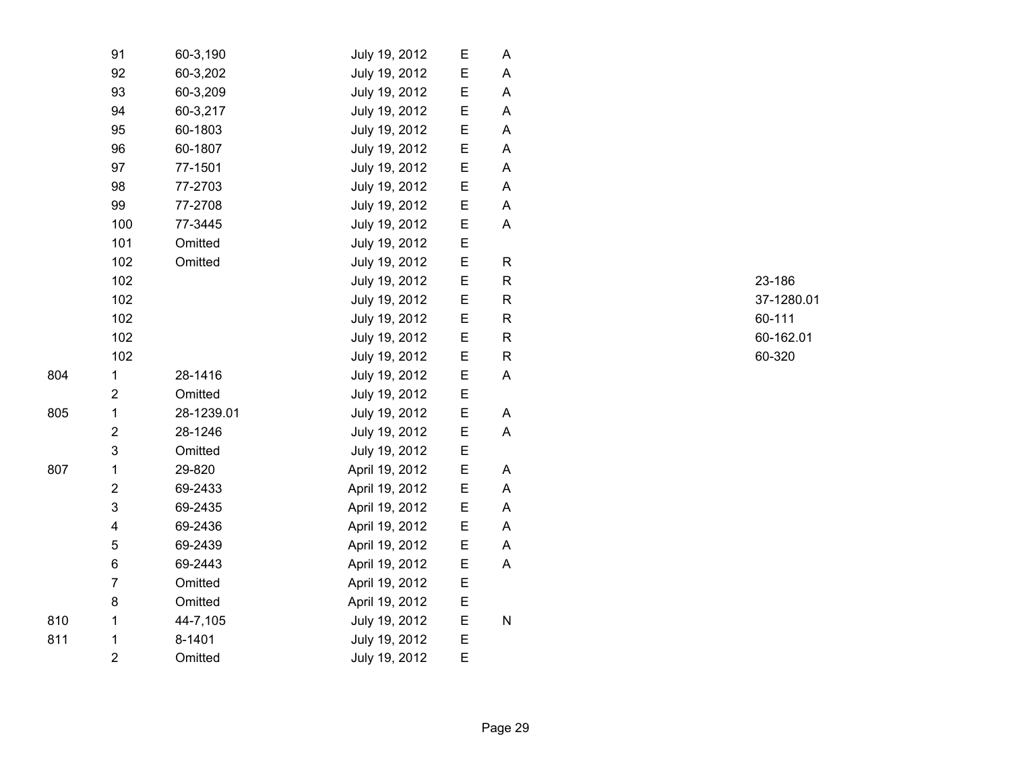|     | 91                      | 60-3,190   | July 19, 2012  | Е | Α            |
|-----|-------------------------|------------|----------------|---|--------------|
|     | 92                      | 60-3,202   | July 19, 2012  | E | Α            |
|     | 93                      | 60-3,209   | July 19, 2012  | E | A            |
|     | 94                      | 60-3,217   | July 19, 2012  | E | A            |
|     | 95                      | 60-1803    | July 19, 2012  | E | A            |
|     | 96                      | 60-1807    | July 19, 2012  | E | A            |
|     | 97                      | 77-1501    | July 19, 2012  | E | A            |
|     | 98                      | 77-2703    | July 19, 2012  | E | A            |
|     | 99                      | 77-2708    | July 19, 2012  | E | A            |
|     | 100                     | 77-3445    | July 19, 2012  | Ε | A            |
|     | 101                     | Omitted    | July 19, 2012  | E |              |
|     | 102                     | Omitted    | July 19, 2012  | E | R            |
|     | 102                     |            | July 19, 2012  | E | R            |
|     | 102                     |            | July 19, 2012  | E | $\mathsf R$  |
|     | 102                     |            | July 19, 2012  | E | R            |
|     | 102                     |            | July 19, 2012  | E | $\mathsf{R}$ |
|     | 102                     |            | July 19, 2012  | E | $\mathsf R$  |
| 804 | $\mathbf 1$             | 28-1416    | July 19, 2012  | E | A            |
|     | $\overline{2}$          | Omitted    | July 19, 2012  | E |              |
| 805 | 1                       | 28-1239.01 | July 19, 2012  | Е | A            |
|     | $\mathbf 2$             | 28-1246    | July 19, 2012  | Ε | Α            |
|     | 3                       | Omitted    | July 19, 2012  | E |              |
| 807 | $\mathbf 1$             | 29-820     | April 19, 2012 | E | A            |
|     | $\overline{2}$          | 69-2433    | April 19, 2012 | E | A            |
|     | 3                       | 69-2435    | April 19, 2012 | E | Α            |
|     | $\overline{\mathbf{4}}$ | 69-2436    | April 19, 2012 | E | A            |
|     | 5                       | 69-2439    | April 19, 2012 | E | A            |
|     | 6                       | 69-2443    | April 19, 2012 | E | A            |
|     | $\overline{7}$          | Omitted    | April 19, 2012 | E |              |
|     | 8                       | Omitted    | April 19, 2012 | E |              |
| 810 | 1                       | 44-7,105   | July 19, 2012  | E | ${\sf N}$    |
| 811 | 1                       | 8-1401     | July 19, 2012  | E |              |
|     | $\overline{2}$          | Omitted    | July 19, 2012  | E |              |

R 23-186 R 37-1280.01 R 60-111 R 60-162.01 R 60-320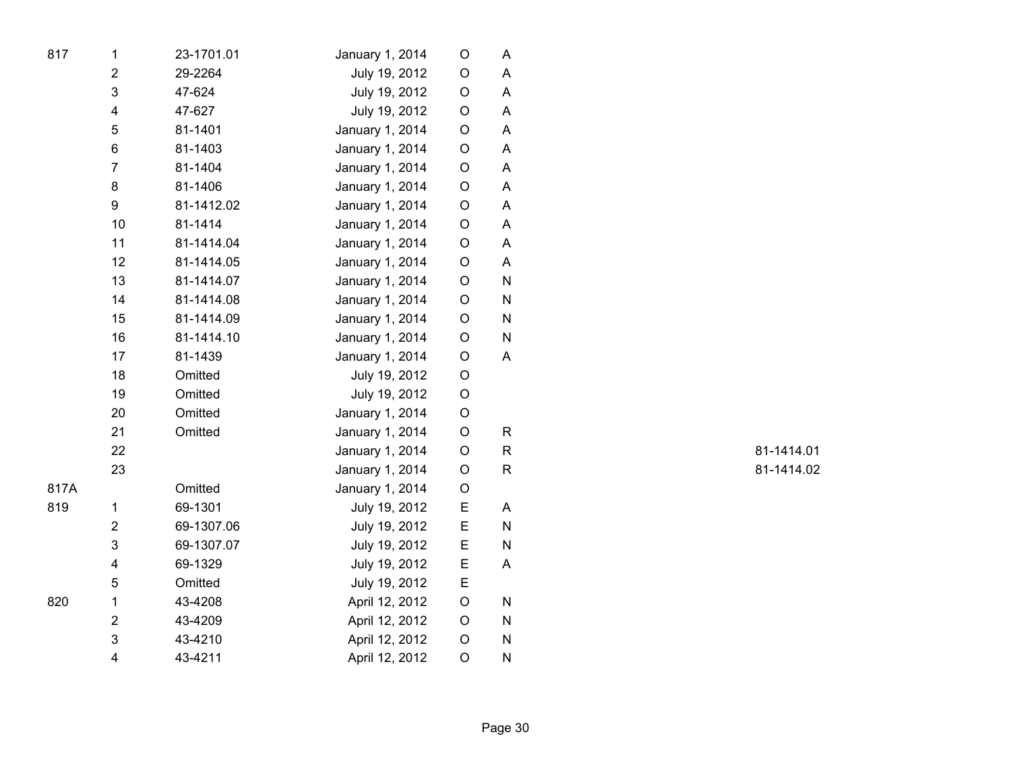| 817  | $\mathbf{1}$   | 23-1701.01 | January 1, 2014 | O           | A |
|------|----------------|------------|-----------------|-------------|---|
|      | 2              | 29-2264    | July 19, 2012   | $\mathsf O$ | A |
|      | 3              | 47-624     | July 19, 2012   | $\mathsf O$ | A |
|      | 4              | 47-627     | July 19, 2012   | O           | A |
|      | 5              | 81-1401    | January 1, 2014 | O           | A |
|      | 6              | 81-1403    | January 1, 2014 | $\mathsf O$ | A |
|      | $\overline{7}$ | 81-1404    | January 1, 2014 | O           | A |
|      | 8              | 81-1406    | January 1, 2014 | O           | A |
|      | 9              | 81-1412.02 | January 1, 2014 | O           | A |
|      | 10             | 81-1414    | January 1, 2014 | O           | A |
|      | 11             | 81-1414.04 | January 1, 2014 | O           | A |
|      | 12             | 81-1414.05 | January 1, 2014 | O           | A |
|      | 13             | 81-1414.07 | January 1, 2014 | O           | N |
|      | 14             | 81-1414.08 | January 1, 2014 | $\mathsf O$ | N |
|      | 15             | 81-1414.09 | January 1, 2014 | O           | N |
|      | 16             | 81-1414.10 | January 1, 2014 | O           | N |
|      | 17             | 81-1439    | January 1, 2014 | O           | A |
|      | 18             | Omitted    | July 19, 2012   | $\mathsf O$ |   |
|      | 19             | Omitted    | July 19, 2012   | O           |   |
|      | 20             | Omitted    | January 1, 2014 | $\mathsf O$ |   |
|      | 21             | Omitted    | January 1, 2014 | $\mathsf O$ | R |
|      | 22             |            | January 1, 2014 | $\mathsf O$ | R |
|      | 23             |            | January 1, 2014 | O           | R |
| 817A |                | Omitted    | January 1, 2014 | O           |   |
| 819  | 1              | 69-1301    | July 19, 2012   | E           | A |
|      | $\overline{2}$ | 69-1307.06 | July 19, 2012   | E           | N |
|      | 3              | 69-1307.07 | July 19, 2012   | E           | N |
|      | 4              | 69-1329    | July 19, 2012   | Е           | A |
|      | 5              | Omitted    | July 19, 2012   | E           |   |
| 820  | $\mathbf 1$    | 43-4208    | April 12, 2012  | O           | N |
|      | $\overline{2}$ | 43-4209    | April 12, 2012  | O           | N |
|      | 3              | 43-4210    | April 12, 2012  | O           | N |
|      | 4              | 43-4211    | April 12, 2012  | O           | N |

R 81-1414.01 R 81-1414.02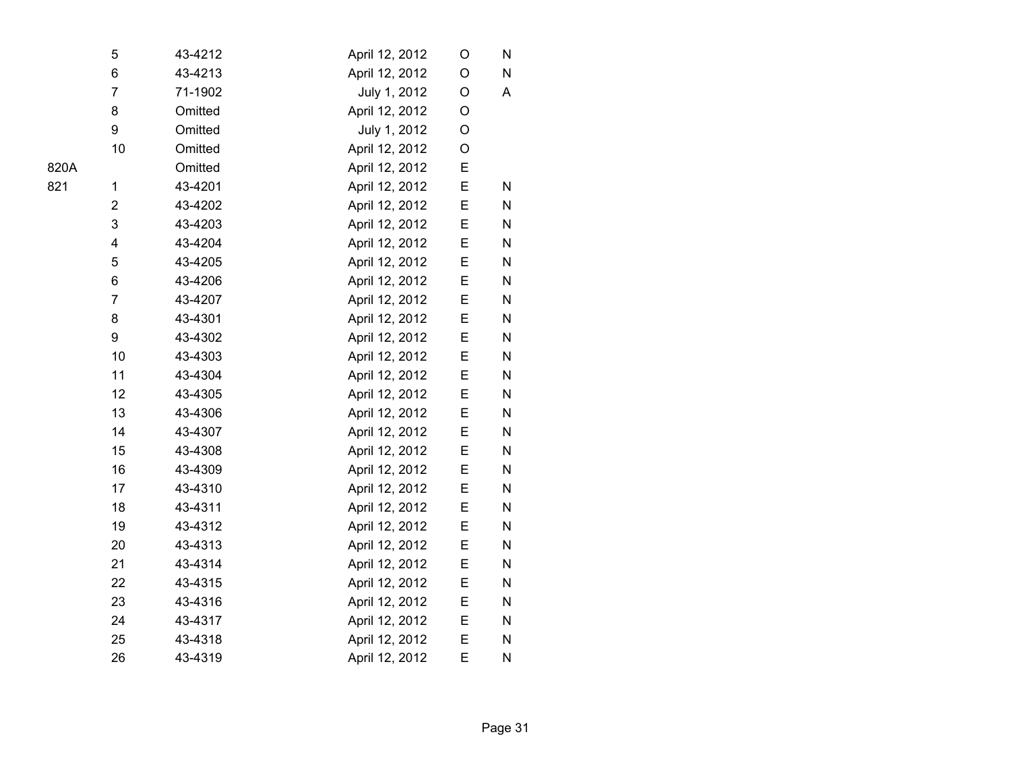|      | 5                       | 43-4212 | April 12, 2012 | O | N         |  |
|------|-------------------------|---------|----------------|---|-----------|--|
|      | $\,6$                   | 43-4213 | April 12, 2012 | O | ${\sf N}$ |  |
|      | $\overline{7}$          | 71-1902 | July 1, 2012   | O | A         |  |
|      | 8                       | Omitted | April 12, 2012 | O |           |  |
|      | 9                       | Omitted | July 1, 2012   | O |           |  |
|      | 10                      | Omitted | April 12, 2012 | O |           |  |
| 820A |                         | Omitted | April 12, 2012 | E |           |  |
| 821  | 1                       | 43-4201 | April 12, 2012 | E | N         |  |
|      | $\overline{\mathbf{c}}$ | 43-4202 | April 12, 2012 | Ε | N         |  |
|      | 3                       | 43-4203 | April 12, 2012 | E | N         |  |
|      | 4                       | 43-4204 | April 12, 2012 | E | ${\sf N}$ |  |
|      | 5                       | 43-4205 | April 12, 2012 | Е | N         |  |
|      | 6                       | 43-4206 | April 12, 2012 | Ε | N         |  |
|      | $\overline{7}$          | 43-4207 | April 12, 2012 | Ε | N         |  |
|      | 8                       | 43-4301 | April 12, 2012 | E | N         |  |
|      | 9                       | 43-4302 | April 12, 2012 | Ε | N         |  |
|      | 10                      | 43-4303 | April 12, 2012 | E | N         |  |
|      | 11                      | 43-4304 | April 12, 2012 | Ε | ${\sf N}$ |  |
|      | 12                      | 43-4305 | April 12, 2012 | E | N         |  |
|      | 13                      | 43-4306 | April 12, 2012 | E | N         |  |
|      | 14                      | 43-4307 | April 12, 2012 | Ε | N         |  |
|      | 15                      | 43-4308 | April 12, 2012 | E | N         |  |
|      | 16                      | 43-4309 | April 12, 2012 | Ε | N         |  |
|      | 17                      | 43-4310 | April 12, 2012 | E | N         |  |
|      | 18                      | 43-4311 | April 12, 2012 | Ε | ${\sf N}$ |  |
|      | 19                      | 43-4312 | April 12, 2012 | E | N         |  |
|      | 20                      | 43-4313 | April 12, 2012 | E | N         |  |
|      | 21                      | 43-4314 | April 12, 2012 | Ε | N         |  |
|      | 22                      | 43-4315 | April 12, 2012 | Ε | N         |  |
|      | 23                      | 43-4316 | April 12, 2012 | Ε | N         |  |
|      | 24                      | 43-4317 | April 12, 2012 | E | ${\sf N}$ |  |
|      | 25                      | 43-4318 | April 12, 2012 | E | N         |  |
|      | 26                      | 43-4319 | April 12, 2012 | E | N         |  |
|      |                         |         |                |   |           |  |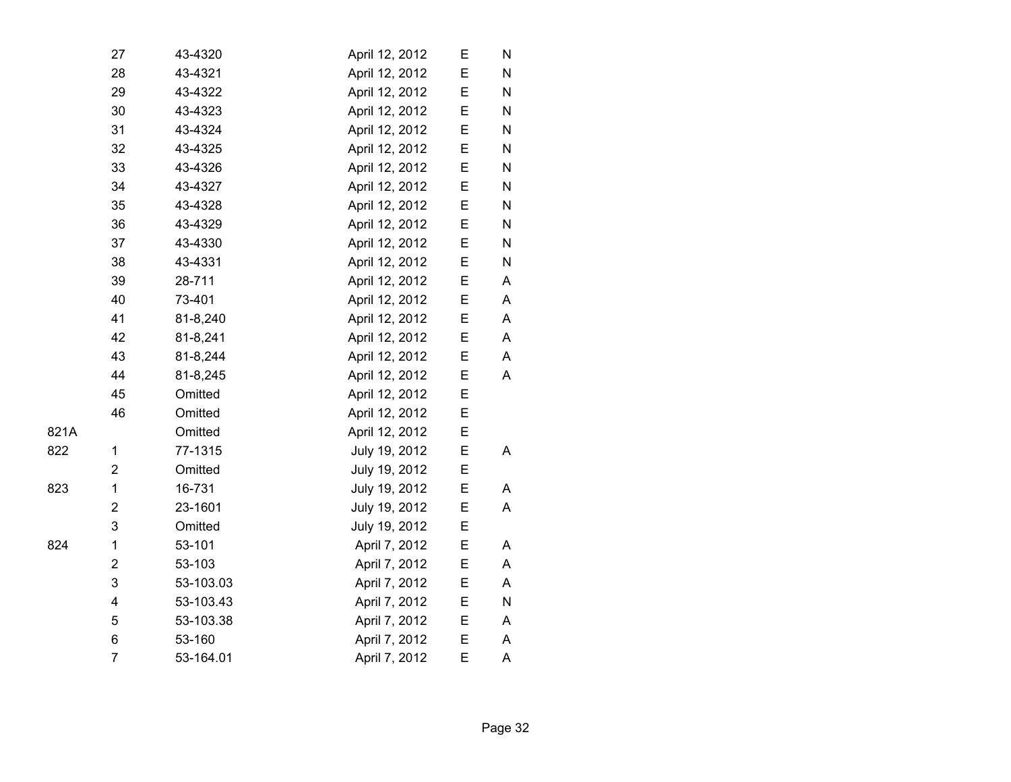|      | 27                      | 43-4320   | April 12, 2012 | E | N |  |
|------|-------------------------|-----------|----------------|---|---|--|
|      | 28                      | 43-4321   | April 12, 2012 | E | N |  |
|      | 29                      | 43-4322   | April 12, 2012 | E | N |  |
|      | 30                      | 43-4323   | April 12, 2012 | E | N |  |
|      | 31                      | 43-4324   | April 12, 2012 | E | N |  |
|      | 32                      | 43-4325   | April 12, 2012 | Ε | N |  |
|      | 33                      | 43-4326   | April 12, 2012 | E | N |  |
|      | 34                      | 43-4327   | April 12, 2012 | E | N |  |
|      | 35                      | 43-4328   | April 12, 2012 | E | N |  |
|      | 36                      | 43-4329   | April 12, 2012 | E | N |  |
|      | 37                      | 43-4330   | April 12, 2012 | E | N |  |
|      | 38                      | 43-4331   | April 12, 2012 | E | N |  |
|      | 39                      | 28-711    | April 12, 2012 | E | A |  |
|      | 40                      | 73-401    | April 12, 2012 | E | Α |  |
|      | 41                      | 81-8,240  | April 12, 2012 | E | Α |  |
|      | 42                      | 81-8,241  | April 12, 2012 | E | Α |  |
|      | 43                      | 81-8,244  | April 12, 2012 | E | A |  |
|      | 44                      | 81-8,245  | April 12, 2012 | E | A |  |
|      | 45                      | Omitted   | April 12, 2012 | E |   |  |
|      | 46                      | Omitted   | April 12, 2012 | Е |   |  |
| 821A |                         | Omitted   | April 12, 2012 | E |   |  |
| 822  | 1                       | 77-1315   | July 19, 2012  | E | Α |  |
|      | $\overline{\mathbf{c}}$ | Omitted   | July 19, 2012  | E |   |  |
| 823  | $\mathbf 1$             | 16-731    | July 19, 2012  | E | A |  |
|      | $\overline{\mathbf{c}}$ | 23-1601   | July 19, 2012  | E | Α |  |
|      | 3                       | Omitted   | July 19, 2012  | E |   |  |
| 824  | $\mathbf 1$             | 53-101    | April 7, 2012  | E | Α |  |
|      | $\overline{\mathbf{c}}$ | 53-103    | April 7, 2012  | E | A |  |
|      | 3                       | 53-103.03 | April 7, 2012  | E | Α |  |
|      | 4                       | 53-103.43 | April 7, 2012  | E | N |  |
|      | 5                       | 53-103.38 | April 7, 2012  | E | Α |  |
|      | 6                       | 53-160    | April 7, 2012  | E | Α |  |
|      | $\overline{7}$          | 53-164.01 | April 7, 2012  | E | Α |  |

823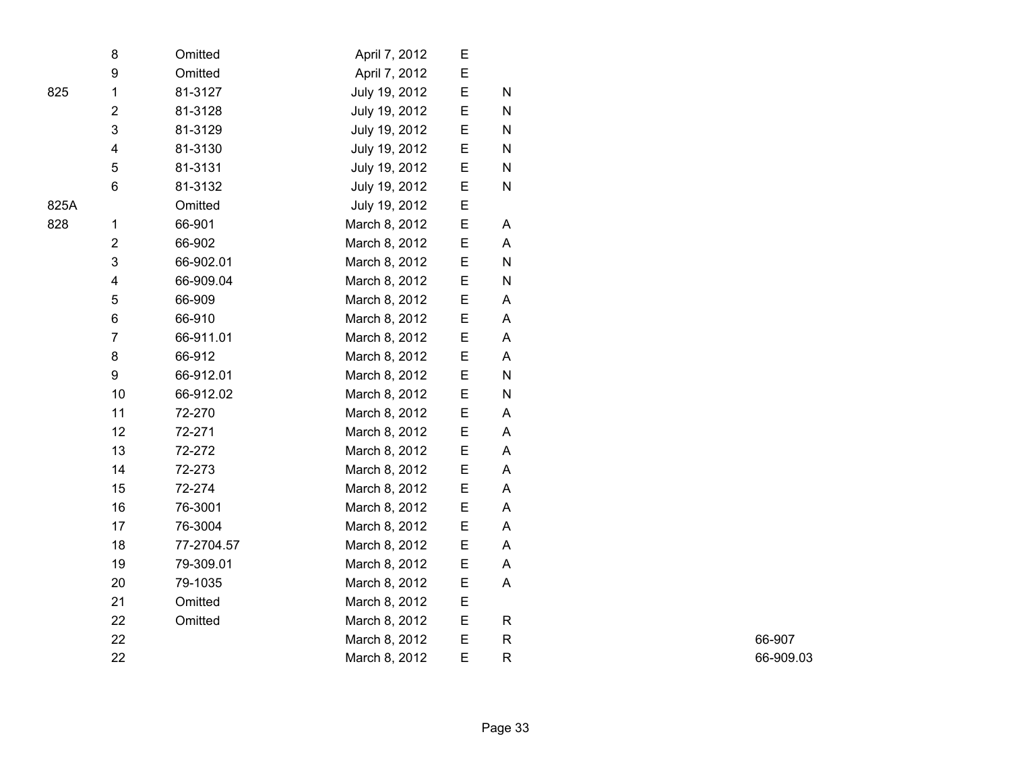|      | 8                       | Omitted    | April 7, 2012 | Е |           |
|------|-------------------------|------------|---------------|---|-----------|
|      | 9                       | Omitted    | April 7, 2012 | E |           |
| 825  | $\mathbf 1$             | 81-3127    | July 19, 2012 | E | N         |
|      | $\overline{2}$          | 81-3128    | July 19, 2012 | E | N         |
|      | 3                       | 81-3129    | July 19, 2012 | E | N         |
|      | $\overline{\mathbf{4}}$ | 81-3130    | July 19, 2012 | E | N         |
|      | 5                       | 81-3131    | July 19, 2012 | E | N         |
|      | 6                       | 81-3132    | July 19, 2012 | E | N         |
| 825A |                         | Omitted    | July 19, 2012 | E |           |
| 828  | 1                       | 66-901     | March 8, 2012 | E | Α         |
|      | $\mathbf 2$             | 66-902     | March 8, 2012 | E | A         |
|      | 3                       | 66-902.01  | March 8, 2012 | E | N         |
|      | $\overline{\mathbf{4}}$ | 66-909.04  | March 8, 2012 | E | ${\sf N}$ |
|      | 5                       | 66-909     | March 8, 2012 | E | A         |
|      | 6                       | 66-910     | March 8, 2012 | E | A         |
|      | $\overline{7}$          | 66-911.01  | March 8, 2012 | E | A         |
|      | 8                       | 66-912     | March 8, 2012 | E | A         |
|      | 9                       | 66-912.01  | March 8, 2012 | E | ${\sf N}$ |
|      | 10                      | 66-912.02  | March 8, 2012 | E | N         |
|      | 11                      | 72-270     | March 8, 2012 | E | A         |
|      | 12                      | 72-271     | March 8, 2012 | E | A         |
|      | 13                      | 72-272     | March 8, 2012 | E | A         |
|      | 14                      | 72-273     | March 8, 2012 | E | A         |
|      | 15                      | 72-274     | March 8, 2012 | E | A         |
|      | 16                      | 76-3001    | March 8, 2012 | E | A         |
|      | 17                      | 76-3004    | March 8, 2012 | E | Α         |
|      | 18                      | 77-2704.57 | March 8, 2012 | E | A         |
|      | 19                      | 79-309.01  | March 8, 2012 | E | Α         |
|      | 20                      | 79-1035    | March 8, 2012 | E | A         |
|      | 21                      | Omitted    | March 8, 2012 | E |           |
|      | 22                      | Omitted    | March 8, 2012 | E | R         |
|      | 22                      |            | March 8, 2012 | E | R         |
|      | 22                      |            | March 8, 2012 | E | R         |

R 66-907 R 66-909.03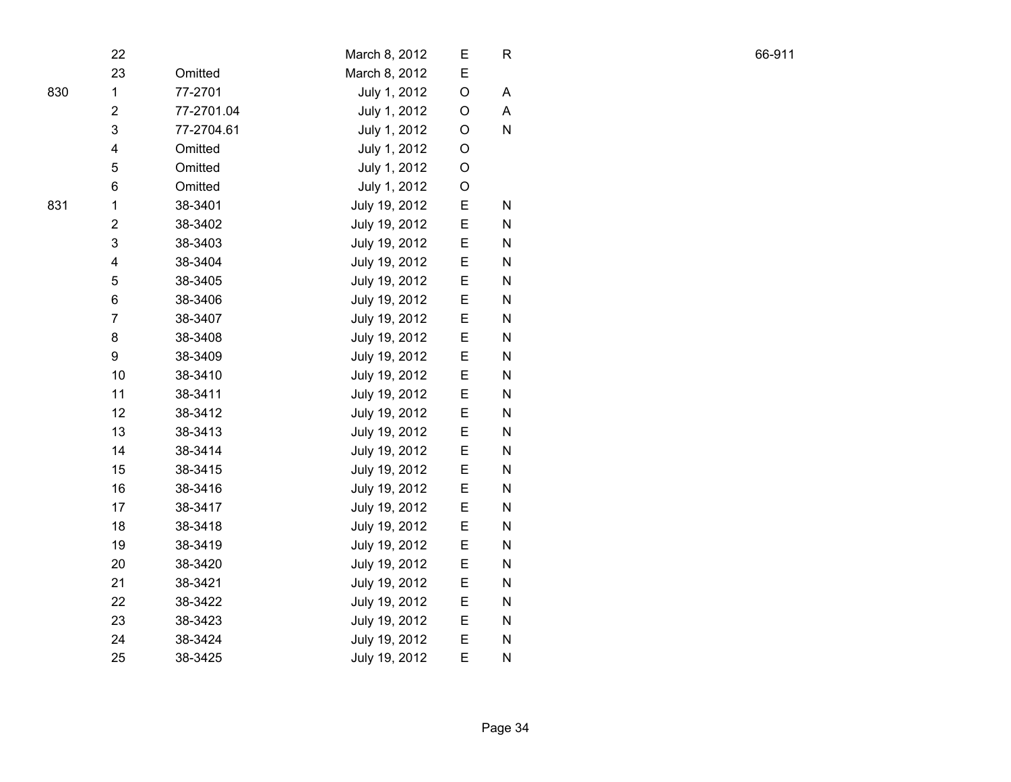|     | 22                      |            | March 8, 2012 | Ε           | R         |  |
|-----|-------------------------|------------|---------------|-------------|-----------|--|
|     | 23                      | Omitted    | March 8, 2012 | E           |           |  |
| 830 | $\mathbf{1}$            | 77-2701    | July 1, 2012  | $\mathsf O$ | A         |  |
|     | $\overline{2}$          | 77-2701.04 | July 1, 2012  | O           | A         |  |
|     | 3                       | 77-2704.61 | July 1, 2012  | O           | N         |  |
|     | 4                       | Omitted    | July 1, 2012  | O           |           |  |
|     | 5                       | Omitted    | July 1, 2012  | $\circ$     |           |  |
|     | 6                       | Omitted    | July 1, 2012  | $\circ$     |           |  |
| 831 | $\mathbf 1$             | 38-3401    | July 19, 2012 | E           | N         |  |
|     | $\overline{\mathbf{c}}$ | 38-3402    | July 19, 2012 | E           | N         |  |
|     | 3                       | 38-3403    | July 19, 2012 | E           | N         |  |
|     | $\overline{\mathbf{4}}$ | 38-3404    | July 19, 2012 | E           | ${\sf N}$ |  |
|     | 5                       | 38-3405    | July 19, 2012 | E           | ${\sf N}$ |  |
|     | 6                       | 38-3406    | July 19, 2012 | E           | N         |  |
|     | $\overline{7}$          | 38-3407    | July 19, 2012 | E           | ${\sf N}$ |  |
|     | 8                       | 38-3408    | July 19, 2012 | E           | ${\sf N}$ |  |
|     | 9                       | 38-3409    | July 19, 2012 | E           | ${\sf N}$ |  |
|     | 10                      | 38-3410    | July 19, 2012 | E           | ${\sf N}$ |  |
|     | 11                      | 38-3411    | July 19, 2012 | E           | ${\sf N}$ |  |
|     | 12                      | 38-3412    | July 19, 2012 | E           | ${\sf N}$ |  |
|     | 13                      | 38-3413    | July 19, 2012 | E           | N         |  |
|     | 14                      | 38-3414    | July 19, 2012 | E           | N         |  |
|     | 15                      | 38-3415    | July 19, 2012 | E           | N         |  |
|     | 16                      | 38-3416    | July 19, 2012 | E           | N         |  |
|     | 17                      | 38-3417    | July 19, 2012 | E           | N         |  |
|     | 18                      | 38-3418    | July 19, 2012 | E           | ${\sf N}$ |  |
|     | 19                      | 38-3419    | July 19, 2012 | E           | ${\sf N}$ |  |
|     | 20                      | 38-3420    | July 19, 2012 | E           | ${\sf N}$ |  |
|     | 21                      | 38-3421    | July 19, 2012 | E           | ${\sf N}$ |  |
|     | 22                      | 38-3422    | July 19, 2012 | E           | ${\sf N}$ |  |
|     | 23                      | 38-3423    | July 19, 2012 | E           | N         |  |
|     | 24                      | 38-3424    | July 19, 2012 | E           | N         |  |
|     | 25                      | 38-3425    | July 19, 2012 | E           | ${\sf N}$ |  |

R 66-911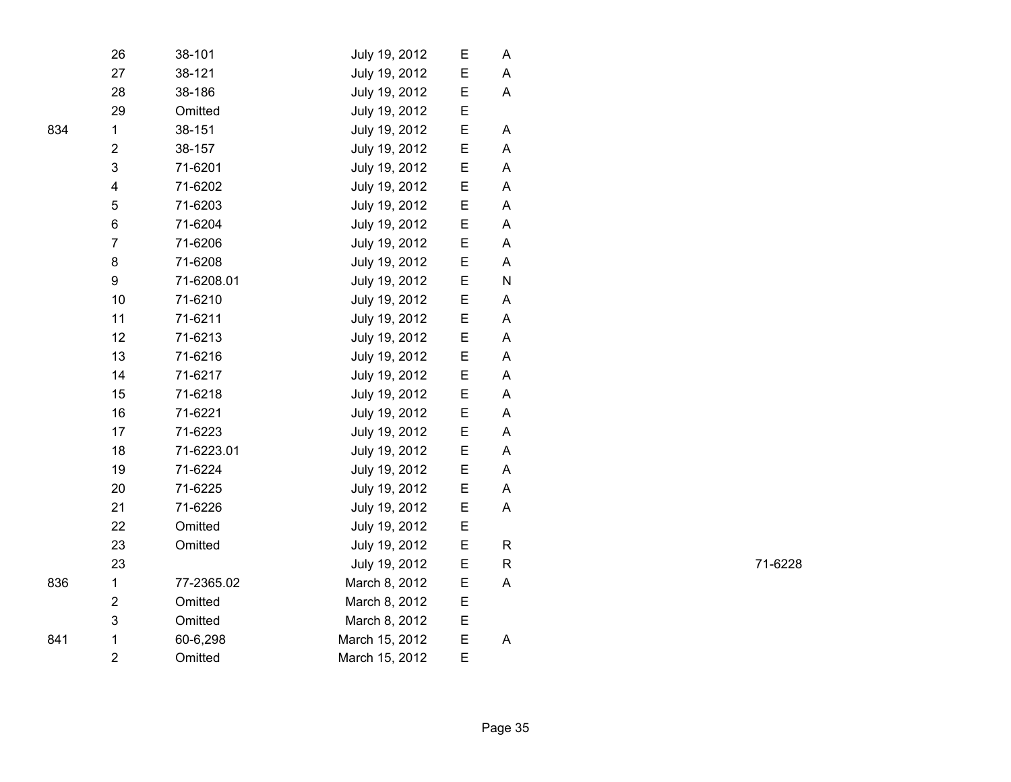| 26                      | 38-101     | July 19, 2012  | E | A |
|-------------------------|------------|----------------|---|---|
| 27                      | 38-121     | July 19, 2012  | E | Α |
| 28                      | 38-186     | July 19, 2012  | Е | A |
| 29                      | Omitted    | July 19, 2012  | E |   |
| $\mathbf 1$             | 38-151     | July 19, 2012  | E | A |
| $\overline{\mathbf{c}}$ | 38-157     | July 19, 2012  | E | A |
| 3                       | 71-6201    | July 19, 2012  | E | A |
| 4                       | 71-6202    | July 19, 2012  | E | A |
| 5                       | 71-6203    | July 19, 2012  | E | Α |
| 6                       | 71-6204    | July 19, 2012  | E | Α |
| $\overline{7}$          | 71-6206    | July 19, 2012  | E | A |
| 8                       | 71-6208    | July 19, 2012  | E | A |
| 9                       | 71-6208.01 | July 19, 2012  | E | N |
| 10                      | 71-6210    | July 19, 2012  | E | A |
| 11                      | 71-6211    | July 19, 2012  | E | A |
| 12                      | 71-6213    | July 19, 2012  | E | A |
| 13                      | 71-6216    | July 19, 2012  | E | A |
| 14                      | 71-6217    | July 19, 2012  | E | A |
| 15                      | 71-6218    | July 19, 2012  | E | A |
| 16                      | 71-6221    | July 19, 2012  | E | Α |
| 17                      | 71-6223    | July 19, 2012  | E | A |
| 18                      | 71-6223.01 | July 19, 2012  | E | A |
| 19                      | 71-6224    | July 19, 2012  | E | A |
| 20                      | 71-6225    | July 19, 2012  | E | A |
| 21                      | 71-6226    | July 19, 2012  | Е | A |
| 22                      | Omitted    | July 19, 2012  | E |   |
| 23                      | Omitted    | July 19, 2012  | E | R |
| 23                      |            | July 19, 2012  | E | R |
| $\mathbf 1$             | 77-2365.02 | March 8, 2012  | E | A |
| $\overline{\mathbf{c}}$ | Omitted    | March 8, 2012  | E |   |
| 3                       | Omitted    | March 8, 2012  | E |   |
| $\mathbf{1}$            | 60-6,298   | March 15, 2012 | E | A |
| $\overline{2}$          | Omitted    | March 15, 2012 | E |   |
|                         |            |                |   |   |

R 71-6228

834

836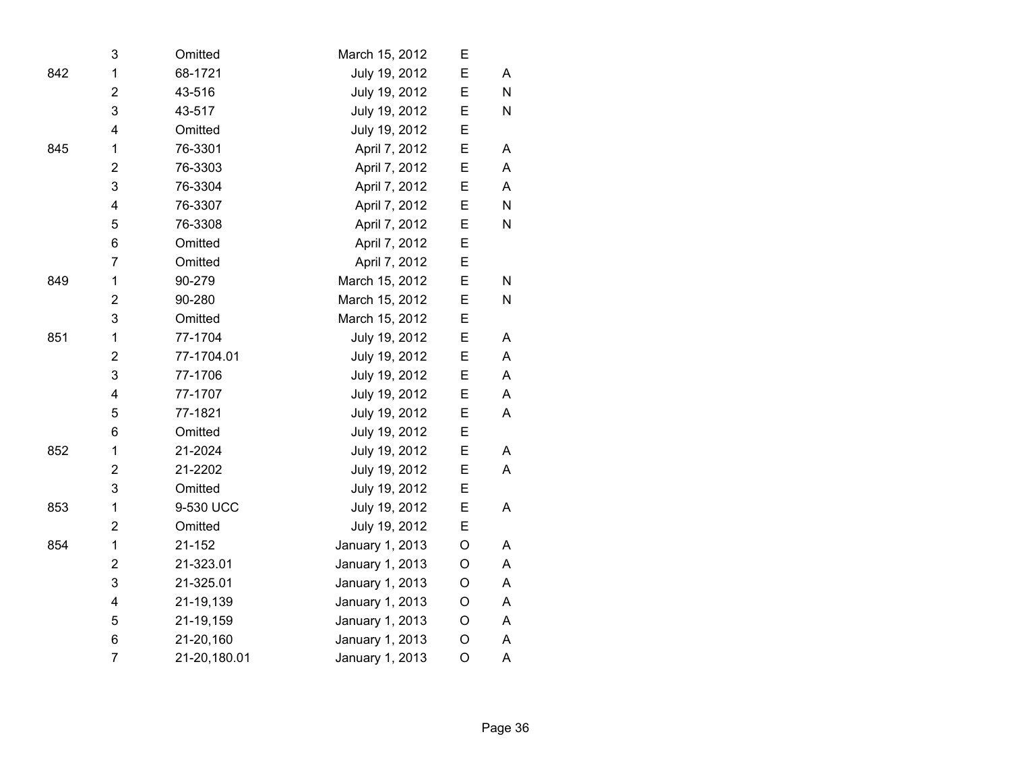|     | 3                       | Omitted      | March 15, 2012  | Е |              |
|-----|-------------------------|--------------|-----------------|---|--------------|
| 842 | 1                       | 68-1721      | July 19, 2012   | E | A            |
|     | $\overline{2}$          | 43-516       | July 19, 2012   | Ε | $\mathsf{N}$ |
|     | 3                       | 43-517       | July 19, 2012   | E | N            |
|     | 4                       | Omitted      | July 19, 2012   | E |              |
| 845 | 1                       | 76-3301      | April 7, 2012   | E | Α            |
|     | $\overline{2}$          | 76-3303      | April 7, 2012   | E | A            |
|     | 3                       | 76-3304      | April 7, 2012   | E | A            |
|     | 4                       | 76-3307      | April 7, 2012   | E | N            |
|     | 5                       | 76-3308      | April 7, 2012   | E | ${\sf N}$    |
|     | 6                       | Omitted      | April 7, 2012   | E |              |
|     | $\overline{7}$          | Omitted      | April 7, 2012   | Е |              |
| 849 | 1                       | 90-279       | March 15, 2012  | E | ${\sf N}$    |
|     | $\overline{2}$          | 90-280       | March 15, 2012  | E | N            |
|     | 3                       | Omitted      | March 15, 2012  | E |              |
| 851 | 1                       | 77-1704      | July 19, 2012   | E | A            |
|     | $\overline{2}$          | 77-1704.01   | July 19, 2012   | E | A            |
|     | 3                       | 77-1706      | July 19, 2012   | E | A            |
|     | $\overline{\mathbf{4}}$ | 77-1707      | July 19, 2012   | E | A            |
|     | 5                       | 77-1821      | July 19, 2012   | E | A            |
|     | 6                       | Omitted      | July 19, 2012   | E |              |
| 852 | 1                       | 21-2024      | July 19, 2012   | E | A            |
|     | $\overline{2}$          | 21-2202      | July 19, 2012   | E | A            |
|     | 3                       | Omitted      | July 19, 2012   | E |              |
| 853 | $\mathbf{1}$            | 9-530 UCC    | July 19, 2012   | Е | A            |
|     | $\overline{2}$          | Omitted      | July 19, 2012   | E |              |
| 854 | 1                       | 21-152       | January 1, 2013 | O | A            |
|     | $\overline{2}$          | 21-323.01    | January 1, 2013 | O | A            |
|     | 3                       | 21-325.01    | January 1, 2013 | O | A            |
|     | $\overline{\mathbf{4}}$ | 21-19,139    | January 1, 2013 | O | A            |
|     | 5                       | 21-19,159    | January 1, 2013 | O | A            |
|     | 6                       | 21-20,160    | January 1, 2013 | O | A            |
|     | $\overline{7}$          | 21-20,180.01 | January 1, 2013 | O | A            |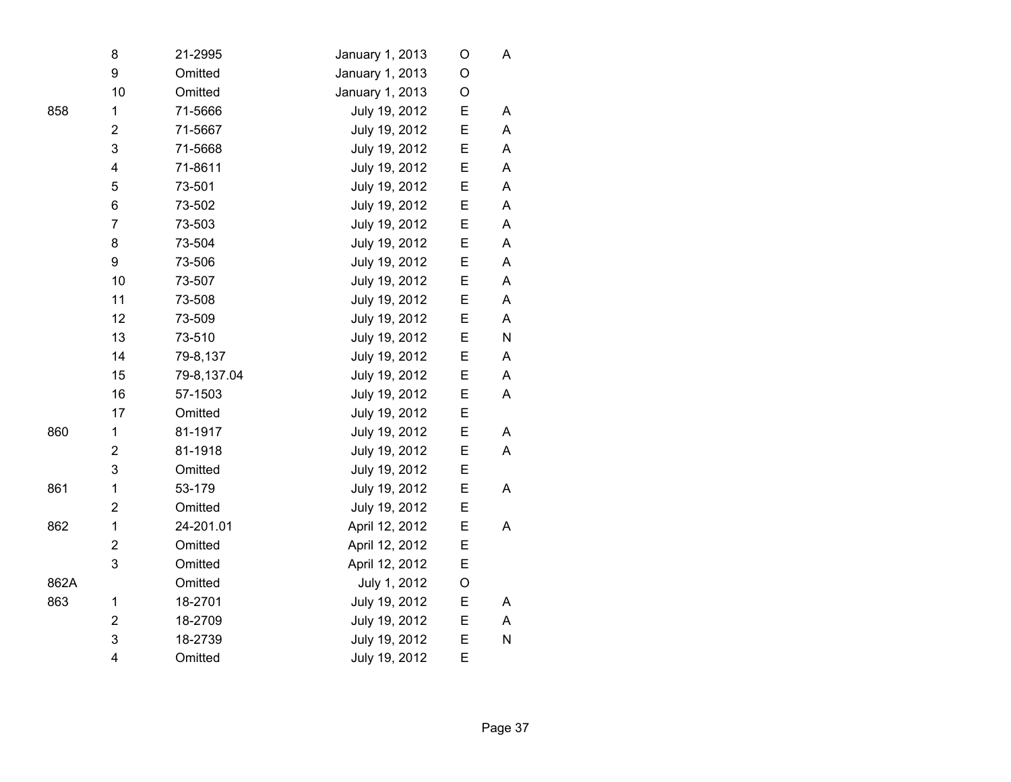|      | 8                       | 21-2995     | January 1, 2013 | O | А           |
|------|-------------------------|-------------|-----------------|---|-------------|
|      | 9                       | Omitted     | January 1, 2013 | O |             |
|      | 10                      | Omitted     | January 1, 2013 | O |             |
| 858  | 1                       | 71-5666     | July 19, 2012   | E | A           |
|      | $\overline{2}$          | 71-5667     | July 19, 2012   | Ε | A           |
|      | 3                       | 71-5668     | July 19, 2012   | E | A           |
|      | $\overline{\mathbf{4}}$ | 71-8611     | July 19, 2012   | E | A           |
|      | 5                       | 73-501      | July 19, 2012   | E | A           |
|      | 6                       | 73-502      | July 19, 2012   | E | A           |
|      | $\overline{7}$          | 73-503      | July 19, 2012   | E | $\mathsf A$ |
|      | 8                       | 73-504      | July 19, 2012   | E | A           |
|      | 9                       | 73-506      | July 19, 2012   | Ε | A           |
|      | 10                      | 73-507      | July 19, 2012   | E | A           |
|      | 11                      | 73-508      | July 19, 2012   | E | A           |
|      | 12                      | 73-509      | July 19, 2012   | E | A           |
|      | 13                      | 73-510      | July 19, 2012   | E | ${\sf N}$   |
|      | 14                      | 79-8,137    | July 19, 2012   | Ε | A           |
|      | 15                      | 79-8,137.04 | July 19, 2012   | E | A           |
|      | 16                      | 57-1503     | July 19, 2012   | E | A           |
|      | 17                      | Omitted     | July 19, 2012   | E |             |
| 860  | 1                       | 81-1917     | July 19, 2012   | E | Α           |
|      | $\overline{c}$          | 81-1918     | July 19, 2012   | E | Α           |
|      | 3                       | Omitted     | July 19, 2012   | E |             |
| 861  | 1                       | 53-179      | July 19, 2012   | Ε | A           |
|      | $\overline{c}$          | Omitted     | July 19, 2012   | E |             |
| 862  | $\mathbf 1$             | 24-201.01   | April 12, 2012  | E | A           |
|      | $\overline{c}$          | Omitted     | April 12, 2012  | E |             |
|      | $\mathbf{3}$            | Omitted     | April 12, 2012  | E |             |
| 862A |                         | Omitted     | July 1, 2012    | O |             |
| 863  | 1                       | 18-2701     | July 19, 2012   | E | A           |
|      | $\overline{c}$          | 18-2709     | July 19, 2012   | E | A           |
|      | 3                       | 18-2739     | July 19, 2012   | E | N           |
|      | $\overline{4}$          | Omitted     | July 19, 2012   | E |             |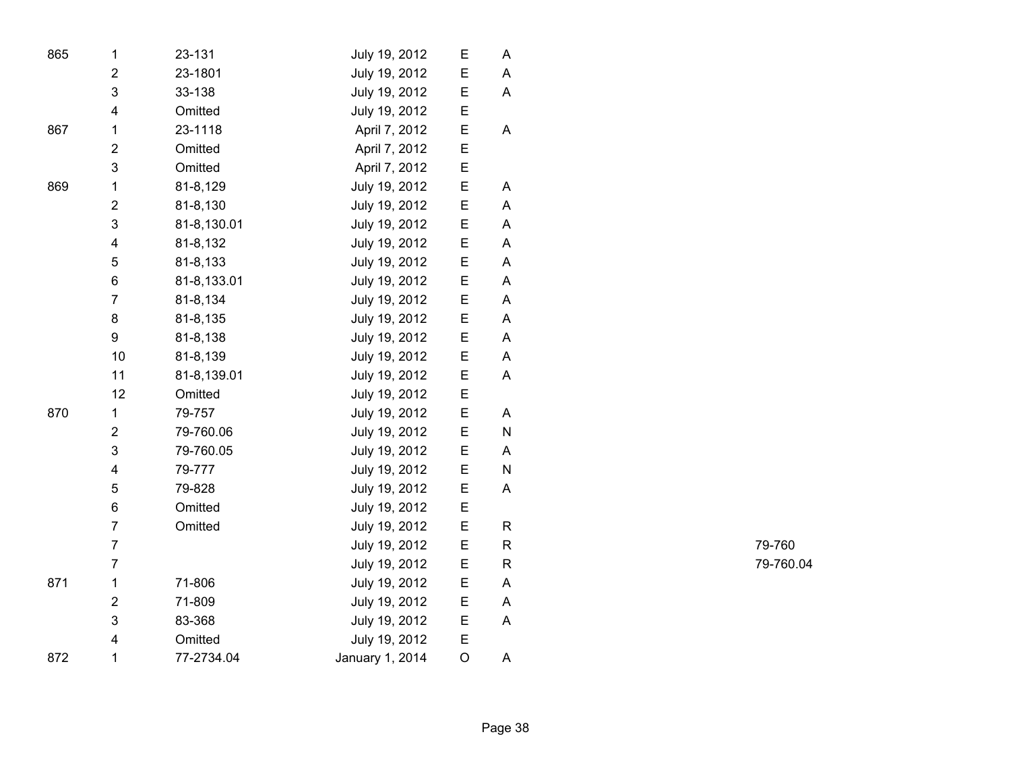| 865 | 1                       | 23-131      | July 19, 2012   | E       | A |
|-----|-------------------------|-------------|-----------------|---------|---|
|     | $\mathbf 2$             | 23-1801     | July 19, 2012   | E       | Α |
|     | 3                       | 33-138      | July 19, 2012   | Ε       | Α |
|     | $\overline{\mathbf{4}}$ | Omitted     | July 19, 2012   | E       |   |
| 867 | $\mathbf 1$             | 23-1118     | April 7, 2012   | E       | A |
|     | $\overline{2}$          | Omitted     | April 7, 2012   | E       |   |
|     | 3                       | Omitted     | April 7, 2012   | E       |   |
| 869 | $\mathbf 1$             | 81-8,129    | July 19, 2012   | E       | A |
|     | $\overline{2}$          | 81-8,130    | July 19, 2012   | E       | Α |
|     | 3                       | 81-8,130.01 | July 19, 2012   | E       | Α |
|     | $\overline{\mathbf{4}}$ | 81-8,132    | July 19, 2012   | E       | Α |
|     | 5                       | 81-8,133    | July 19, 2012   | E       | Α |
|     | 6                       | 81-8,133.01 | July 19, 2012   | Ε       | A |
|     | $\overline{7}$          | 81-8,134    | July 19, 2012   | E       | A |
|     | 8                       | 81-8,135    | July 19, 2012   | E       | A |
|     | 9                       | 81-8,138    | July 19, 2012   | Ε       | A |
|     | 10                      | 81-8,139    | July 19, 2012   | E       | Α |
|     | 11                      | 81-8,139.01 | July 19, 2012   | E       | Α |
|     | 12                      | Omitted     | July 19, 2012   | E       |   |
| 870 | $\mathbf 1$             | 79-757      | July 19, 2012   | E       | Α |
|     | $\overline{2}$          | 79-760.06   | July 19, 2012   | E       | N |
|     | 3                       | 79-760.05   | July 19, 2012   | E       | A |
|     | $\overline{\mathbf{4}}$ | 79-777      | July 19, 2012   | E       | N |
|     | 5                       | 79-828      | July 19, 2012   | E       | Α |
|     | 6                       | Omitted     | July 19, 2012   | E       |   |
|     | $\overline{7}$          | Omitted     | July 19, 2012   | E       | R |
|     | $\overline{7}$          |             | July 19, 2012   | E       | R |
|     | $\overline{7}$          |             | July 19, 2012   | E       | R |
| 871 | $\mathbf 1$             | 71-806      | July 19, 2012   | E       | A |
|     | $\overline{2}$          | 71-809      | July 19, 2012   | E       | Α |
|     | 3                       | 83-368      | July 19, 2012   | E       | Α |
|     | $\overline{\mathbf{4}}$ | Omitted     | July 19, 2012   | E       |   |
| 872 | 1                       | 77-2734.04  | January 1, 2014 | $\circ$ | Α |

R 79-760 R 79-760.04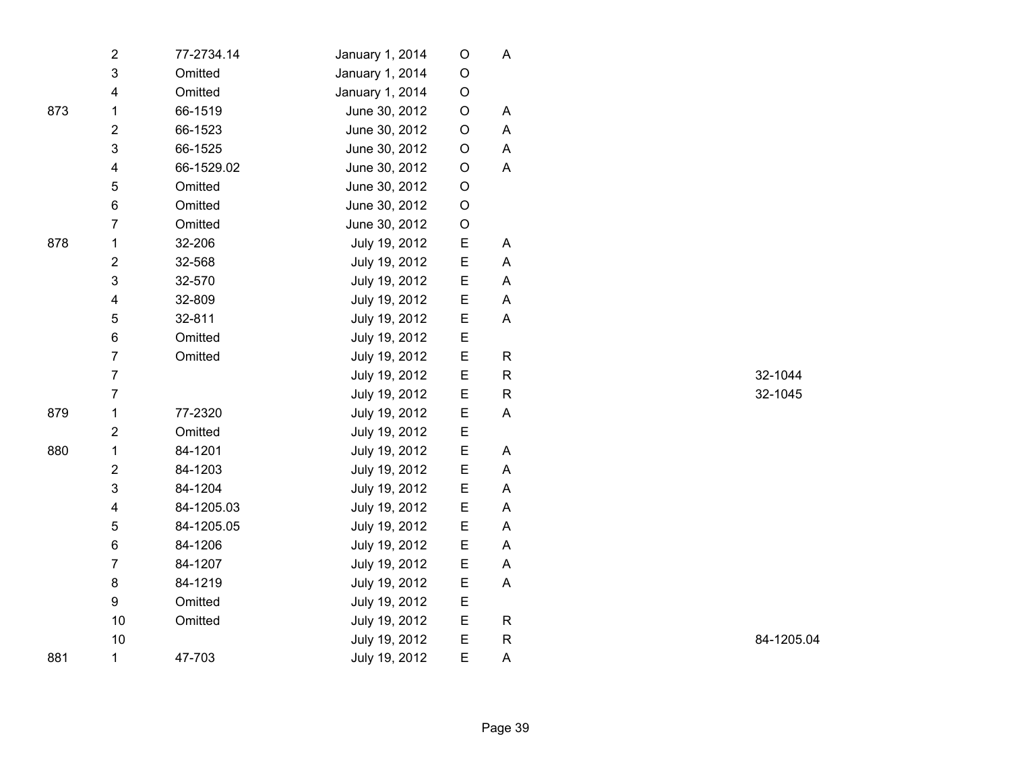|     | $\overline{\mathbf{c}}$ | 77-2734.14 | January 1, 2014 | O           | A            |
|-----|-------------------------|------------|-----------------|-------------|--------------|
|     | 3                       | Omitted    | January 1, 2014 | O           |              |
|     | 4                       | Omitted    | January 1, 2014 | $\mathsf O$ |              |
| 873 | $\mathbf{1}$            | 66-1519    | June 30, 2012   | $\mathsf O$ | A            |
|     | $\overline{2}$          | 66-1523    | June 30, 2012   | O           | A            |
|     | 3                       | 66-1525    | June 30, 2012   | O           | A            |
|     | $\overline{\mathbf{4}}$ | 66-1529.02 | June 30, 2012   | $\mathsf O$ | A            |
|     | 5                       | Omitted    | June 30, 2012   | O           |              |
|     | 6                       | Omitted    | June 30, 2012   | O           |              |
|     | $\overline{7}$          | Omitted    | June 30, 2012   | O           |              |
| 878 | $\mathbf 1$             | 32-206     | July 19, 2012   | Е           | A            |
|     | $\overline{\mathbf{c}}$ | 32-568     | July 19, 2012   | Е           | A            |
|     | 3                       | 32-570     | July 19, 2012   | Е           | A            |
|     | 4                       | 32-809     | July 19, 2012   | Ε           | A            |
|     | 5                       | 32-811     | July 19, 2012   | E           | A            |
|     | 6                       | Omitted    | July 19, 2012   | E           |              |
|     | $\overline{7}$          | Omitted    | July 19, 2012   | E           | R            |
|     | $\overline{7}$          |            | July 19, 2012   | E           | R            |
|     | $\overline{7}$          |            | July 19, 2012   | E           | R            |
| 879 | $\mathbf 1$             | 77-2320    | July 19, 2012   | Е           | A            |
|     | $\overline{\mathbf{c}}$ | Omitted    | July 19, 2012   | E           |              |
| 880 | 1                       | 84-1201    | July 19, 2012   | Ε           | Α            |
|     | $\overline{2}$          | 84-1203    | July 19, 2012   | E           | A            |
|     | $\mathsf 3$             | 84-1204    | July 19, 2012   | Е           | A            |
|     | $\overline{\mathbf{4}}$ | 84-1205.03 | July 19, 2012   | Ε           | A            |
|     | 5                       | 84-1205.05 | July 19, 2012   | Е           | A            |
|     | 6                       | 84-1206    | July 19, 2012   | E           | A            |
|     | $\overline{7}$          | 84-1207    | July 19, 2012   | E           | A            |
|     | 8                       | 84-1219    | July 19, 2012   | Ε           | A            |
|     | 9                       | Omitted    | July 19, 2012   | E           |              |
|     | 10                      | Omitted    | July 19, 2012   | E           | $\mathsf{R}$ |
|     | 10                      |            | July 19, 2012   | E           | R            |
| 881 | 1                       | 47-703     | July 19, 2012   | E           | A            |

R 32-1044 R 32-1045

R 84-1205.04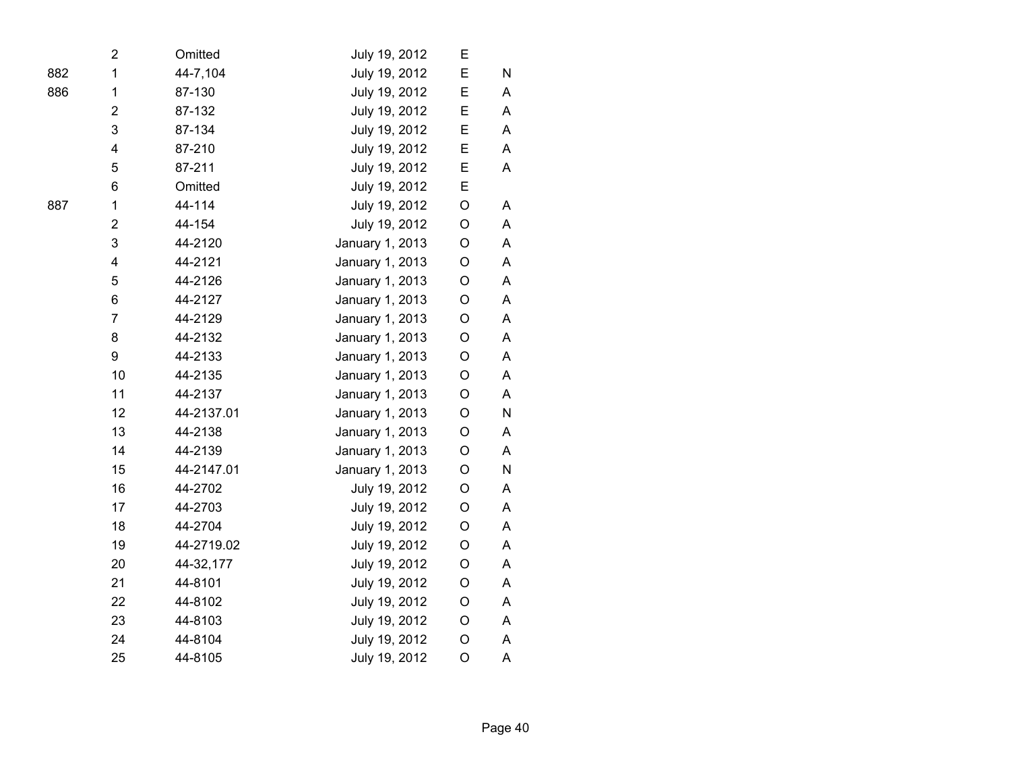|     | $\overline{2}$          | Omitted    | July 19, 2012   | Е           |   |  |
|-----|-------------------------|------------|-----------------|-------------|---|--|
| 882 | 1                       | 44-7,104   | July 19, 2012   | E           | N |  |
| 886 | 1                       | 87-130     | July 19, 2012   | E           | A |  |
|     | $\overline{2}$          | 87-132     | July 19, 2012   | E           | A |  |
|     | 3                       | 87-134     | July 19, 2012   | E           | A |  |
|     | $\overline{\mathbf{4}}$ | 87-210     | July 19, 2012   | E           | Α |  |
|     | 5                       | 87-211     | July 19, 2012   | E           | A |  |
|     | 6                       | Omitted    | July 19, 2012   | E           |   |  |
| 887 | $\mathbf 1$             | 44-114     | July 19, 2012   | $\mathsf O$ | Α |  |
|     | $\overline{2}$          | 44-154     | July 19, 2012   | O           | A |  |
|     | 3                       | 44-2120    | January 1, 2013 | $\mathsf O$ | A |  |
|     | $\overline{\mathbf{4}}$ | 44-2121    | January 1, 2013 | $\mathsf O$ | A |  |
|     | 5                       | 44-2126    | January 1, 2013 | O           | Α |  |
|     | 6                       | 44-2127    | January 1, 2013 | O           | A |  |
|     | $\overline{7}$          | 44-2129    | January 1, 2013 | O           | A |  |
|     | 8                       | 44-2132    | January 1, 2013 | O           | A |  |
|     | 9                       | 44-2133    | January 1, 2013 | $\mathsf O$ | A |  |
|     | 10                      | 44-2135    | January 1, 2013 | $\mathsf O$ | A |  |
|     | 11                      | 44-2137    | January 1, 2013 | $\mathsf O$ | A |  |
|     | 12                      | 44-2137.01 | January 1, 2013 | O           | N |  |
|     | 13                      | 44-2138    | January 1, 2013 | O           | A |  |
|     | 14                      | 44-2139    | January 1, 2013 | O           | A |  |
|     | 15                      | 44-2147.01 | January 1, 2013 | $\mathsf O$ | N |  |
|     | 16                      | 44-2702    | July 19, 2012   | $\mathsf O$ | A |  |
|     | 17                      | 44-2703    | July 19, 2012   | $\mathsf O$ | A |  |
|     | 18                      | 44-2704    | July 19, 2012   | $\mathsf O$ | A |  |
|     | 19                      | 44-2719.02 | July 19, 2012   | O           | A |  |
|     | 20                      | 44-32,177  | July 19, 2012   | O           | A |  |
|     | 21                      | 44-8101    | July 19, 2012   | O           | A |  |
|     | 22                      | 44-8102    | July 19, 2012   | O           | Α |  |
|     | 23                      | 44-8103    | July 19, 2012   | O           | A |  |
|     | 24                      | 44-8104    | July 19, 2012   | $\mathsf O$ | A |  |
|     | 25                      | 44-8105    | July 19, 2012   | $\bigcirc$  | A |  |
|     |                         |            |                 |             |   |  |

Page 40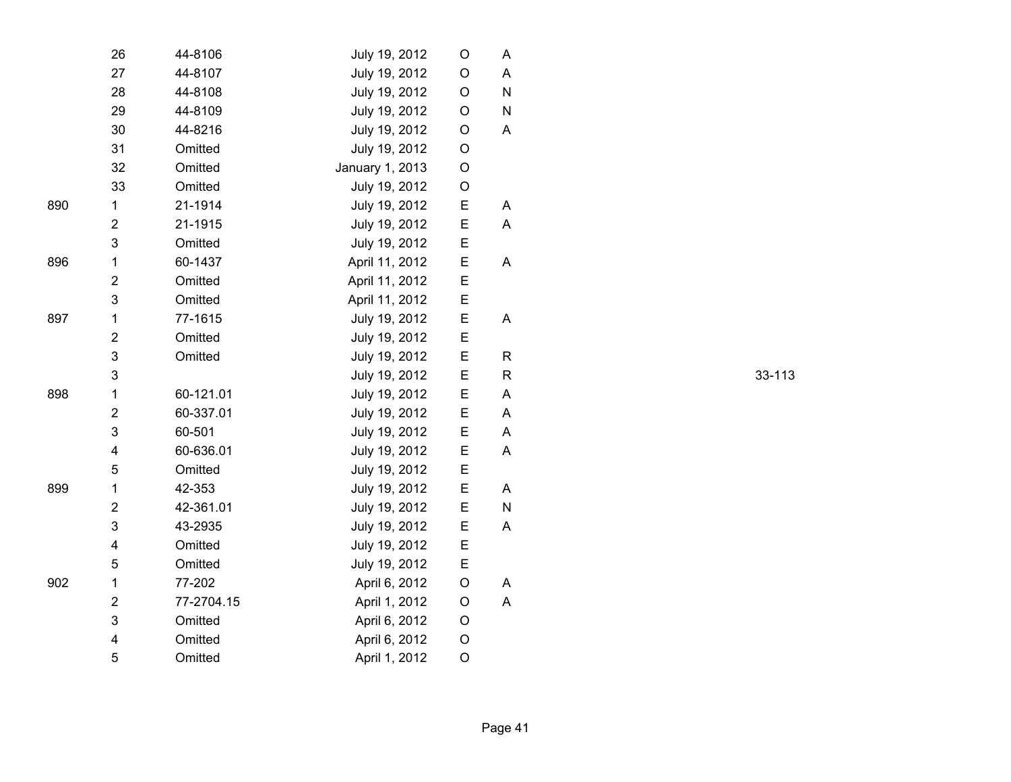|     | 26                      | 44-8106    | July 19, 2012   | O           | A            |
|-----|-------------------------|------------|-----------------|-------------|--------------|
|     | 27                      | 44-8107    | July 19, 2012   | O           | A            |
|     | 28                      | 44-8108    | July 19, 2012   | O           | N            |
|     | 29                      | 44-8109    | July 19, 2012   | O           | N            |
|     | 30                      | 44-8216    | July 19, 2012   | O           | A            |
|     | 31                      | Omitted    | July 19, 2012   | O           |              |
|     | 32                      | Omitted    | January 1, 2013 | $\mathsf O$ |              |
|     | 33                      | Omitted    | July 19, 2012   | O           |              |
| 890 | $\mathbf{1}$            | 21-1914    | July 19, 2012   | Е           | A            |
|     | $\overline{2}$          | 21-1915    | July 19, 2012   | Е           | A            |
|     | 3                       | Omitted    | July 19, 2012   | Е           |              |
| 896 | $\mathbf 1$             | 60-1437    | April 11, 2012  | Е           | A            |
|     | $\overline{2}$          | Omitted    | April 11, 2012  | E           |              |
|     | 3                       | Omitted    | April 11, 2012  | Е           |              |
| 897 | 1                       | 77-1615    | July 19, 2012   | Е           | A            |
|     | $\overline{2}$          | Omitted    | July 19, 2012   | E           |              |
|     | 3                       | Omitted    | July 19, 2012   | E           | R            |
|     | 3                       |            | July 19, 2012   | E           | $\mathsf{R}$ |
| 898 | 1                       | 60-121.01  | July 19, 2012   | E           | A            |
|     | $\overline{2}$          | 60-337.01  | July 19, 2012   | E           | A            |
|     | 3                       | 60-501     | July 19, 2012   | E           | A            |
|     | 4                       | 60-636.01  | July 19, 2012   | Е           | A            |
|     | 5                       | Omitted    | July 19, 2012   | E           |              |
| 899 | 1                       | 42-353     | July 19, 2012   | E           | A            |
|     | 2                       | 42-361.01  | July 19, 2012   | Е           | N            |
|     | 3                       | 43-2935    | July 19, 2012   | Е           | A            |
|     | $\overline{\mathbf{4}}$ | Omitted    | July 19, 2012   | E           |              |
|     | 5                       | Omitted    | July 19, 2012   | E           |              |
| 902 | 1                       | 77-202     | April 6, 2012   | O           | A            |
|     | $\overline{\mathbf{c}}$ | 77-2704.15 | April 1, 2012   | $\mathsf O$ | A            |
|     | 3                       | Omitted    | April 6, 2012   | O           |              |
|     | 4                       | Omitted    | April 6, 2012   | O           |              |
|     | 5                       | Omitted    | April 1, 2012   | O           |              |

R 33-113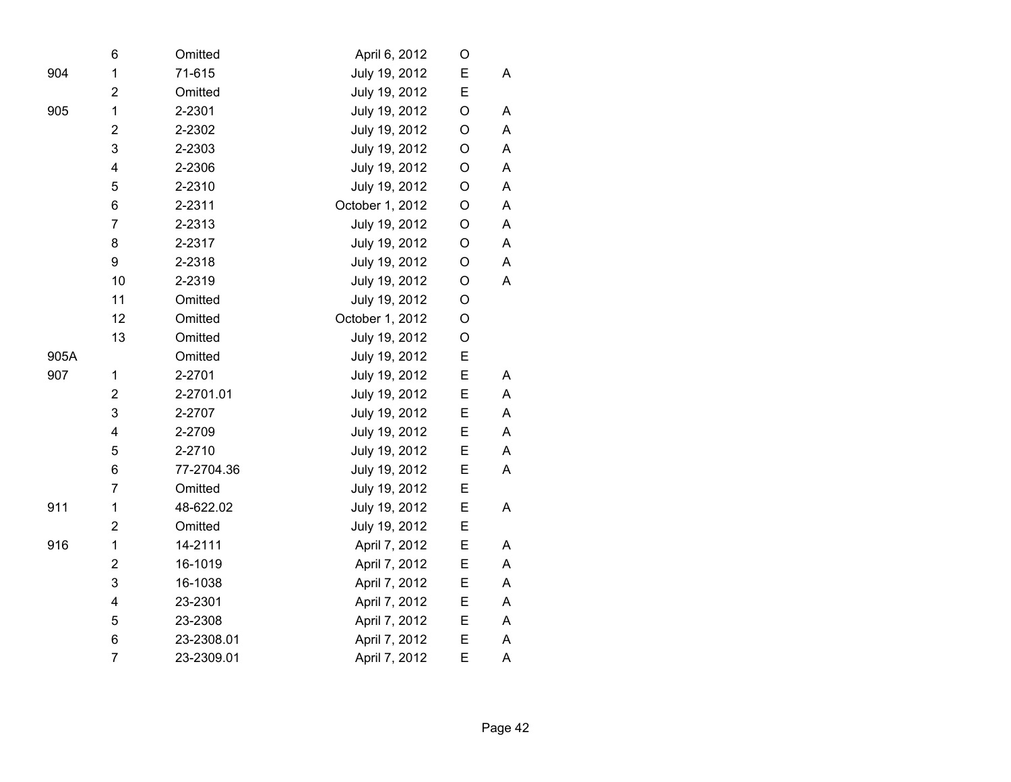|      | 6              | Omitted    | April 6, 2012   | O           |   |
|------|----------------|------------|-----------------|-------------|---|
| 904  | $\mathbf 1$    | 71-615     | July 19, 2012   | Е           | A |
|      | $\overline{2}$ | Omitted    | July 19, 2012   | E           |   |
| 905  | 1              | 2-2301     | July 19, 2012   | O           | A |
|      | $\overline{2}$ | 2-2302     | July 19, 2012   | O           | A |
|      | 3              | 2-2303     | July 19, 2012   | O           | Α |
|      | 4              | 2-2306     | July 19, 2012   | O           | A |
|      | 5              | 2-2310     | July 19, 2012   | $\mathsf O$ | A |
|      | 6              | 2-2311     | October 1, 2012 | O           | A |
|      | $\overline{7}$ | 2-2313     | July 19, 2012   | O           | Α |
|      | 8              | 2-2317     | July 19, 2012   | $\mathsf O$ | A |
|      | 9              | 2-2318     | July 19, 2012   | O           | A |
|      | 10             | 2-2319     | July 19, 2012   | O           | A |
|      | 11             | Omitted    | July 19, 2012   | O           |   |
|      | 12             | Omitted    | October 1, 2012 | $\mathsf O$ |   |
|      | 13             | Omitted    | July 19, 2012   | O           |   |
| 905A |                | Omitted    | July 19, 2012   | E           |   |
| 907  | 1              | 2-2701     | July 19, 2012   | E           | A |
|      | $\overline{2}$ | 2-2701.01  | July 19, 2012   | E           | A |
|      | 3              | 2-2707     | July 19, 2012   | E           | Α |
|      | 4              | 2-2709     | July 19, 2012   | E           | A |
|      | 5              | 2-2710     | July 19, 2012   | E           | A |
|      | 6              | 77-2704.36 | July 19, 2012   | E           | A |
|      | $\overline{7}$ | Omitted    | July 19, 2012   | E           |   |
| 911  | 1              | 48-622.02  | July 19, 2012   | E           | A |
|      | $\overline{2}$ | Omitted    | July 19, 2012   | E           |   |
| 916  | $\mathbf 1$    | 14-2111    | April 7, 2012   | E           | A |
|      | $\overline{2}$ | 16-1019    | April 7, 2012   | E           | A |
|      | 3              | 16-1038    | April 7, 2012   | E           | A |
|      | 4              | 23-2301    | April 7, 2012   | Е           | A |
|      | 5              | 23-2308    | April 7, 2012   | E           | A |
|      | 6              | 23-2308.01 | April 7, 2012   | Е           | A |
|      | $\overline{7}$ | 23-2309.01 | April 7, 2012   | E           | A |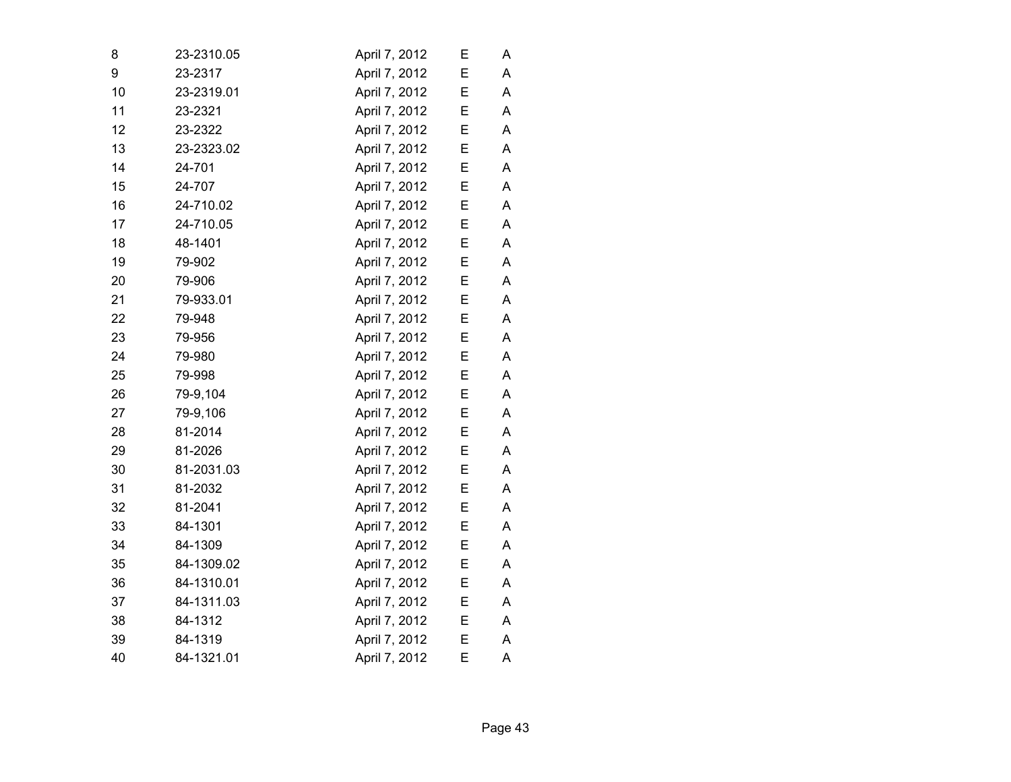| 8  | 23-2310.05 | April 7, 2012 | Е | А |
|----|------------|---------------|---|---|
| 9  | 23-2317    | April 7, 2012 | E | A |
| 10 | 23-2319.01 | April 7, 2012 | Е | A |
| 11 | 23-2321    | April 7, 2012 | E | Α |
| 12 | 23-2322    | April 7, 2012 | Е | A |
| 13 | 23-2323.02 | April 7, 2012 | E | A |
| 14 | 24-701     | April 7, 2012 | E | A |
| 15 | 24-707     | April 7, 2012 | E | A |
| 16 | 24-710.02  | April 7, 2012 | Ε | A |
| 17 | 24-710.05  | April 7, 2012 | Е | Α |
| 18 | 48-1401    | April 7, 2012 | E | A |
| 19 | 79-902     | April 7, 2012 | E | А |
| 20 | 79-906     | April 7, 2012 | E | A |
| 21 | 79-933.01  | April 7, 2012 | E | A |
| 22 | 79-948     | April 7, 2012 | E | A |
| 23 | 79-956     | April 7, 2012 | E | Α |
| 24 | 79-980     | April 7, 2012 | Е | A |
| 25 | 79-998     | April 7, 2012 | Ε | A |
| 26 | 79-9,104   | April 7, 2012 | E | Α |
| 27 | 79-9,106   | April 7, 2012 | E | Α |
| 28 | 81-2014    | April 7, 2012 | Ε | А |
| 29 | 81-2026    | April 7, 2012 | E | A |
| 30 | 81-2031.03 | April 7, 2012 | Е | А |
| 31 | 81-2032    | April 7, 2012 | E | Α |
| 32 | 81-2041    | April 7, 2012 | E | A |
| 33 | 84-1301    | April 7, 2012 | E | A |
| 34 | 84-1309    | April 7, 2012 | E | A |
| 35 | 84-1309.02 | April 7, 2012 | E | Α |
| 36 | 84-1310.01 | April 7, 2012 | E | A |
| 37 | 84-1311.03 | April 7, 2012 | E | Α |
| 38 | 84-1312    | April 7, 2012 | Ε | Α |
| 39 | 84-1319    | April 7, 2012 | E | A |
| 40 | 84-1321.01 | April 7, 2012 | E | A |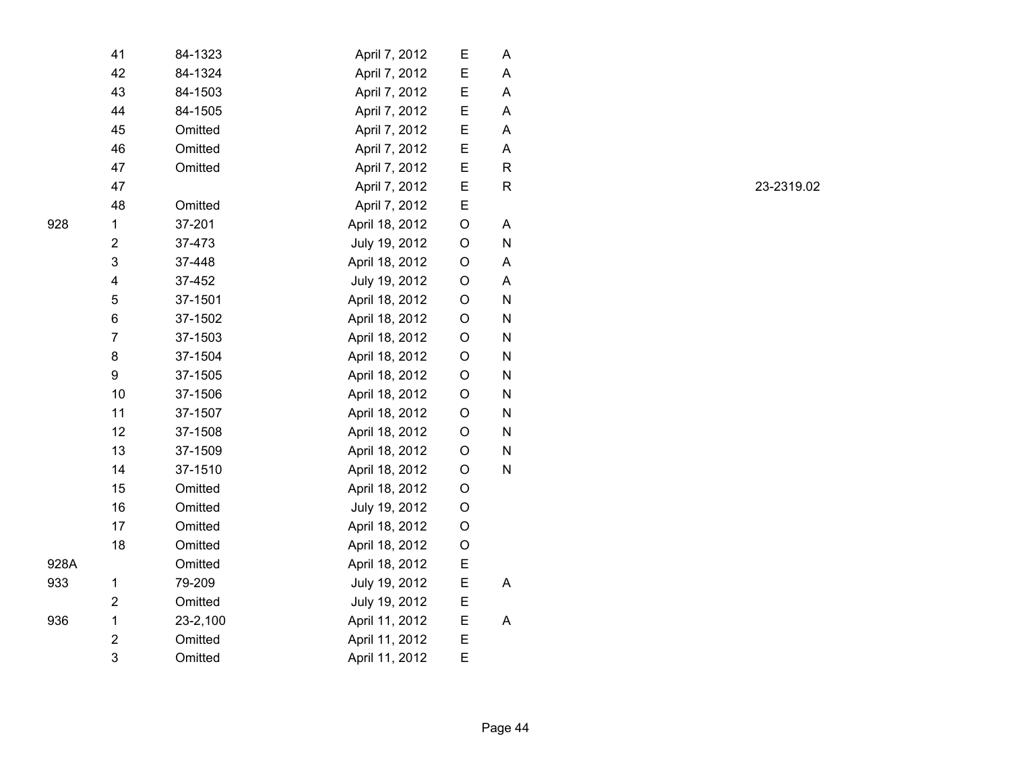|      | 41                      | 84-1323  | April 7, 2012  | Ε       | Α           |
|------|-------------------------|----------|----------------|---------|-------------|
|      | 42                      | 84-1324  | April 7, 2012  | E       | A           |
|      | 43                      | 84-1503  | April 7, 2012  | E       | Α           |
|      | 44                      | 84-1505  | April 7, 2012  | Е       | Α           |
|      | 45                      | Omitted  | April 7, 2012  | E       | A           |
|      | 46                      | Omitted  | April 7, 2012  | E       | Α           |
|      | 47                      | Omitted  | April 7, 2012  | E       | $\mathsf R$ |
|      | 47                      |          | April 7, 2012  | E       | R           |
|      | 48                      | Omitted  | April 7, 2012  | Ε       |             |
| 928  | 1                       | 37-201   | April 18, 2012 | $\circ$ | Α           |
|      | $\overline{2}$          | 37-473   | July 19, 2012  | O       | N           |
|      | 3                       | 37-448   | April 18, 2012 | O       | Α           |
|      | $\overline{\mathbf{4}}$ | 37-452   | July 19, 2012  | O       | A           |
|      | 5                       | 37-1501  | April 18, 2012 | $\circ$ | N           |
|      | 6                       | 37-1502  | April 18, 2012 | O       | N           |
|      | $\overline{7}$          | 37-1503  | April 18, 2012 | O       | N           |
|      | 8                       | 37-1504  | April 18, 2012 | O       | N           |
|      | 9                       | 37-1505  | April 18, 2012 | $\circ$ | N           |
|      | 10                      | 37-1506  | April 18, 2012 | O       | N           |
|      | 11                      | 37-1507  | April 18, 2012 | O       | N           |
|      | 12                      | 37-1508  | April 18, 2012 | O       | N           |
|      | 13                      | 37-1509  | April 18, 2012 | O       | N           |
|      | 14                      | 37-1510  | April 18, 2012 | O       | N           |
|      | 15                      | Omitted  | April 18, 2012 | O       |             |
|      | 16                      | Omitted  | July 19, 2012  | O       |             |
|      | 17                      | Omitted  | April 18, 2012 | O       |             |
|      | 18                      | Omitted  | April 18, 2012 | O       |             |
| 928A |                         | Omitted  | April 18, 2012 | E       |             |
| 933  | 1                       | 79-209   | July 19, 2012  | E       | A           |
|      | $\overline{\mathbf{c}}$ | Omitted  | July 19, 2012  | Е       |             |
| 936  | $\mathbf 1$             | 23-2,100 | April 11, 2012 | E       | A           |
|      | $\overline{\mathbf{c}}$ | Omitted  | April 11, 2012 | E       |             |
|      | 3                       | Omitted  | April 11, 2012 | E       |             |

R 23-2319.02

933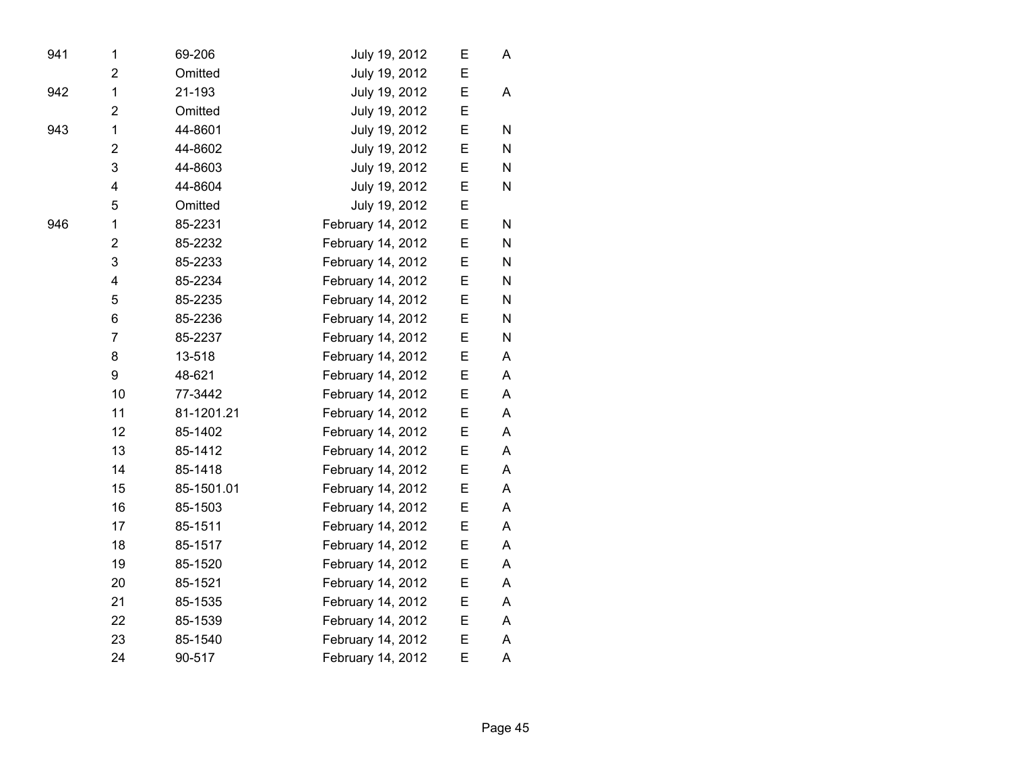| 941 | 1              | 69-206     | July 19, 2012     | E | A |  |
|-----|----------------|------------|-------------------|---|---|--|
|     | $\overline{2}$ | Omitted    | July 19, 2012     | E |   |  |
| 942 | 1              | 21-193     | July 19, 2012     | E | A |  |
|     | $\overline{2}$ | Omitted    | July 19, 2012     | E |   |  |
| 943 | 1              | 44-8601    | July 19, 2012     | E | N |  |
|     | $\overline{2}$ | 44-8602    | July 19, 2012     | E | N |  |
|     | 3              | 44-8603    | July 19, 2012     | E | N |  |
|     | 4              | 44-8604    | July 19, 2012     | E | N |  |
|     | 5              | Omitted    | July 19, 2012     | E |   |  |
| 946 | 1              | 85-2231    | February 14, 2012 | E | N |  |
|     | $\overline{2}$ | 85-2232    | February 14, 2012 | E | N |  |
|     | 3              | 85-2233    | February 14, 2012 | E | N |  |
|     | 4              | 85-2234    | February 14, 2012 | E | N |  |
|     | 5              | 85-2235    | February 14, 2012 | E | N |  |
|     | 6              | 85-2236    | February 14, 2012 | E | N |  |
|     | $\overline{7}$ | 85-2237    | February 14, 2012 | E | N |  |
|     | 8              | 13-518     | February 14, 2012 | E | A |  |
|     | 9              | 48-621     | February 14, 2012 | E | A |  |
|     | 10             | 77-3442    | February 14, 2012 | E | A |  |
|     | 11             | 81-1201.21 | February 14, 2012 | E | A |  |
|     | 12             | 85-1402    | February 14, 2012 | E | A |  |
|     | 13             | 85-1412    | February 14, 2012 | E | A |  |
|     | 14             | 85-1418    | February 14, 2012 | E | A |  |
|     | 15             | 85-1501.01 | February 14, 2012 | E | A |  |
|     | 16             | 85-1503    | February 14, 2012 | E | A |  |
|     | 17             | 85-1511    | February 14, 2012 | E | A |  |
|     | 18             | 85-1517    | February 14, 2012 | E | A |  |
|     | 19             | 85-1520    | February 14, 2012 | E | A |  |
|     | 20             | 85-1521    | February 14, 2012 | E | A |  |
|     | 21             | 85-1535    | February 14, 2012 | E | A |  |
|     | 22             | 85-1539    | February 14, 2012 | Ε | A |  |
|     | 23             | 85-1540    | February 14, 2012 | E | A |  |
|     | 24             | 90-517     | February 14, 2012 | E | A |  |
|     |                |            |                   |   |   |  |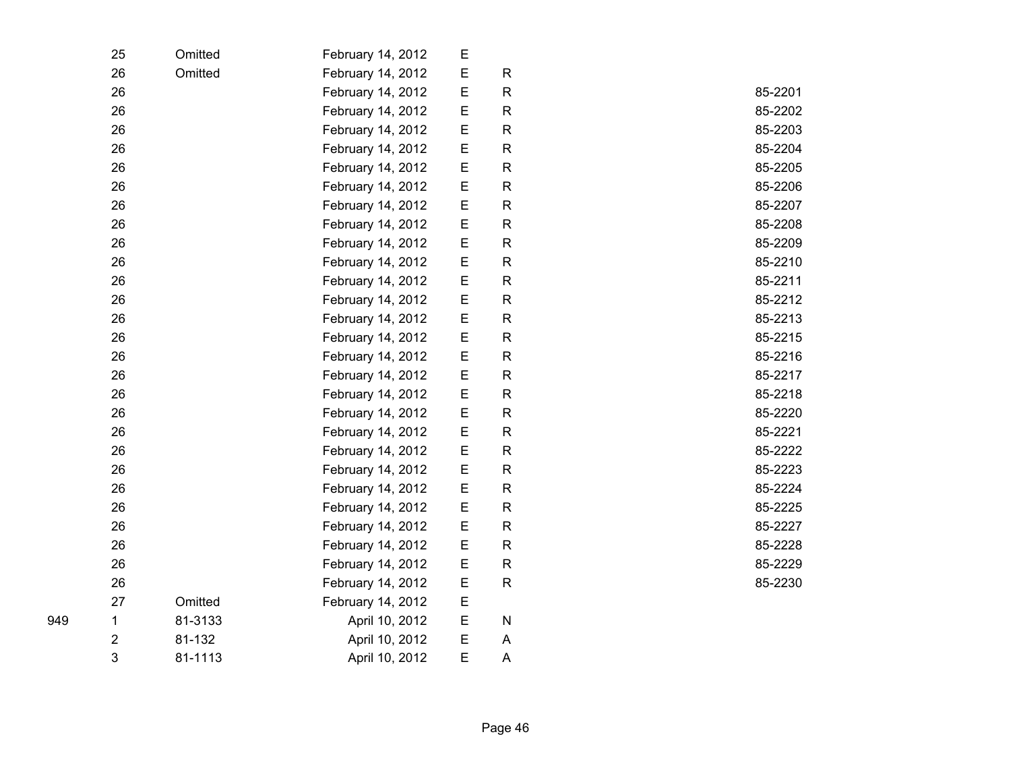| 25 | Omitted | February 14, 2012 | E           |              |         |
|----|---------|-------------------|-------------|--------------|---------|
| 26 | Omitted | February 14, 2012 | E           | $\mathsf{R}$ |         |
| 26 |         | February 14, 2012 | $\mathsf E$ | $\mathsf{R}$ | 85-2201 |
| 26 |         | February 14, 2012 | $\mathsf E$ | $\mathsf{R}$ | 85-2202 |
| 26 |         | February 14, 2012 | E           | $\mathsf{R}$ | 85-2203 |
| 26 |         | February 14, 2012 | $\mathsf E$ | R            | 85-2204 |
| 26 |         | February 14, 2012 | E           | $\mathsf{R}$ | 85-2205 |
| 26 |         | February 14, 2012 | $\mathsf E$ | $\mathsf{R}$ | 85-2206 |
| 26 |         | February 14, 2012 | $\mathsf E$ | $\mathsf{R}$ | 85-2207 |
| 26 |         | February 14, 2012 | E           | $\mathsf{R}$ | 85-2208 |
| 26 |         | February 14, 2012 | E           | $\mathsf R$  | 85-2209 |
| 26 |         | February 14, 2012 | E           | $\mathsf{R}$ | 85-2210 |
| 26 |         | February 14, 2012 | $\mathsf E$ | $\mathsf{R}$ | 85-2211 |
| 26 |         | February 14, 2012 | $\mathsf E$ | $\mathsf{R}$ | 85-2212 |
| 26 |         | February 14, 2012 | E           | $\mathsf{R}$ | 85-2213 |
| 26 |         | February 14, 2012 | E           | $\mathsf R$  | 85-2215 |
| 26 |         | February 14, 2012 | E           | $\mathsf{R}$ | 85-2216 |
| 26 |         | February 14, 2012 | $\mathsf E$ | $\mathsf{R}$ | 85-2217 |
| 26 |         | February 14, 2012 | $\mathsf E$ | $\mathsf{R}$ | 85-2218 |
| 26 |         | February 14, 2012 | E           | R            | 85-2220 |
| 26 |         | February 14, 2012 | E           | $\mathsf R$  | 85-2221 |
| 26 |         | February 14, 2012 | E           | $\mathsf{R}$ | 85-2222 |
| 26 |         | February 14, 2012 | $\mathsf E$ | $\mathsf{R}$ | 85-2223 |
| 26 |         | February 14, 2012 | E           | $\mathsf{R}$ | 85-2224 |
| 26 |         | February 14, 2012 | $\mathsf E$ | $\mathsf R$  | 85-2225 |
| 26 |         | February 14, 2012 | E           | $\mathsf{R}$ | 85-2227 |
| 26 |         | February 14, 2012 | E           | $\mathsf{R}$ | 85-2228 |
| 26 |         | February 14, 2012 | $\mathsf E$ | $\mathsf{R}$ | 85-2229 |
| 26 |         | February 14, 2012 | $\mathsf E$ | $\mathsf{R}$ | 85-2230 |
| 27 | Omitted | February 14, 2012 | $\mathsf E$ |              |         |
| 1  | 81-3133 | April 10, 2012    | E           | N            |         |
| 2  | 81-132  | April 10, 2012    | E           | A            |         |
| 3  | 81-1113 | April 10, 2012    | E           | A            |         |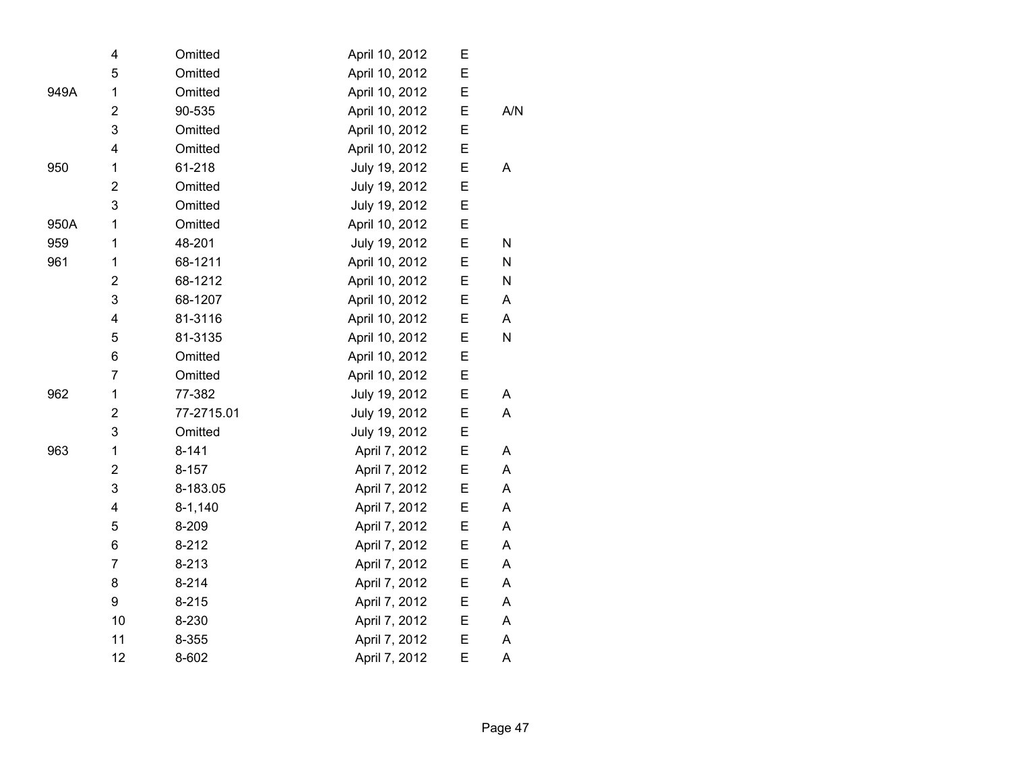| 4                       | Omitted     | April 10, 2012 | Ε |           |
|-------------------------|-------------|----------------|---|-----------|
| 5                       | Omitted     | April 10, 2012 | E |           |
| 1                       | Omitted     | April 10, 2012 | Ε |           |
| $\overline{2}$          | 90-535      | April 10, 2012 | E | A/N       |
| 3                       | Omitted     | April 10, 2012 | Ε |           |
| 4                       | Omitted     | April 10, 2012 | E |           |
| 1                       | 61-218      | July 19, 2012  | E | A         |
| $\overline{\mathbf{c}}$ | Omitted     | July 19, 2012  | E |           |
| 3                       | Omitted     | July 19, 2012  | E |           |
| 1                       | Omitted     | April 10, 2012 | E |           |
| 1                       | 48-201      | July 19, 2012  | E | ${\sf N}$ |
| 1                       | 68-1211     | April 10, 2012 | E | N         |
| $\mathbf 2$             | 68-1212     | April 10, 2012 | E | ${\sf N}$ |
| 3                       | 68-1207     | April 10, 2012 | E | A         |
| $\overline{\mathbf{4}}$ | 81-3116     | April 10, 2012 | E | A         |
| 5                       | 81-3135     | April 10, 2012 | E | ${\sf N}$ |
| 6                       | Omitted     | April 10, 2012 | Ε |           |
| $\overline{7}$          | Omitted     | April 10, 2012 | E |           |
| 1                       | 77-382      | July 19, 2012  | E | A         |
| $\mathbf 2$             | 77-2715.01  | July 19, 2012  | E | Α         |
| 3                       | Omitted     | July 19, 2012  | E |           |
| 1                       | $8 - 141$   | April 7, 2012  | E | A         |
| $\overline{2}$          | $8 - 157$   | April 7, 2012  | Ε | A         |
| 3                       | 8-183.05    | April 7, 2012  | E | A         |
| 4                       | $8 - 1,140$ | April 7, 2012  | E | A         |
| 5                       | 8-209       | April 7, 2012  | E | A         |
| 6                       | $8 - 212$   | April 7, 2012  | E | Α         |
| $\overline{7}$          | $8 - 213$   | April 7, 2012  | E | Α         |
| 8                       | $8 - 214$   | April 7, 2012  | E | A         |
| 9                       | $8 - 215$   | April 7, 2012  | E | A         |
| 10                      | 8-230       | April 7, 2012  | E | A         |
| 11                      | 8-355       | April 7, 2012  | Ε | A         |
| 12                      | 8-602       | April 7, 2012  | E | A         |
|                         |             |                |   |           |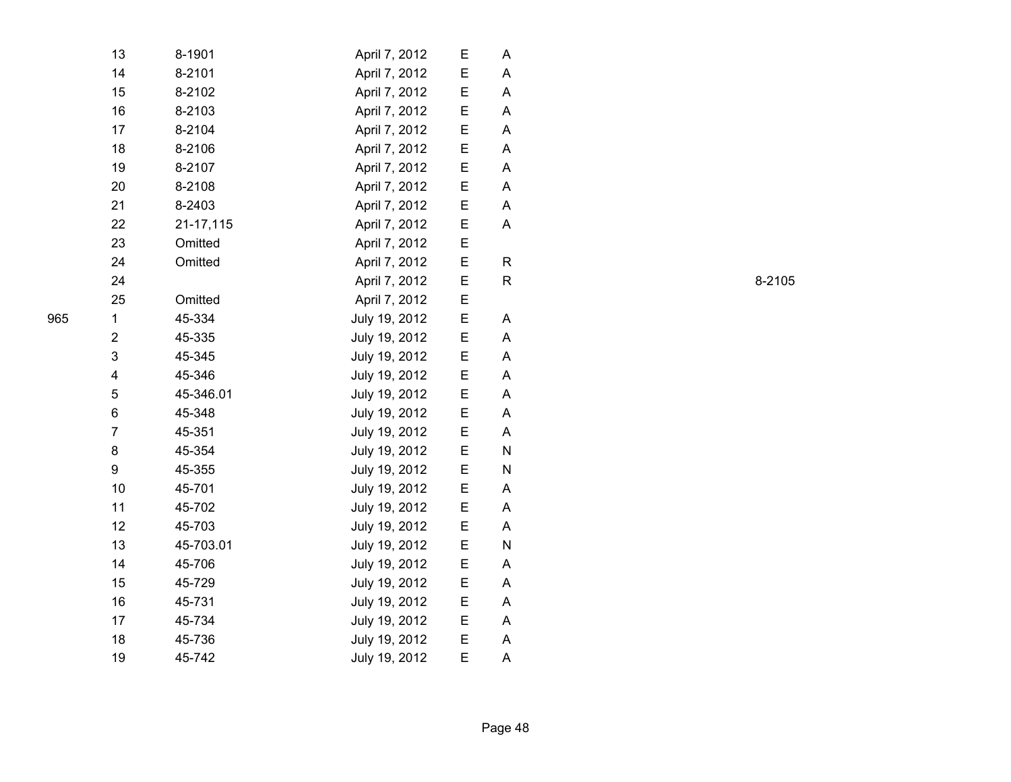| 13             | 8-1901    | April 7, 2012 | E | A |
|----------------|-----------|---------------|---|---|
| 14             | 8-2101    | April 7, 2012 | Ε | A |
| 15             | 8-2102    | April 7, 2012 | E | A |
| 16             | 8-2103    | April 7, 2012 | Ε | A |
| 17             | 8-2104    | April 7, 2012 | E | A |
| 18             | 8-2106    | April 7, 2012 | E | A |
| 19             | 8-2107    | April 7, 2012 | E | A |
| 20             | 8-2108    | April 7, 2012 | Ε | A |
| 21             | 8-2403    | April 7, 2012 | E | A |
| 22             | 21-17,115 | April 7, 2012 | Е | A |
| 23             | Omitted   | April 7, 2012 | E |   |
| 24             | Omitted   | April 7, 2012 | E | R |
| 24             |           | April 7, 2012 | E | R |
| 25             | Omitted   | April 7, 2012 | E |   |
| $\mathbf{1}$   | 45-334    | July 19, 2012 | E | A |
| $\overline{2}$ | 45-335    | July 19, 2012 | E | A |
| 3              | 45-345    | July 19, 2012 | Е | A |
| 4              | 45-346    | July 19, 2012 | E | A |
| 5              | 45-346.01 | July 19, 2012 | E | A |
| 6              | 45-348    | July 19, 2012 | E | A |
| 7              | 45-351    | July 19, 2012 | E | A |
| 8              | 45-354    | July 19, 2012 | E | N |
| 9              | 45-355    | July 19, 2012 | E | N |
| 10             | 45-701    | July 19, 2012 | E | A |
| 11             | 45-702    | July 19, 2012 | Е | A |
| 12             | 45-703    | July 19, 2012 | Е | A |
| 13             | 45-703.01 | July 19, 2012 | E | N |
| 14             | 45-706    | July 19, 2012 | E | Α |
| 15             | 45-729    | July 19, 2012 | E | A |
| 16             | 45-731    | July 19, 2012 | E | A |
| 17             | 45-734    | July 19, 2012 | E | A |
| 18             | 45-736    | July 19, 2012 | E | Α |
| 19             | 45-742    | July 19, 2012 | E | A |
|                |           |               |   |   |

R 8-2105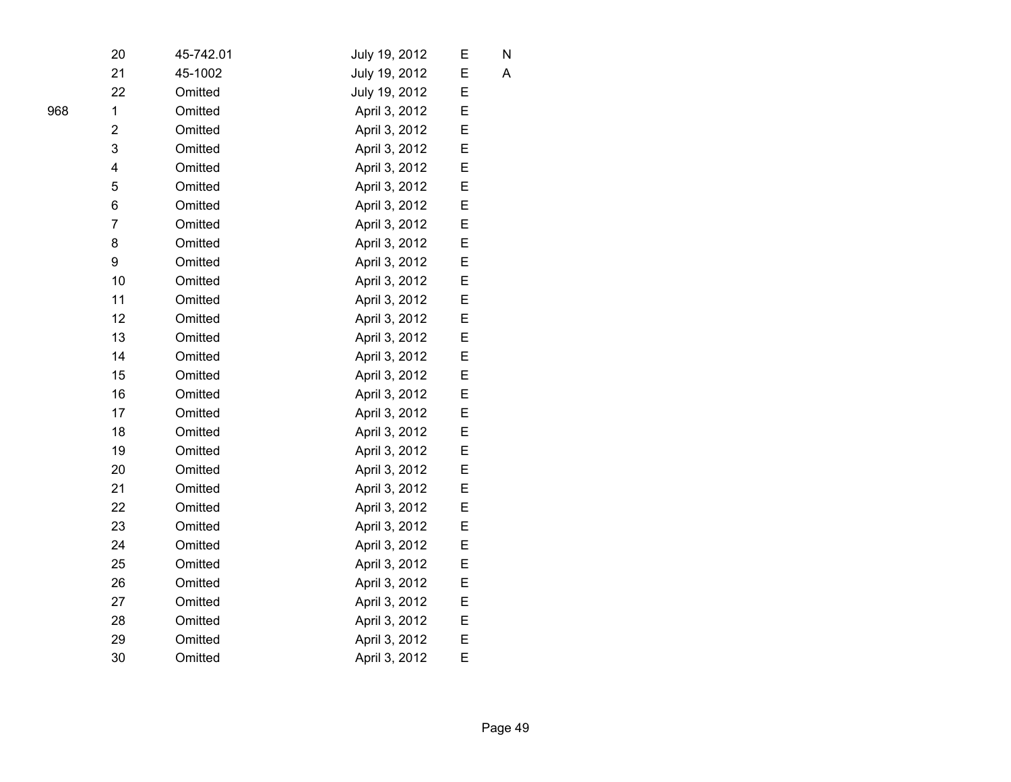| 20                      | 45-742.01 | July 19, 2012 | Е | N |
|-------------------------|-----------|---------------|---|---|
| 21                      | 45-1002   | July 19, 2012 | E | A |
| 22                      | Omitted   | July 19, 2012 | E |   |
| $\mathbf{1}$            | Omitted   | April 3, 2012 | Ε |   |
| 2                       | Omitted   | April 3, 2012 | E |   |
| 3                       | Omitted   | April 3, 2012 | E |   |
| $\overline{\mathbf{4}}$ | Omitted   | April 3, 2012 | E |   |
| 5                       | Omitted   | April 3, 2012 | Ε |   |
| 6                       | Omitted   | April 3, 2012 | E |   |
| $\overline{7}$          | Omitted   | April 3, 2012 | E |   |
| 8                       | Omitted   | April 3, 2012 | E |   |
| 9                       | Omitted   | April 3, 2012 | E |   |
| 10                      | Omitted   | April 3, 2012 | Ε |   |
| 11                      | Omitted   | April 3, 2012 | E |   |
| 12                      | Omitted   | April 3, 2012 | E |   |
| 13                      | Omitted   | April 3, 2012 | E |   |
| 14                      | Omitted   | April 3, 2012 | E |   |
| 15                      | Omitted   | April 3, 2012 | E |   |
| 16                      | Omitted   | April 3, 2012 | E |   |
| 17                      | Omitted   | April 3, 2012 | E |   |
| 18                      | Omitted   | April 3, 2012 | Ε |   |
| 19                      | Omitted   | April 3, 2012 | E |   |
| 20                      | Omitted   | April 3, 2012 | E |   |
| 21                      | Omitted   | April 3, 2012 | E |   |
| 22                      | Omitted   | April 3, 2012 | E |   |
| 23                      | Omitted   | April 3, 2012 | E |   |
| 24                      | Omitted   | April 3, 2012 | E |   |
| 25                      | Omitted   | April 3, 2012 | E |   |
| 26                      | Omitted   | April 3, 2012 | E |   |
| 27                      | Omitted   | April 3, 2012 | E |   |
| 28                      | Omitted   | April 3, 2012 | E |   |
| 29                      | Omitted   | April 3, 2012 | E |   |
| 30                      | Omitted   | April 3, 2012 | E |   |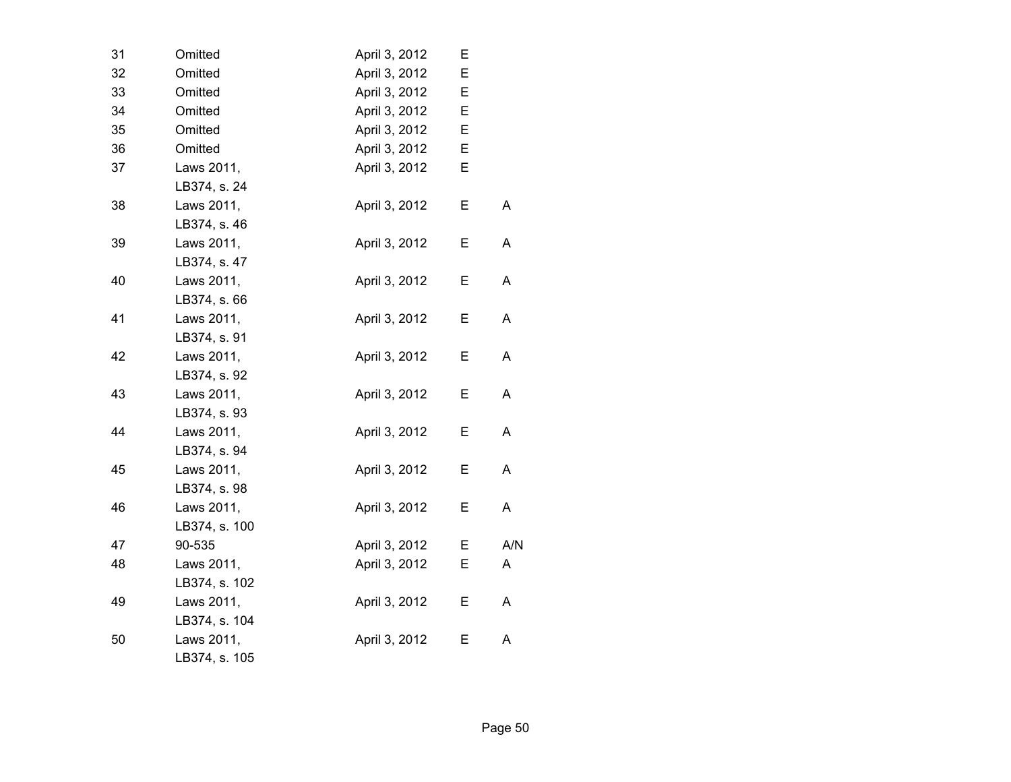| 31 | Omitted       | April 3, 2012 | Е |     |
|----|---------------|---------------|---|-----|
| 32 | Omitted       | April 3, 2012 | E |     |
| 33 | Omitted       | April 3, 2012 | E |     |
| 34 | Omitted       | April 3, 2012 | E |     |
| 35 | Omitted       | April 3, 2012 | Е |     |
| 36 | Omitted       | April 3, 2012 | Е |     |
| 37 | Laws 2011,    | April 3, 2012 | E |     |
|    | LB374, s. 24  |               |   |     |
| 38 | Laws 2011,    | April 3, 2012 | E | Α   |
|    | LB374, s. 46  |               |   |     |
| 39 | Laws 2011,    | April 3, 2012 | E | A   |
|    | LB374, s. 47  |               |   |     |
| 40 | Laws 2011,    | April 3, 2012 | Е | A   |
|    | LB374, s. 66  |               |   |     |
| 41 | Laws 2011,    | April 3, 2012 | Е | A   |
|    | LB374, s. 91  |               |   |     |
| 42 | Laws 2011,    | April 3, 2012 | E | A   |
|    | LB374, s. 92  |               |   |     |
| 43 | Laws 2011,    | April 3, 2012 | E | A   |
|    | LB374, s. 93  |               |   |     |
| 44 | Laws 2011,    | April 3, 2012 | E | A   |
|    | LB374, s. 94  |               |   |     |
| 45 | Laws 2011,    | April 3, 2012 | Е | Α   |
|    | LB374, s. 98  |               |   |     |
| 46 | Laws 2011,    | April 3, 2012 | E | Α   |
|    | LB374, s. 100 |               |   |     |
| 47 | 90-535        | April 3, 2012 | Е | A/N |
| 48 | Laws 2011,    | April 3, 2012 | E | A   |
|    | LB374, s. 102 |               |   |     |
| 49 | Laws 2011,    | April 3, 2012 | Е | A   |
|    | LB374, s. 104 |               |   |     |
| 50 | Laws 2011,    | April 3, 2012 | Е | Α   |
|    | LB374, s. 105 |               |   |     |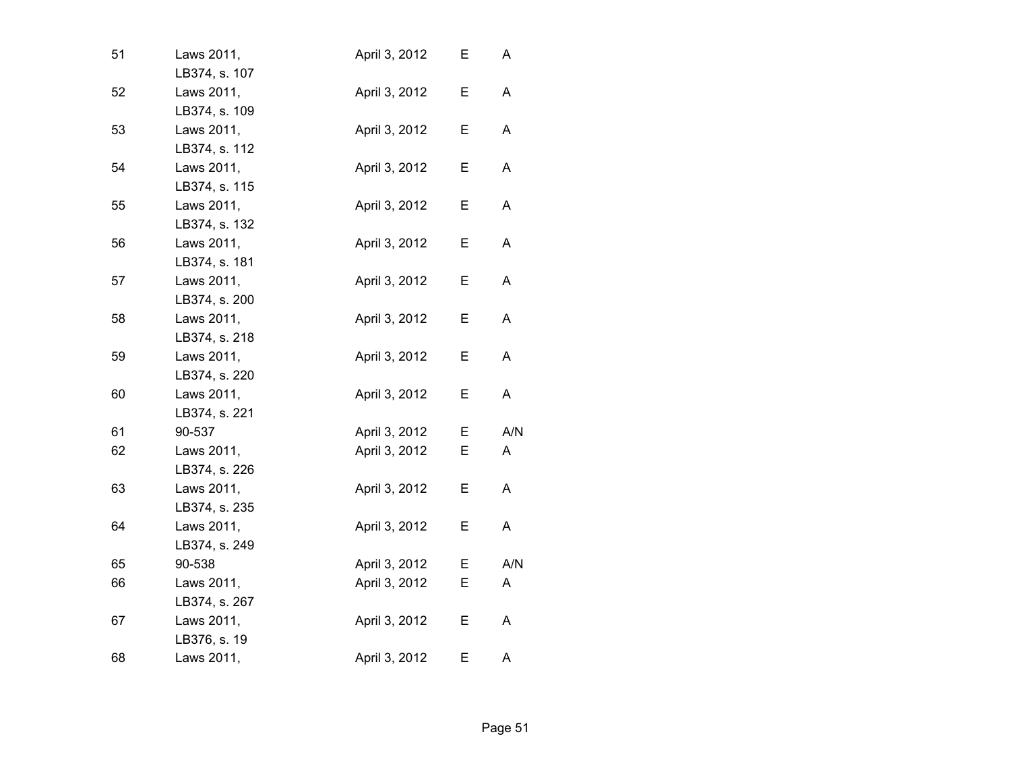| 51 | Laws 2011,<br>LB374, s. 107 | April 3, 2012 | Ε | A   |
|----|-----------------------------|---------------|---|-----|
| 52 | Laws 2011,                  | April 3, 2012 | E | A   |
| 53 | LB374, s. 109<br>Laws 2011, | April 3, 2012 | Е | A   |
|    | LB374, s. 112               |               |   |     |
| 54 | Laws 2011,                  | April 3, 2012 | Е | A   |
|    | LB374, s. 115               |               |   |     |
| 55 | Laws 2011,                  | April 3, 2012 | Е | A   |
|    | LB374, s. 132               |               |   |     |
| 56 | Laws 2011,<br>LB374, s. 181 | April 3, 2012 | E | A   |
|    |                             |               |   |     |
| 57 | Laws 2011,<br>LB374, s. 200 | April 3, 2012 | Е | A   |
| 58 | Laws 2011,                  | April 3, 2012 | Е | A   |
|    | LB374, s. 218               |               |   |     |
| 59 | Laws 2011,                  | April 3, 2012 | E | A   |
|    | LB374, s. 220               |               |   |     |
| 60 | Laws 2011,                  | April 3, 2012 | Е | A   |
|    | LB374, s. 221               |               |   |     |
| 61 | 90-537                      | April 3, 2012 | Е | A/N |
| 62 | Laws 2011,                  | April 3, 2012 | E | A   |
|    | LB374, s. 226               |               |   |     |
| 63 | Laws 2011,                  | April 3, 2012 | E | A   |
|    | LB374, s. 235               |               |   |     |
| 64 | Laws 2011,                  | April 3, 2012 | Е | A   |
|    | LB374, s. 249               |               |   |     |
| 65 | 90-538                      | April 3, 2012 | Е | A/N |
| 66 | Laws 2011,                  | April 3, 2012 | Е | A   |
|    | LB374, s. 267               |               |   |     |
| 67 | Laws 2011,                  | April 3, 2012 | Е | A   |
|    | LB376, s. 19                |               |   |     |
| 68 | Laws 2011,                  | April 3, 2012 | E | A   |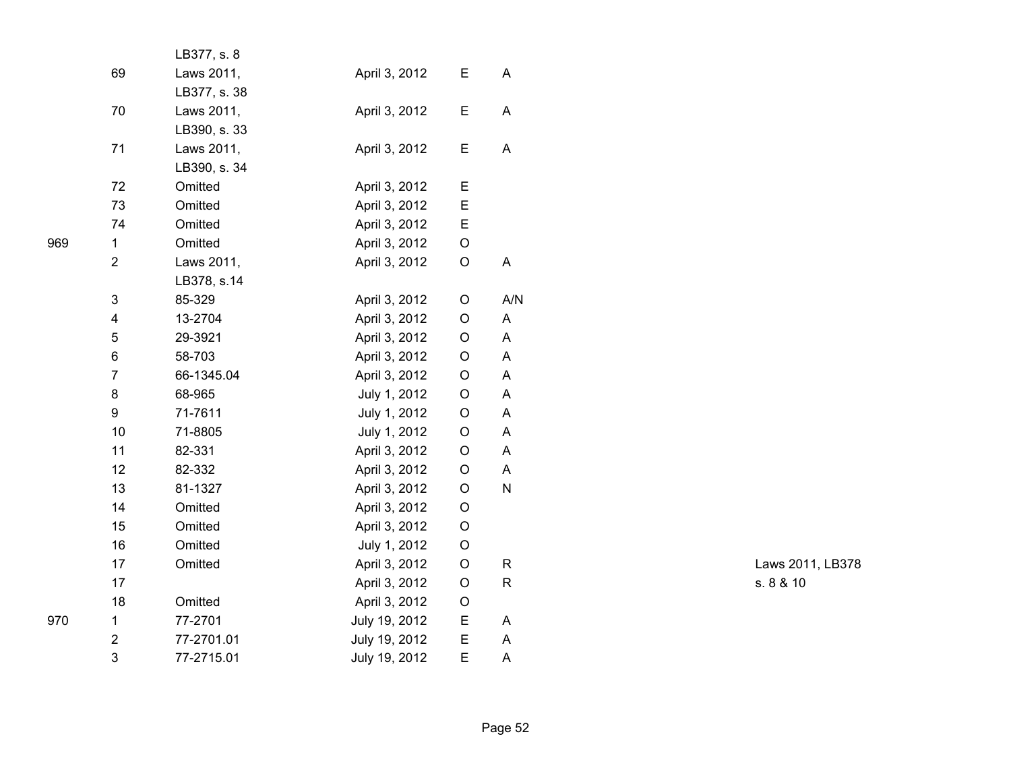|                           | LB377, s. 8  |               |             |     |  |
|---------------------------|--------------|---------------|-------------|-----|--|
| 69                        | Laws 2011,   | April 3, 2012 | Е           | A   |  |
|                           | LB377, s. 38 |               |             |     |  |
| 70                        | Laws 2011,   | April 3, 2012 | Е           | Α   |  |
|                           | LB390, s. 33 |               |             |     |  |
| 71                        | Laws 2011,   | April 3, 2012 | E           | A   |  |
|                           | LB390, s. 34 |               |             |     |  |
| 72                        | Omitted      | April 3, 2012 | E           |     |  |
| 73                        | Omitted      | April 3, 2012 | E           |     |  |
| 74                        | Omitted      | April 3, 2012 | E           |     |  |
| 1                         | Omitted      | April 3, 2012 | O           |     |  |
| $\overline{2}$            | Laws 2011,   | April 3, 2012 | O           | A   |  |
|                           | LB378, s.14  |               |             |     |  |
| $\ensuremath{\mathsf{3}}$ | 85-329       | April 3, 2012 | O           | A/N |  |
| 4                         | 13-2704      | April 3, 2012 | O           | A   |  |
| 5                         | 29-3921      | April 3, 2012 | O           | A   |  |
| 6                         | 58-703       | April 3, 2012 | O           | A   |  |
| $\overline{7}$            | 66-1345.04   | April 3, 2012 | O           | A   |  |
| 8                         | 68-965       | July 1, 2012  | O           | A   |  |
| 9                         | 71-7611      | July 1, 2012  | $\circ$     | A   |  |
| 10                        | 71-8805      | July 1, 2012  | O           | A   |  |
| 11                        | 82-331       | April 3, 2012 | $\circ$     | A   |  |
| 12                        | 82-332       | April 3, 2012 | O           | A   |  |
| 13                        | 81-1327      | April 3, 2012 | O           | N   |  |
| 14                        | Omitted      | April 3, 2012 | O           |     |  |
| 15                        | Omitted      | April 3, 2012 | O           |     |  |
| 16                        | Omitted      | July 1, 2012  | O           |     |  |
| 17                        | Omitted      | April 3, 2012 | $\mathsf O$ | R   |  |
| 17                        |              | April 3, 2012 | O           | R   |  |
| 18                        | Omitted      | April 3, 2012 | O           |     |  |
| 1                         | 77-2701      | July 19, 2012 | Е           | A   |  |
| $\overline{2}$            | 77-2701.01   | July 19, 2012 | E           | A   |  |
| 3                         | 77-2715.01   | July 19, 2012 | E           | Α   |  |

Laws 2011, LB378 R s. 8 & 10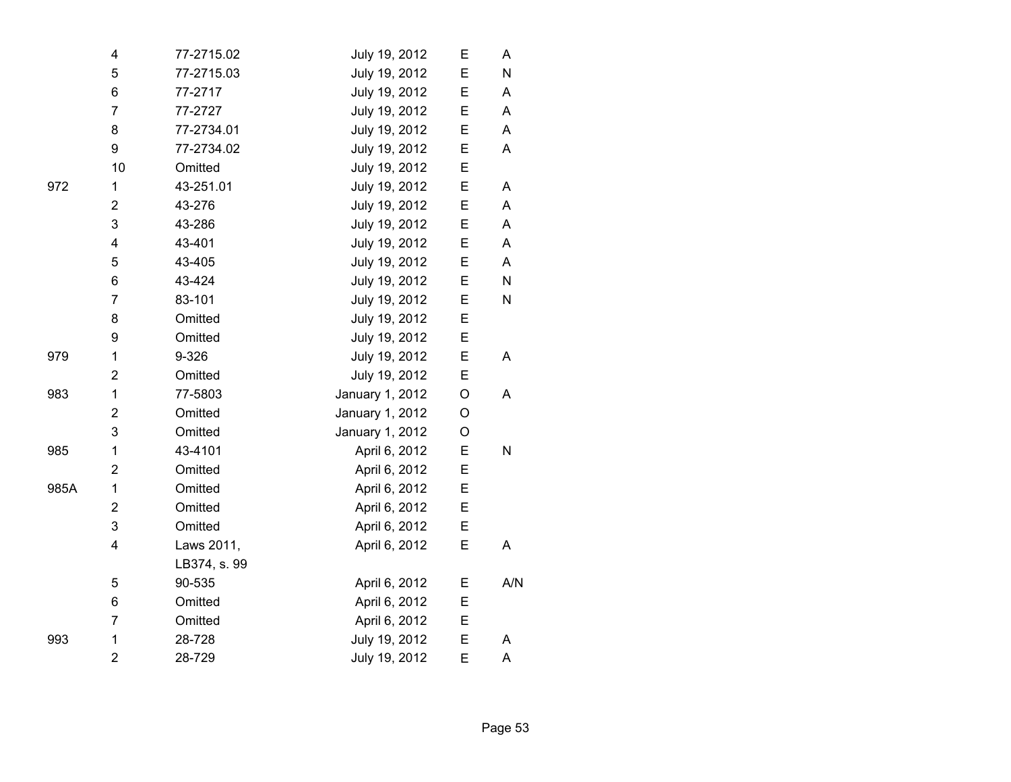|      | 4                       | 77-2715.02   | July 19, 2012   | E | A   |
|------|-------------------------|--------------|-----------------|---|-----|
|      | 5                       | 77-2715.03   | July 19, 2012   | E | N   |
|      | 6                       | 77-2717      | July 19, 2012   | E | Α   |
|      | $\overline{7}$          | 77-2727      | July 19, 2012   | E | A   |
|      | 8                       | 77-2734.01   | July 19, 2012   | E | A   |
|      | 9                       | 77-2734.02   | July 19, 2012   | E | A   |
|      | 10                      | Omitted      | July 19, 2012   | E |     |
| 972  | 1                       | 43-251.01    | July 19, 2012   | E | Α   |
|      | $\overline{2}$          | 43-276       | July 19, 2012   | E | A   |
|      | 3                       | 43-286       | July 19, 2012   | E | A   |
|      | $\overline{\mathbf{4}}$ | 43-401       | July 19, 2012   | E | A   |
|      | 5                       | 43-405       | July 19, 2012   | E | A   |
|      | 6                       | 43-424       | July 19, 2012   | E | N   |
|      | $\overline{7}$          | 83-101       | July 19, 2012   | E | N   |
|      | 8                       | Omitted      | July 19, 2012   | E |     |
|      | 9                       | Omitted      | July 19, 2012   | E |     |
| 979  | 1                       | 9-326        | July 19, 2012   | E | A   |
|      | $\overline{2}$          | Omitted      | July 19, 2012   | E |     |
| 983  | $\mathbf 1$             | 77-5803      | January 1, 2012 | O | A   |
|      | $\overline{\mathbf{c}}$ | Omitted      | January 1, 2012 | O |     |
|      | 3                       | Omitted      | January 1, 2012 | O |     |
| 985  | $\mathbf 1$             | 43-4101      | April 6, 2012   | E | N   |
|      | 2                       | Omitted      | April 6, 2012   | E |     |
| 985A | 1                       | Omitted      | April 6, 2012   | E |     |
|      | 2                       | Omitted      | April 6, 2012   | E |     |
|      | 3                       | Omitted      | April 6, 2012   | E |     |
|      | $\overline{\mathbf{4}}$ | Laws 2011,   | April 6, 2012   | E | A   |
|      |                         | LB374, s. 99 |                 |   |     |
|      | 5                       | 90-535       | April 6, 2012   | E | A/N |
|      | 6                       | Omitted      | April 6, 2012   | E |     |
|      | 7                       | Omitted      | April 6, 2012   | E |     |
| 993  | 1                       | 28-728       | July 19, 2012   | E | A   |
|      | $\overline{2}$          | 28-729       | July 19, 2012   | E | A   |

Page 53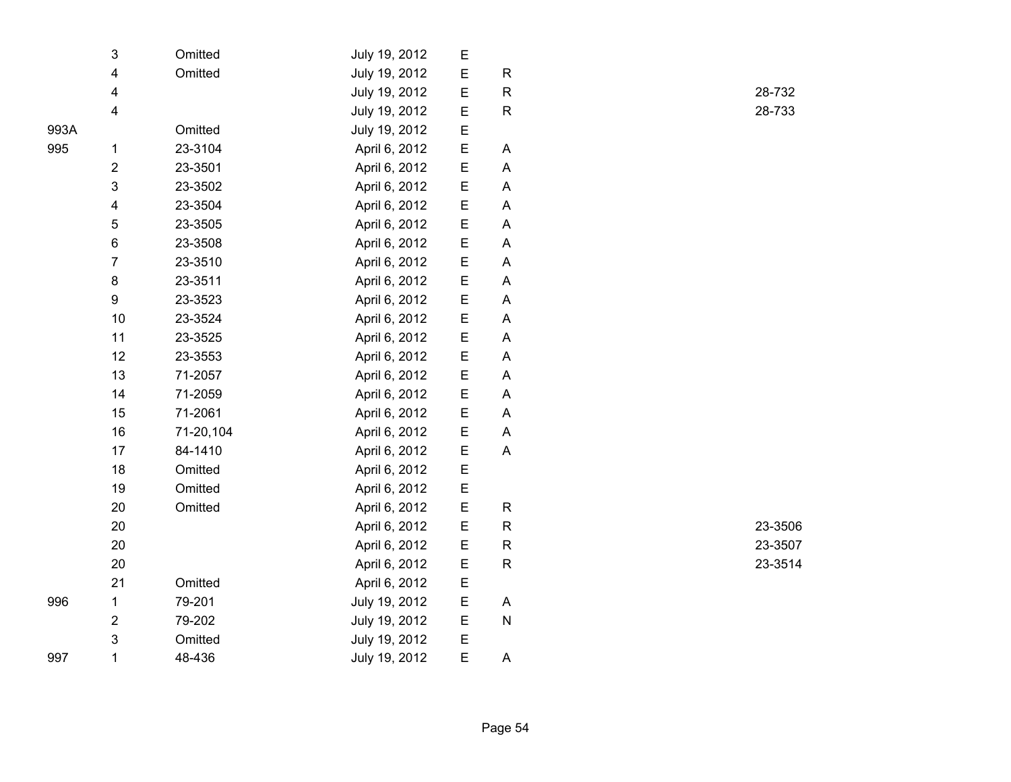|      | 3                       | Omitted   | July 19, 2012 | E |                           |  |
|------|-------------------------|-----------|---------------|---|---------------------------|--|
|      | 4                       | Omitted   | July 19, 2012 | E | $\mathsf R$               |  |
|      | 4                       |           | July 19, 2012 | E | ${\sf R}$                 |  |
|      | 4                       |           | July 19, 2012 | E | ${\sf R}$                 |  |
| 993A |                         | Omitted   | July 19, 2012 | E |                           |  |
| 995  | 1                       | 23-3104   | April 6, 2012 | E | A                         |  |
|      | $\overline{\mathbf{c}}$ | 23-3501   | April 6, 2012 | E | $\mathsf A$               |  |
|      | 3                       | 23-3502   | April 6, 2012 | E | $\boldsymbol{\mathsf{A}}$ |  |
|      | 4                       | 23-3504   | April 6, 2012 | E | A                         |  |
|      | 5                       | 23-3505   | April 6, 2012 | E | A                         |  |
|      | 6                       | 23-3508   | April 6, 2012 | E | A                         |  |
|      | $\overline{7}$          | 23-3510   | April 6, 2012 | E | A                         |  |
|      | 8                       | 23-3511   | April 6, 2012 | E | A                         |  |
|      | 9                       | 23-3523   | April 6, 2012 | E | A                         |  |
|      | 10                      | 23-3524   | April 6, 2012 | E | A                         |  |
|      | 11                      | 23-3525   | April 6, 2012 | E | A                         |  |
|      | 12                      | 23-3553   | April 6, 2012 | E | A                         |  |
|      | 13                      | 71-2057   | April 6, 2012 | E | $\boldsymbol{\mathsf{A}}$ |  |
|      | 14                      | 71-2059   | April 6, 2012 | E | A                         |  |
|      | 15                      | 71-2061   | April 6, 2012 | E | A                         |  |
|      | 16                      | 71-20,104 | April 6, 2012 | E | A                         |  |
|      | 17                      | 84-1410   | April 6, 2012 | E | A                         |  |
|      | 18                      | Omitted   | April 6, 2012 | E |                           |  |
|      | 19                      | Omitted   | April 6, 2012 | E |                           |  |
|      | 20                      | Omitted   | April 6, 2012 | E | $\mathsf R$               |  |
|      | 20                      |           | April 6, 2012 | E | ${\sf R}$                 |  |
|      | 20                      |           | April 6, 2012 | E | ${\sf R}$                 |  |
|      | 20                      |           | April 6, 2012 | E | $\mathsf R$               |  |
|      | 21                      | Omitted   | April 6, 2012 | E |                           |  |
| 996  | 1                       | 79-201    | July 19, 2012 | E | A                         |  |
|      | $\overline{\mathbf{c}}$ | 79-202    | July 19, 2012 | E | ${\sf N}$                 |  |
|      | 3                       | Omitted   | July 19, 2012 | E |                           |  |
| 997  | 1                       | 48-436    | July 19, 2012 | E | A                         |  |
|      |                         |           |               |   |                           |  |

R 28-732 R 28-733

R 23-3506 R 23-3507 R 23-3514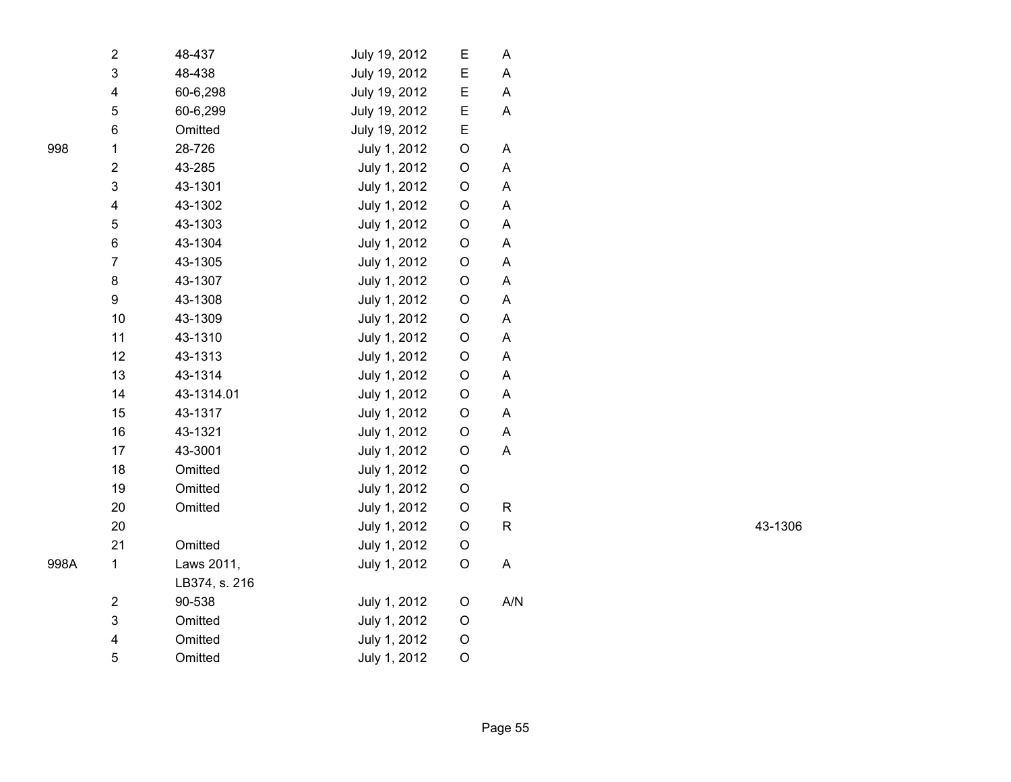| $\overline{2}$          | 48-437        | July 19, 2012 | E           | Α   |
|-------------------------|---------------|---------------|-------------|-----|
| 3                       | 48-438        | July 19, 2012 | E           | Α   |
| $\overline{\mathbf{4}}$ | 60-6,298      | July 19, 2012 | E           | A   |
| 5                       | 60-6,299      | July 19, 2012 | E           | A   |
| 6                       | Omitted       | July 19, 2012 | Ε           |     |
| $\mathbf 1$             | 28-726        | July 1, 2012  | O           | Α   |
| $\overline{2}$          | 43-285        | July 1, 2012  | O           | A   |
| 3                       | 43-1301       | July 1, 2012  | $\mathsf O$ | A   |
| $\overline{\mathbf{4}}$ | 43-1302       | July 1, 2012  | $\mathsf O$ | A   |
| 5                       | 43-1303       | July 1, 2012  | O           | Α   |
| 6                       | 43-1304       | July 1, 2012  | O           | A   |
| $\overline{7}$          | 43-1305       | July 1, 2012  | O           | Α   |
| 8                       | 43-1307       | July 1, 2012  | O           | Α   |
| 9                       | 43-1308       | July 1, 2012  | O           | A   |
| 10                      | 43-1309       | July 1, 2012  | O           | A   |
| 11                      | 43-1310       | July 1, 2012  | $\mathsf O$ | A   |
| 12                      | 43-1313       | July 1, 2012  | O           | A   |
| 13                      | 43-1314       | July 1, 2012  | O           | A   |
| 14                      | 43-1314.01    | July 1, 2012  | O           | A   |
| 15                      | 43-1317       | July 1, 2012  | $\mathsf O$ | A   |
| 16                      | 43-1321       | July 1, 2012  | O           | A   |
| 17                      | 43-3001       | July 1, 2012  | O           | A   |
| 18                      | Omitted       | July 1, 2012  | $\mathsf O$ |     |
| 19                      | Omitted       | July 1, 2012  | O           |     |
| 20                      | Omitted       | July 1, 2012  | O           | R   |
| 20                      |               | July 1, 2012  | O           | R   |
| 21                      | Omitted       | July 1, 2012  | O           |     |
| 1                       | Laws 2011,    | July 1, 2012  | O           | A   |
|                         | LB374, s. 216 |               |             |     |
| $\mathbf 2$             | 90-538        | July 1, 2012  | O           | A/N |
| 3                       | Omitted       | July 1, 2012  | O           |     |
| $\overline{\mathbf{4}}$ | Omitted       | July 1, 2012  | O           |     |
| 5                       | Omitted       | July 1, 2012  | O           |     |
|                         |               |               |             |     |

R 43-1306

998

998A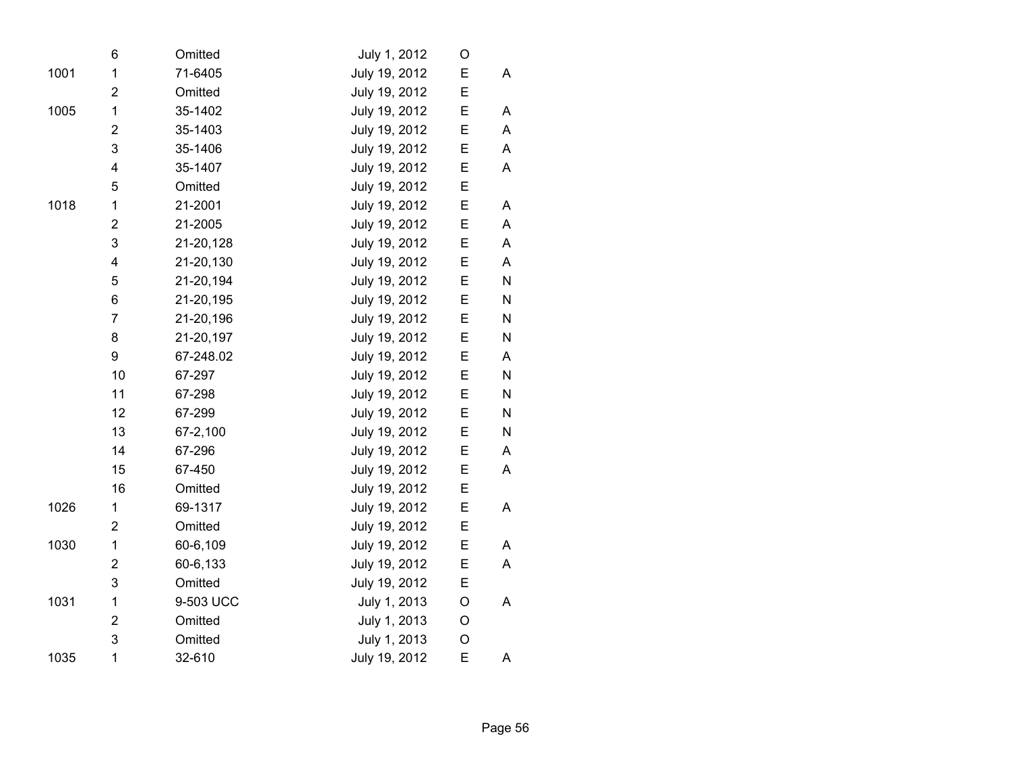|      | 6                       | Omitted   | July 1, 2012  | O           |           |
|------|-------------------------|-----------|---------------|-------------|-----------|
| 1001 | 1                       | 71-6405   | July 19, 2012 | E           | A         |
|      | $\overline{2}$          | Omitted   | July 19, 2012 | Ε           |           |
| 1005 | $\mathbf{1}$            | 35-1402   | July 19, 2012 | E           | A         |
|      | $\overline{2}$          | 35-1403   | July 19, 2012 | E           | A         |
|      | 3                       | 35-1406   | July 19, 2012 | E           | A         |
|      | 4                       | 35-1407   | July 19, 2012 | E           | A         |
|      | 5                       | Omitted   | July 19, 2012 | E           |           |
| 1018 | 1                       | 21-2001   | July 19, 2012 | E           | A         |
|      | $\overline{\mathbf{c}}$ | 21-2005   | July 19, 2012 | E           | A         |
|      | 3                       | 21-20,128 | July 19, 2012 | E           | A         |
|      | $\overline{\mathbf{4}}$ | 21-20,130 | July 19, 2012 | E           | A         |
|      | 5                       | 21-20,194 | July 19, 2012 | E           | N         |
|      | 6                       | 21-20,195 | July 19, 2012 | E           | N         |
|      | $\overline{7}$          | 21-20,196 | July 19, 2012 | E           | ${\sf N}$ |
|      | 8                       | 21-20,197 | July 19, 2012 | E           | ${\sf N}$ |
|      | 9                       | 67-248.02 | July 19, 2012 | E           | Α         |
|      | 10                      | 67-297    | July 19, 2012 | E           | ${\sf N}$ |
|      | 11                      | 67-298    | July 19, 2012 | E           | ${\sf N}$ |
|      | 12                      | 67-299    | July 19, 2012 | E           | N         |
|      | 13                      | 67-2,100  | July 19, 2012 | E           | N         |
|      | 14                      | 67-296    | July 19, 2012 | E           | A         |
|      | 15                      | 67-450    | July 19, 2012 | E           | A         |
|      | 16                      | Omitted   | July 19, 2012 | E           |           |
| 1026 | 1                       | 69-1317   | July 19, 2012 | E           | A         |
|      | $\overline{2}$          | Omitted   | July 19, 2012 | E           |           |
| 1030 | $\mathbf 1$             | 60-6,109  | July 19, 2012 | E           | A         |
|      | $\overline{\mathbf{c}}$ | 60-6,133  | July 19, 2012 | E           | Α         |
|      | 3                       | Omitted   | July 19, 2012 | E           |           |
| 1031 | 1                       | 9-503 UCC | July 1, 2013  | $\circ$     | A         |
|      | $\overline{2}$          | Omitted   | July 1, 2013  | O           |           |
|      | 3                       | Omitted   | July 1, 2013  | $\mathsf O$ |           |
| 1035 | 1                       | 32-610    | July 19, 2012 | E           | A         |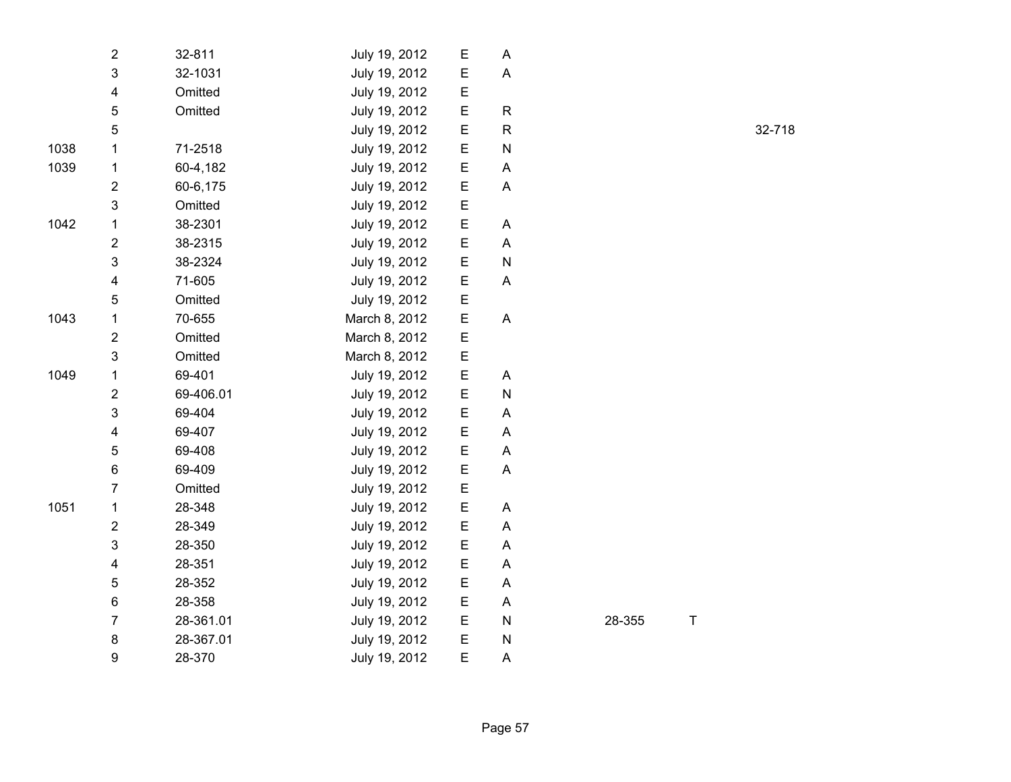|      | 2                       | 32-811    | July 19, 2012 | Е | A         |
|------|-------------------------|-----------|---------------|---|-----------|
|      | 3                       | 32-1031   | July 19, 2012 | Е | A         |
|      | 4                       | Omitted   | July 19, 2012 | Ε |           |
|      | 5                       | Omitted   | July 19, 2012 | Е | R         |
|      | 5                       |           | July 19, 2012 | Е | R         |
| 1038 | 1                       | 71-2518   | July 19, 2012 | Е | ${\sf N}$ |
| 1039 | 1                       | 60-4,182  | July 19, 2012 | E | A         |
|      | $\overline{\mathbf{c}}$ | 60-6,175  | July 19, 2012 | E | A         |
|      | 3                       | Omitted   | July 19, 2012 | Е |           |
| 1042 | 1                       | 38-2301   | July 19, 2012 | Е | Α         |
|      | $\overline{2}$          | 38-2315   | July 19, 2012 | E | A         |
|      | 3                       | 38-2324   | July 19, 2012 | Е | N         |
|      | 4                       | 71-605    | July 19, 2012 | Ε | A         |
|      | 5                       | Omitted   | July 19, 2012 | E |           |
| 1043 | $\mathbf 1$             | 70-655    | March 8, 2012 | Ε | A         |
|      | 2                       | Omitted   | March 8, 2012 | Ε |           |
|      | 3                       | Omitted   | March 8, 2012 | Е |           |
| 1049 | 1                       | 69-401    | July 19, 2012 | E | A         |
|      | $\overline{\mathbf{c}}$ | 69-406.01 | July 19, 2012 | Е | N         |
|      | 3                       | 69-404    | July 19, 2012 | Ε | Α         |
|      | 4                       | 69-407    | July 19, 2012 | E | A         |
|      | 5                       | 69-408    | July 19, 2012 | Е | A         |
|      | 6                       | 69-409    | July 19, 2012 | Е | Α         |
|      | $\overline{7}$          | Omitted   | July 19, 2012 | Ε |           |
| 1051 | $\mathbf 1$             | 28-348    | July 19, 2012 | E | A         |
|      | $\overline{2}$          | 28-349    | July 19, 2012 | Е | A         |
|      | 3                       | 28-350    | July 19, 2012 | Е | A         |
|      | 4                       | 28-351    | July 19, 2012 | Е | Α         |
|      | 5                       | 28-352    | July 19, 2012 | Е | A         |
|      | 6                       | 28-358    | July 19, 2012 | Е | A         |
|      | 7                       | 28-361.01 | July 19, 2012 | Е | N         |
|      | 8                       | 28-367.01 | July 19, 2012 | E | N         |
|      | 9                       | 28-370    | July 19, 2012 | E | A         |

R 32-718

28-355 T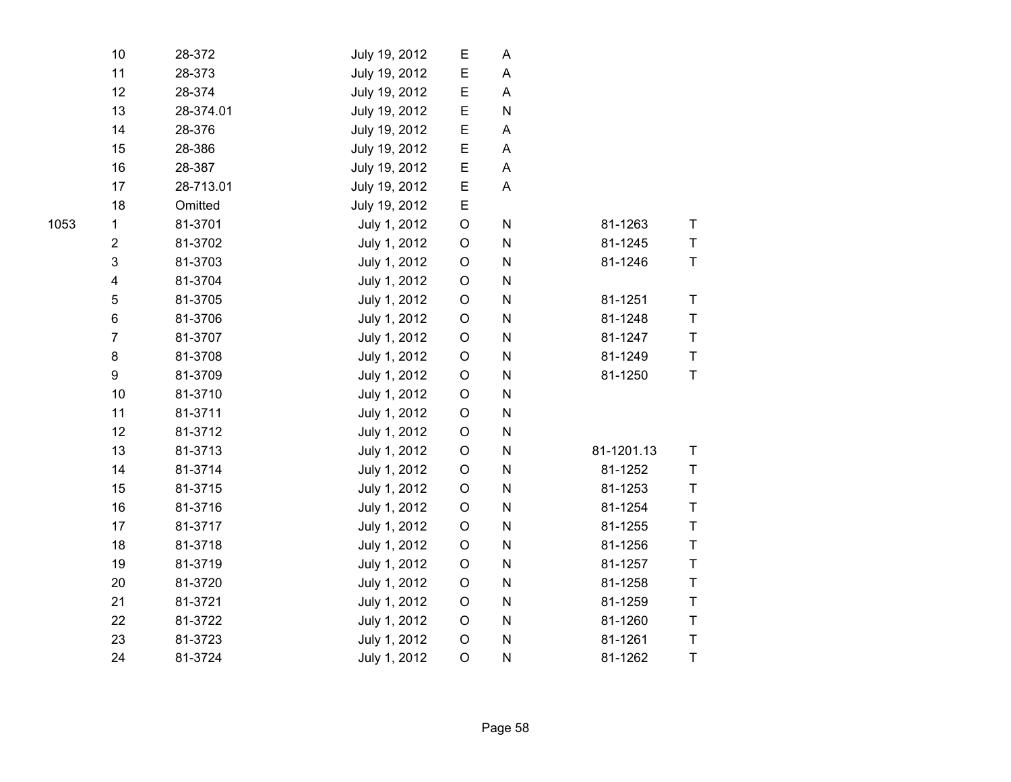| 10                      | 28-372    | July 19, 2012 | E           | Α           |            |              |
|-------------------------|-----------|---------------|-------------|-------------|------------|--------------|
| 11                      | 28-373    | July 19, 2012 | E           | A           |            |              |
| 12                      | 28-374    | July 19, 2012 | $\mathsf E$ | A           |            |              |
| 13                      | 28-374.01 | July 19, 2012 | E           | ${\sf N}$   |            |              |
| 14                      | 28-376    | July 19, 2012 | E           | Α           |            |              |
| 15                      | 28-386    | July 19, 2012 | E           | $\mathsf A$ |            |              |
| 16                      | 28-387    | July 19, 2012 | E           | A           |            |              |
| 17                      | 28-713.01 | July 19, 2012 | E           | A           |            |              |
| 18                      | Omitted   | July 19, 2012 | E           |             |            |              |
| $\mathbf{1}$            | 81-3701   | July 1, 2012  | $\mathsf O$ | N           | 81-1263    | $\mathsf T$  |
| $\overline{2}$          | 81-3702   | July 1, 2012  | $\mathsf O$ | ${\sf N}$   | 81-1245    | $\top$       |
| $\mathfrak{S}$          | 81-3703   | July 1, 2012  | $\mathsf O$ | ${\sf N}$   | 81-1246    | $\sf T$      |
| $\overline{\mathbf{4}}$ | 81-3704   | July 1, 2012  | $\mathsf O$ | ${\sf N}$   |            |              |
| $\sqrt{5}$              | 81-3705   | July 1, 2012  | $\mathsf O$ | ${\sf N}$   | 81-1251    | T            |
| $\,6$                   | 81-3706   | July 1, 2012  | $\mathsf O$ | ${\sf N}$   | 81-1248    | T            |
| $\overline{7}$          | 81-3707   | July 1, 2012  | $\mathsf O$ | ${\sf N}$   | 81-1247    | $\mathsf T$  |
| 8                       | 81-3708   | July 1, 2012  | $\mathsf O$ | N           | 81-1249    | $\mathsf T$  |
| $\boldsymbol{9}$        | 81-3709   | July 1, 2012  | $\mathsf O$ | ${\sf N}$   | 81-1250    | $\mathsf{T}$ |
| 10                      | 81-3710   | July 1, 2012  | $\mathsf O$ | ${\sf N}$   |            |              |
| 11                      | 81-3711   | July 1, 2012  | $\mathsf O$ | ${\sf N}$   |            |              |
| 12                      | 81-3712   | July 1, 2012  | $\mathsf O$ | ${\sf N}$   |            |              |
| 13                      | 81-3713   | July 1, 2012  | $\mathsf O$ | ${\sf N}$   | 81-1201.13 | $\top$       |
| 14                      | 81-3714   | July 1, 2012  | $\mathsf O$ | ${\sf N}$   | 81-1252    | $\mathsf T$  |
| 15                      | 81-3715   | July 1, 2012  | $\mathsf O$ | N           | 81-1253    | T            |
| 16                      | 81-3716   | July 1, 2012  | $\mathsf O$ | ${\sf N}$   | 81-1254    | $\top$       |
| 17                      | 81-3717   | July 1, 2012  | $\mathsf O$ | ${\sf N}$   | 81-1255    | $\top$       |
| 18                      | 81-3718   | July 1, 2012  | $\mathsf O$ | ${\sf N}$   | 81-1256    | T            |
| 19                      | 81-3719   | July 1, 2012  | $\mathsf O$ | ${\sf N}$   | 81-1257    | $\mathsf T$  |
| 20                      | 81-3720   | July 1, 2012  | $\mathsf O$ | ${\sf N}$   | 81-1258    | T            |
| 21                      | 81-3721   | July 1, 2012  | $\mathsf O$ | ${\sf N}$   | 81-1259    | $\top$       |
| 22                      | 81-3722   | July 1, 2012  | $\mathsf O$ | ${\sf N}$   | 81-1260    | $\mathsf T$  |
| 23                      | 81-3723   | July 1, 2012  | $\mathsf O$ | ${\sf N}$   | 81-1261    | T            |
| 24                      | 81-3724   | July 1, 2012  | $\circ$     | ${\sf N}$   | 81-1262    | $\sf T$      |
|                         |           |               |             |             |            |              |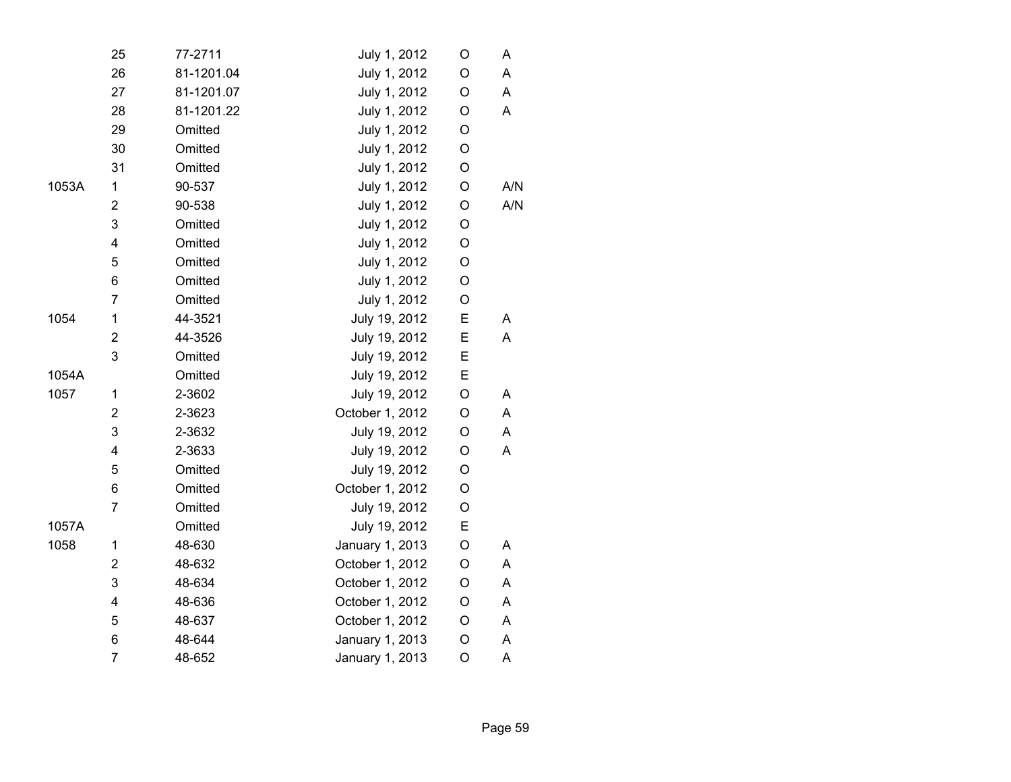|       | 25                      | 77-2711    | July 1, 2012    | O           | A   |
|-------|-------------------------|------------|-----------------|-------------|-----|
|       | 26                      | 81-1201.04 | July 1, 2012    | O           | A   |
|       | 27                      | 81-1201.07 | July 1, 2012    | O           | A   |
|       | 28                      | 81-1201.22 | July 1, 2012    | O           | A   |
|       | 29                      | Omitted    | July 1, 2012    | O           |     |
|       | 30                      | Omitted    | July 1, 2012    | O           |     |
|       | 31                      | Omitted    | July 1, 2012    | O           |     |
| 1053A | 1                       | 90-537     | July 1, 2012    | $\circ$     | A/N |
|       | $\mathbf 2$             | 90-538     | July 1, 2012    | O           | A/N |
|       | 3                       | Omitted    | July 1, 2012    | $\circ$     |     |
|       | $\overline{\mathbf{4}}$ | Omitted    | July 1, 2012    | O           |     |
|       | 5                       | Omitted    | July 1, 2012    | O           |     |
|       | 6                       | Omitted    | July 1, 2012    | O           |     |
|       | $\overline{7}$          | Omitted    | July 1, 2012    | O           |     |
| 1054  | 1                       | 44-3521    | July 19, 2012   | E           | A   |
|       | $\mathbf 2$             | 44-3526    | July 19, 2012   | E           | A   |
|       | 3                       | Omitted    | July 19, 2012   | E           |     |
| 1054A |                         | Omitted    | July 19, 2012   | E           |     |
| 1057  | 1                       | 2-3602     | July 19, 2012   | O           | A   |
|       | $\overline{2}$          | 2-3623     | October 1, 2012 | O           | A   |
|       | 3                       | 2-3632     | July 19, 2012   | O           | A   |
|       | $\overline{\mathbf{4}}$ | 2-3633     | July 19, 2012   | O           | Α   |
|       | 5                       | Omitted    | July 19, 2012   | O           |     |
|       | 6                       | Omitted    | October 1, 2012 | O           |     |
|       | $\overline{7}$          | Omitted    | July 19, 2012   | $\mathsf O$ |     |
| 1057A |                         | Omitted    | July 19, 2012   | E           |     |
| 1058  | 1                       | 48-630     | January 1, 2013 | O           | A   |
|       | $\overline{2}$          | 48-632     | October 1, 2012 | O           | A   |
|       | 3                       | 48-634     | October 1, 2012 | O           | A   |
|       | $\overline{\mathbf{4}}$ | 48-636     | October 1, 2012 | O           | A   |
|       | 5                       | 48-637     | October 1, 2012 | O           | A   |
|       | 6                       | 48-644     | January 1, 2013 | O           | A   |
|       | $\overline{7}$          | 48-652     | January 1, 2013 | $\circ$     | A   |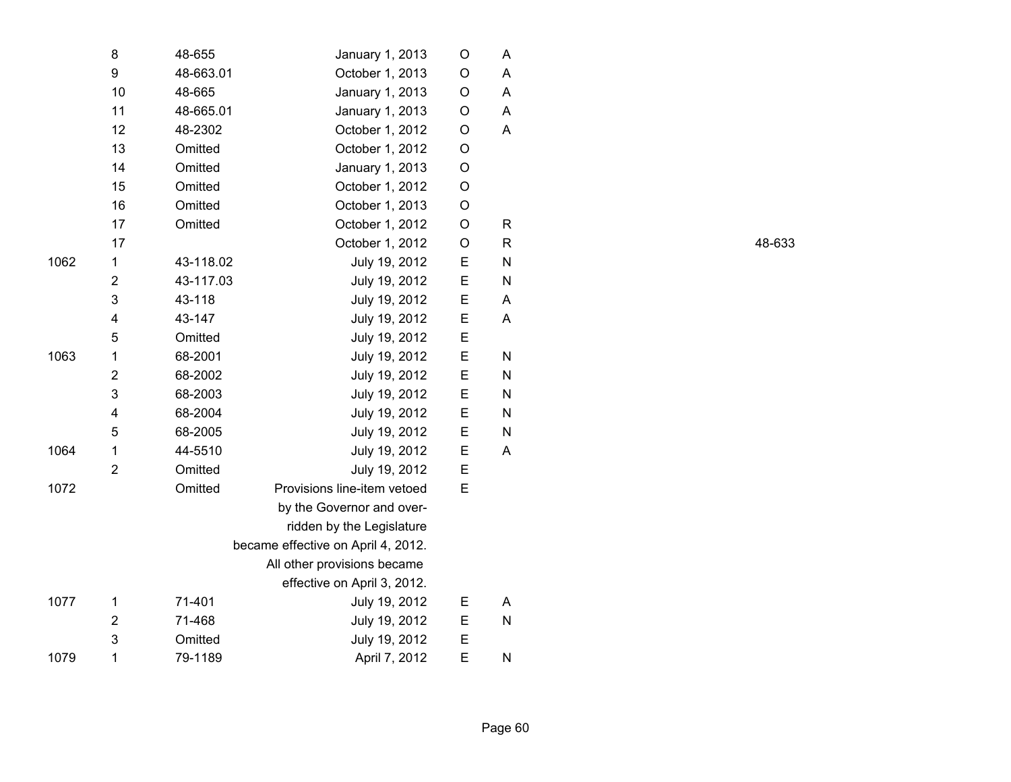|      | 8              | 48-655    | January 1, 2013                    | $\circ$ | A         |
|------|----------------|-----------|------------------------------------|---------|-----------|
|      | 9              | 48-663.01 | October 1, 2013                    | O       | A         |
|      | 10             | 48-665    | January 1, 2013                    | O       | A         |
|      | 11             | 48-665.01 | January 1, 2013                    | O       | A         |
|      | 12             | 48-2302   | October 1, 2012                    | O       | A         |
|      | 13             | Omitted   | October 1, 2012                    | O       |           |
|      | 14             | Omitted   | January 1, 2013                    | O       |           |
|      | 15             | Omitted   | October 1, 2012                    | $\circ$ |           |
|      | 16             | Omitted   | October 1, 2013                    | $\circ$ |           |
|      | 17             | Omitted   | October 1, 2012                    | $\circ$ | R         |
|      | 17             |           | October 1, 2012                    | O       | R         |
| 1062 | 1              | 43-118.02 | July 19, 2012                      | E       | N         |
|      | $\overline{2}$ | 43-117.03 | July 19, 2012                      | E       | N         |
|      | 3              | 43-118    | July 19, 2012                      | E       | A         |
|      | 4              | 43-147    | July 19, 2012                      | E       | A         |
|      | 5              | Omitted   | July 19, 2012                      | E       |           |
| 1063 | 1              | 68-2001   | July 19, 2012                      | E       | N         |
|      | $\overline{2}$ | 68-2002   | July 19, 2012                      | E       | ${\sf N}$ |
|      | 3              | 68-2003   | July 19, 2012                      | E       | N         |
|      | 4              | 68-2004   | July 19, 2012                      | E       | N         |
|      | 5              | 68-2005   | July 19, 2012                      | E       | N         |
| 1064 | $\mathbf{1}$   | 44-5510   | July 19, 2012                      | E       | A         |
|      | $\overline{2}$ | Omitted   | July 19, 2012                      | E       |           |
| 1072 |                | Omitted   | Provisions line-item vetoed        | E       |           |
|      |                |           | by the Governor and over-          |         |           |
|      |                |           | ridden by the Legislature          |         |           |
|      |                |           | became effective on April 4, 2012. |         |           |
|      |                |           | All other provisions became        |         |           |
|      |                |           | effective on April 3, 2012.        |         |           |
| 1077 | 1              | 71-401    | July 19, 2012                      | Е       | A         |
|      | $\overline{2}$ | 71-468    | July 19, 2012                      | Е       | N         |
|      | 3              | Omitted   | July 19, 2012                      | E       |           |
| 1079 | $\mathbf{1}$   | 79-1189   | April 7, 2012                      | E       | N         |

R 48-633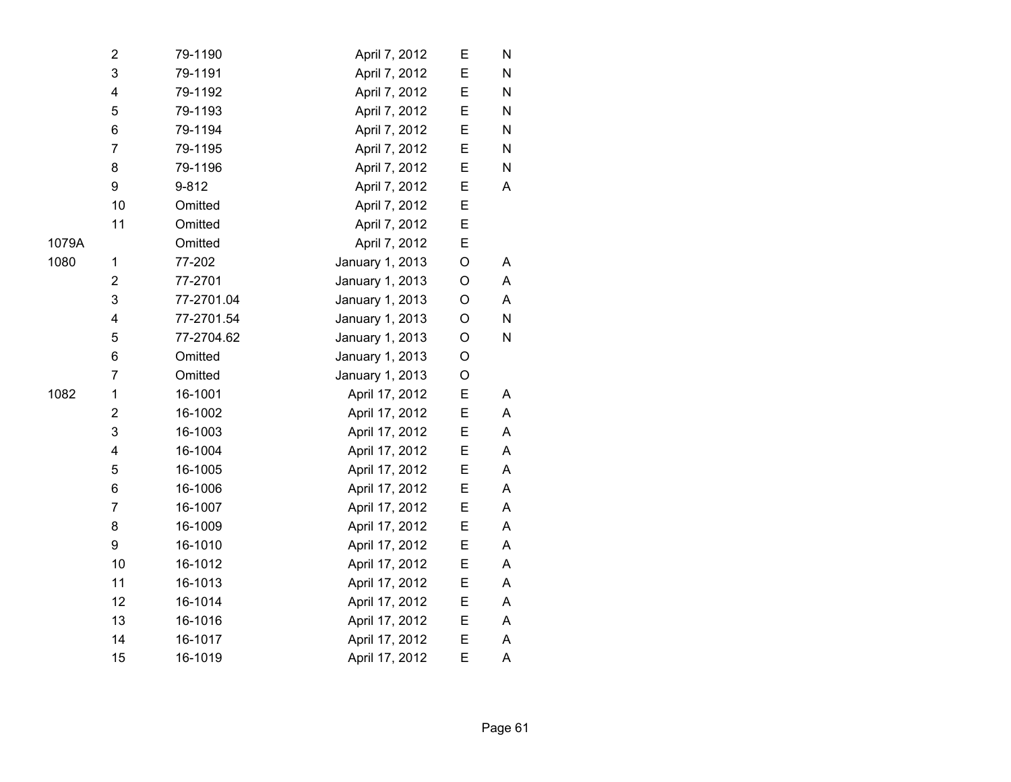|       | 2                       | 79-1190    | April 7, 2012   | Е | N |  |
|-------|-------------------------|------------|-----------------|---|---|--|
|       | 3                       | 79-1191    | April 7, 2012   | E | N |  |
|       | 4                       | 79-1192    | April 7, 2012   | E | N |  |
|       | 5                       | 79-1193    | April 7, 2012   | E | N |  |
|       | 6                       | 79-1194    | April 7, 2012   | E | N |  |
|       | $\overline{7}$          | 79-1195    | April 7, 2012   | Ε | N |  |
|       | 8                       | 79-1196    | April 7, 2012   | Ε | N |  |
|       | 9                       | 9-812      | April 7, 2012   | E | A |  |
|       | 10                      | Omitted    | April 7, 2012   | E |   |  |
|       | 11                      | Omitted    | April 7, 2012   | E |   |  |
| 1079A |                         | Omitted    | April 7, 2012   | E |   |  |
| 1080  | 1                       | 77-202     | January 1, 2013 | O | Α |  |
|       | $\overline{\mathbf{c}}$ | 77-2701    | January 1, 2013 | O | Α |  |
|       | 3                       | 77-2701.04 | January 1, 2013 | O | A |  |
|       | 4                       | 77-2701.54 | January 1, 2013 | O | N |  |
|       | 5                       | 77-2704.62 | January 1, 2013 | O | N |  |
|       | 6                       | Omitted    | January 1, 2013 | O |   |  |
|       | $\overline{7}$          | Omitted    | January 1, 2013 | O |   |  |
| 1082  | $\mathbf 1$             | 16-1001    | April 17, 2012  | E | A |  |
|       | $\overline{\mathbf{c}}$ | 16-1002    | April 17, 2012  | E | A |  |
|       | 3                       | 16-1003    | April 17, 2012  | Ε | A |  |
|       | 4                       | 16-1004    | April 17, 2012  | E | A |  |
|       | 5                       | 16-1005    | April 17, 2012  | E | A |  |
|       | 6                       | 16-1006    | April 17, 2012  | E | A |  |
|       | 7                       | 16-1007    | April 17, 2012  | Ε | Α |  |
|       | 8                       | 16-1009    | April 17, 2012  | E | A |  |
|       | 9                       | 16-1010    | April 17, 2012  | E | A |  |
|       | 10                      | 16-1012    | April 17, 2012  | E | A |  |
|       | 11                      | 16-1013    | April 17, 2012  | E | A |  |
|       | 12                      | 16-1014    | April 17, 2012  | E | A |  |
|       | 13                      | 16-1016    | April 17, 2012  | Ε | Α |  |
|       | 14                      | 16-1017    | April 17, 2012  | Ε | A |  |
|       | 15                      | 16-1019    | April 17, 2012  | E | A |  |
|       |                         |            |                 |   |   |  |

10<sup>8</sup>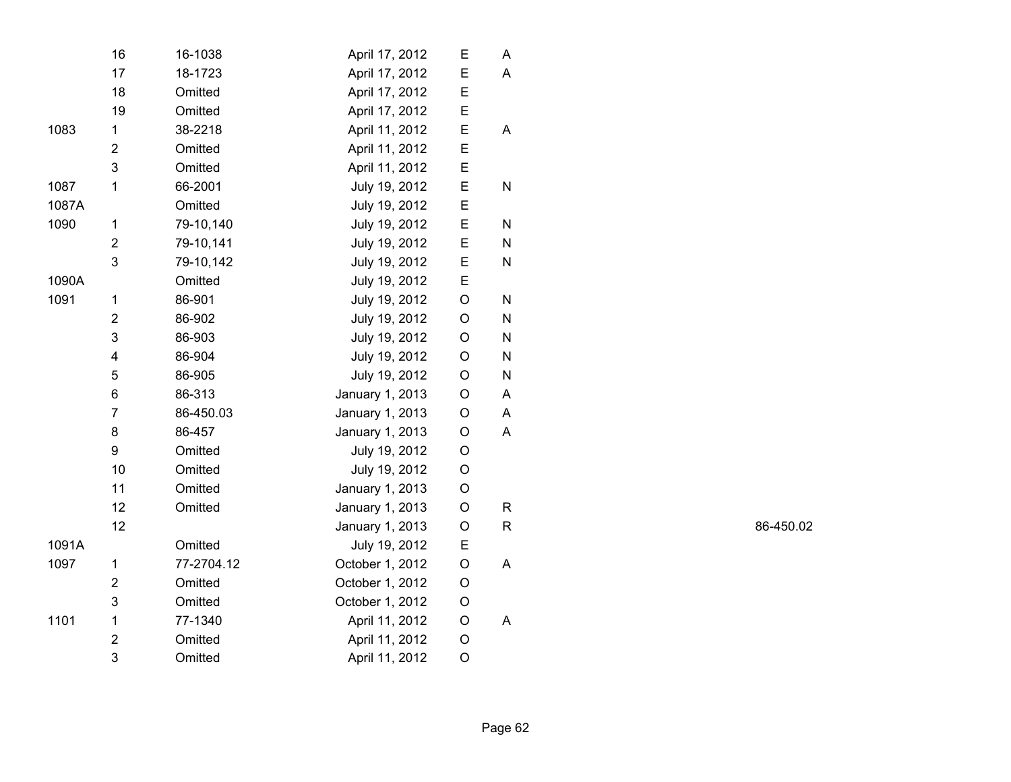|       | 16             | 16-1038    | April 17, 2012  | Е           | A           |
|-------|----------------|------------|-----------------|-------------|-------------|
|       | 17             | 18-1723    | April 17, 2012  | E           | Α           |
|       | 18             | Omitted    | April 17, 2012  | E           |             |
|       | 19             | Omitted    | April 17, 2012  | E           |             |
| 1083  | 1              | 38-2218    | April 11, 2012  | E           | A           |
|       | $\overline{2}$ | Omitted    | April 11, 2012  | E           |             |
|       | 3              | Omitted    | April 11, 2012  | E           |             |
| 1087  | 1              | 66-2001    | July 19, 2012   | E           | N           |
| 1087A |                | Omitted    | July 19, 2012   | E           |             |
| 1090  | 1              | 79-10,140  | July 19, 2012   | E           | N           |
|       | $\overline{2}$ | 79-10,141  | July 19, 2012   | E           | N           |
|       | 3              | 79-10,142  | July 19, 2012   | E           | N           |
| 1090A |                | Omitted    | July 19, 2012   | E           |             |
| 1091  | 1              | 86-901     | July 19, 2012   | O           | N           |
|       | $\overline{2}$ | 86-902     | July 19, 2012   | $\mathsf O$ | N           |
|       | 3              | 86-903     | July 19, 2012   | $\mathsf O$ | ${\sf N}$   |
|       | 4              | 86-904     | July 19, 2012   | $\circ$     | N           |
|       | 5              | 86-905     | July 19, 2012   | O           | N           |
|       | 6              | 86-313     | January 1, 2013 | $\mathsf O$ | A           |
|       | $\overline{7}$ | 86-450.03  | January 1, 2013 | O           | A           |
|       | 8              | 86-457     | January 1, 2013 | O           | A           |
|       | 9              | Omitted    | July 19, 2012   | O           |             |
|       | 10             | Omitted    | July 19, 2012   | O           |             |
|       | 11             | Omitted    | January 1, 2013 | O           |             |
|       | 12             | Omitted    | January 1, 2013 | O           | R           |
|       | 12             |            | January 1, 2013 | O           | $\mathsf R$ |
| 1091A |                | Omitted    | July 19, 2012   | E           |             |
| 1097  | 1              | 77-2704.12 | October 1, 2012 | $\mathsf O$ | A           |
|       | $\overline{2}$ | Omitted    | October 1, 2012 | O           |             |
|       | 3              | Omitted    | October 1, 2012 | O           |             |
| 1101  | $\mathbf 1$    | 77-1340    | April 11, 2012  | O           | A           |
|       | $\overline{2}$ | Omitted    | April 11, 2012  | O           |             |
|       | 3              | Omitted    | April 11, 2012  | $\mathsf O$ |             |

R 86-450.02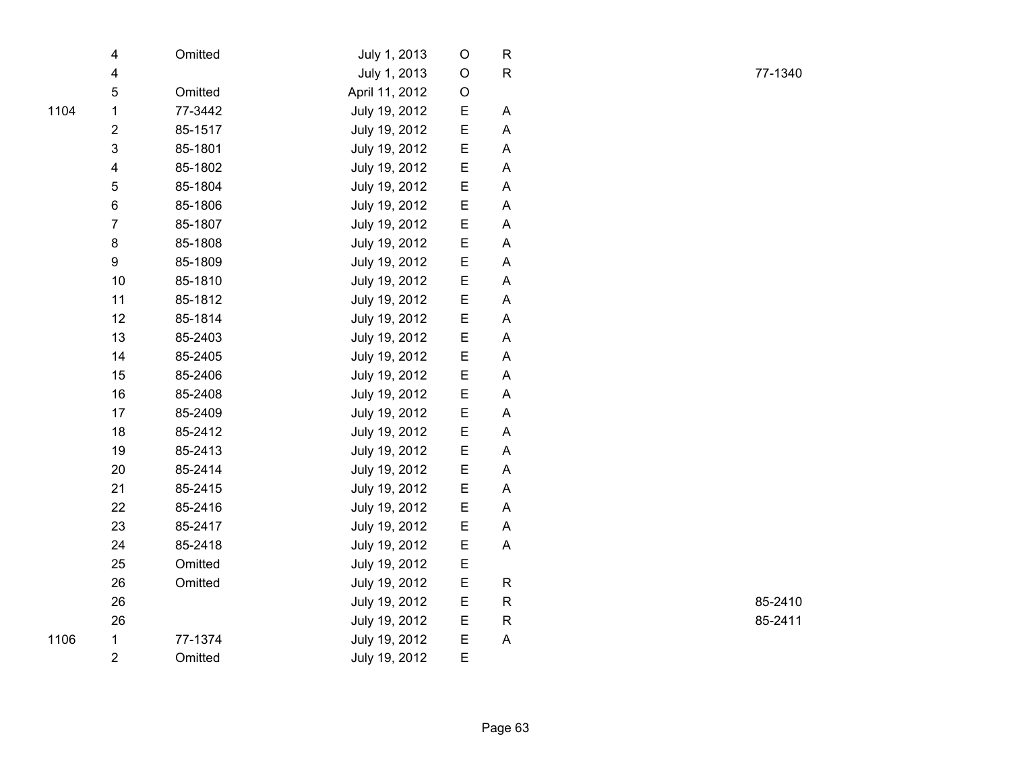|      | 4                       | Omitted | July 1, 2013   | O       | $\mathsf{R}$ |  |
|------|-------------------------|---------|----------------|---------|--------------|--|
|      | 4                       |         | July 1, 2013   | $\circ$ | R            |  |
|      | 5                       | Omitted | April 11, 2012 | O       |              |  |
| 1104 | $\mathbf 1$             | 77-3442 | July 19, 2012  | E       | Α            |  |
|      | $\boldsymbol{2}$        | 85-1517 | July 19, 2012  | E       | A            |  |
|      | $\mathsf 3$             | 85-1801 | July 19, 2012  | E       | Α            |  |
|      | $\overline{\mathbf{4}}$ | 85-1802 | July 19, 2012  | E       | A            |  |
|      | 5                       | 85-1804 | July 19, 2012  | E       | Α            |  |
|      | 6                       | 85-1806 | July 19, 2012  | E       | Α            |  |
|      | $\overline{7}$          | 85-1807 | July 19, 2012  | E       | A            |  |
|      | 8                       | 85-1808 | July 19, 2012  | E       | A            |  |
|      | 9                       | 85-1809 | July 19, 2012  | E       | A            |  |
|      | 10                      | 85-1810 | July 19, 2012  | E       | Α            |  |
|      | 11                      | 85-1812 | July 19, 2012  | E       | A            |  |
|      | 12                      | 85-1814 | July 19, 2012  | E       | Α            |  |
|      | 13                      | 85-2403 | July 19, 2012  | E       | Α            |  |
|      | 14                      | 85-2405 | July 19, 2012  | E       | A            |  |
|      | 15                      | 85-2406 | July 19, 2012  | E       | A            |  |
|      | 16                      | 85-2408 | July 19, 2012  | E       | A            |  |
|      | 17                      | 85-2409 | July 19, 2012  | E       | A            |  |
|      | 18                      | 85-2412 | July 19, 2012  | E       | A            |  |
|      | 19                      | 85-2413 | July 19, 2012  | E       | A            |  |
|      | 20                      | 85-2414 | July 19, 2012  | E       | Α            |  |
|      | 21                      | 85-2415 | July 19, 2012  | E       | A            |  |
|      | 22                      | 85-2416 | July 19, 2012  | E       | A            |  |
|      | 23                      | 85-2417 | July 19, 2012  | E       | Α            |  |
|      | 24                      | 85-2418 | July 19, 2012  | E       | A            |  |
|      | 25                      | Omitted | July 19, 2012  | E       |              |  |
|      | 26                      | Omitted | July 19, 2012  | E       | $\mathsf R$  |  |
|      | 26                      |         | July 19, 2012  | E       | R            |  |
|      | 26                      |         | July 19, 2012  | E       | ${\sf R}$    |  |
| 1106 | $\mathbf 1$             | 77-1374 | July 19, 2012  | E       | A            |  |
|      | $\overline{2}$          | Omitted | July 19, 2012  | E       |              |  |

R 77-1340

R 85-2410

R 85-2411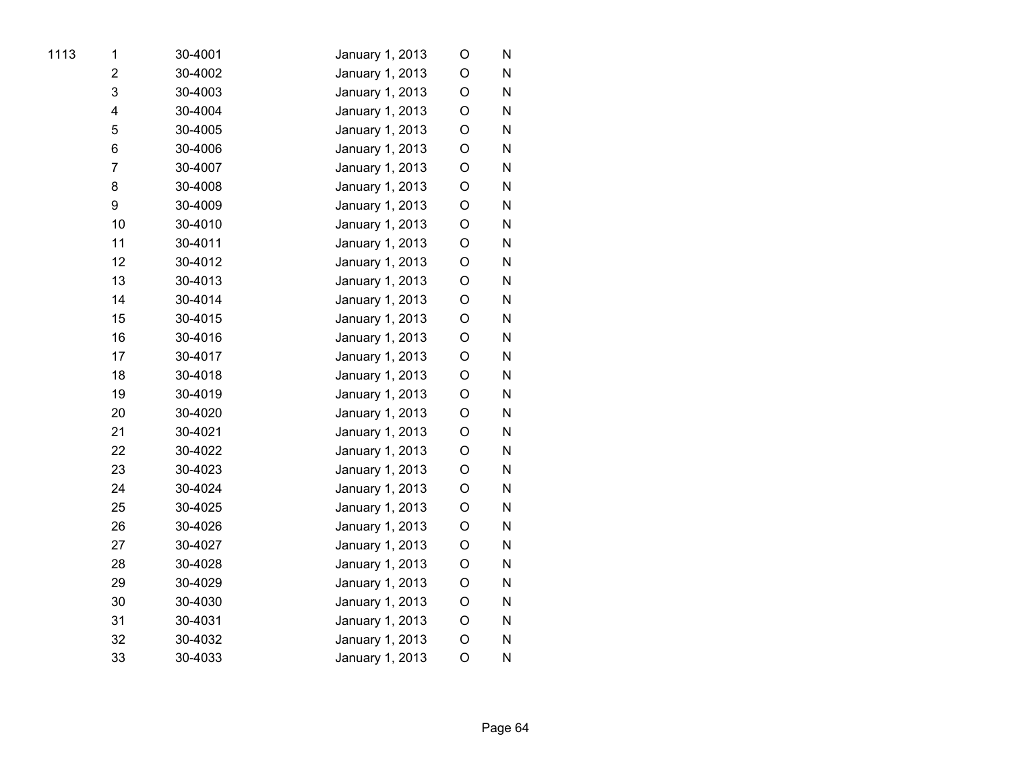| 1113 | 1              | 30-4001 | January 1, 2013 | O           | N |
|------|----------------|---------|-----------------|-------------|---|
|      | $\overline{2}$ | 30-4002 | January 1, 2013 | O           | N |
|      | 3              | 30-4003 | January 1, 2013 | O           | N |
|      | 4              | 30-4004 | January 1, 2013 | O           | N |
|      | 5              | 30-4005 | January 1, 2013 | $\circ$     | N |
|      | 6              | 30-4006 | January 1, 2013 | O           | N |
|      | $\overline{7}$ | 30-4007 | January 1, 2013 | $\circ$     | N |
|      | 8              | 30-4008 | January 1, 2013 | O           | N |
|      | 9              | 30-4009 | January 1, 2013 | O           | N |
|      | 10             | 30-4010 | January 1, 2013 | O           | N |
|      | 11             | 30-4011 | January 1, 2013 | O           | N |
|      | 12             | 30-4012 | January 1, 2013 | O           | N |
|      | 13             | 30-4013 | January 1, 2013 | $\circ$     | N |
|      | 14             | 30-4014 | January 1, 2013 | $\circ$     | N |
|      | 15             | 30-4015 | January 1, 2013 | O           | N |
|      | 16             | 30-4016 | January 1, 2013 | O           | N |
|      | 17             | 30-4017 | January 1, 2013 | O           | N |
|      | 18             | 30-4018 | January 1, 2013 | O           | N |
|      | 19             | 30-4019 | January 1, 2013 | O           | N |
|      | 20             | 30-4020 | January 1, 2013 | O           | N |
|      | 21             | 30-4021 | January 1, 2013 | O           | N |
|      | 22             | 30-4022 | January 1, 2013 | $\circ$     | N |
|      | 23             | 30-4023 | January 1, 2013 | O           | N |
|      | 24             | 30-4024 | January 1, 2013 | O           | N |
|      | 25             | 30-4025 | January 1, 2013 | O           | N |
|      | 26             | 30-4026 | January 1, 2013 | O           | N |
|      | 27             | 30-4027 | January 1, 2013 | O           | N |
|      | 28             | 30-4028 | January 1, 2013 | $\circ$     | Ν |
|      | 29             | 30-4029 | January 1, 2013 | O           | N |
|      | 30             | 30-4030 | January 1, 2013 | $\mathsf O$ | N |
|      | 31             | 30-4031 | January 1, 2013 | O           | N |
|      | 32             | 30-4032 | January 1, 2013 | $\circ$     | N |
|      | 33             | 30-4033 | January 1, 2013 | O           | N |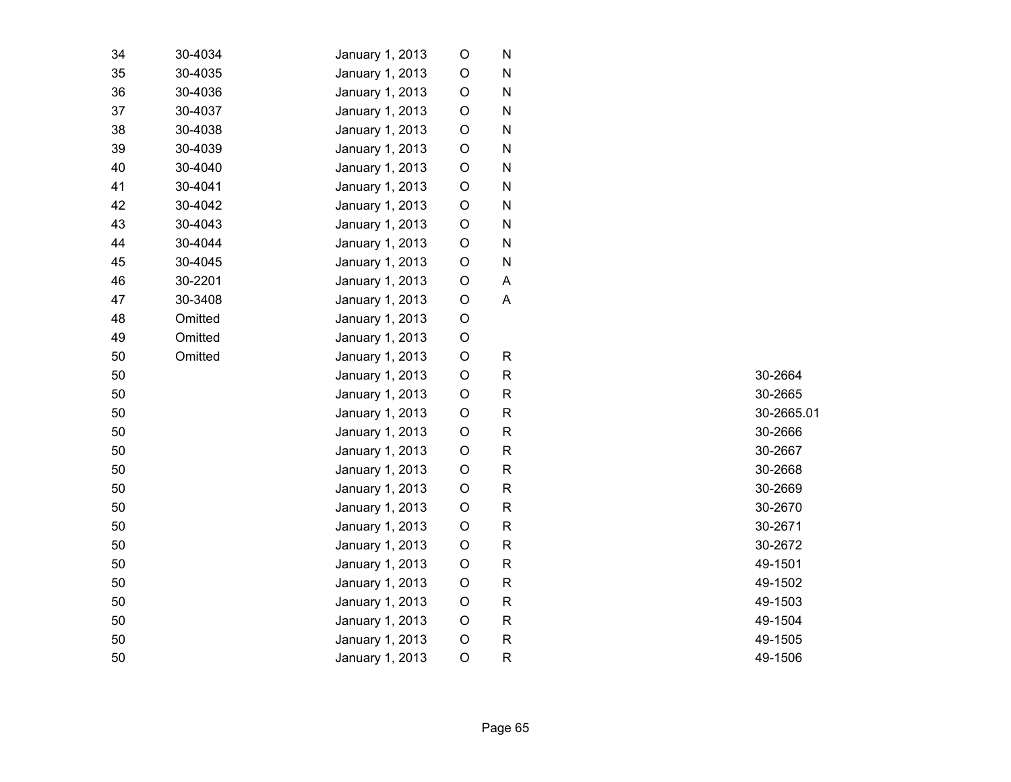| 34 | 30-4034 | January 1, 2013 | O           | ${\sf N}$    |  |
|----|---------|-----------------|-------------|--------------|--|
| 35 | 30-4035 | January 1, 2013 | O           | ${\sf N}$    |  |
| 36 | 30-4036 | January 1, 2013 | $\mathsf O$ | $\mathsf{N}$ |  |
| 37 | 30-4037 | January 1, 2013 | $\mathsf O$ | $\mathsf{N}$ |  |
| 38 | 30-4038 | January 1, 2013 | O           | N            |  |
| 39 | 30-4039 | January 1, 2013 | O           | N            |  |
| 40 | 30-4040 | January 1, 2013 | O           | N            |  |
| 41 | 30-4041 | January 1, 2013 | O           | N            |  |
| 42 | 30-4042 | January 1, 2013 | $\circ$     | N            |  |
| 43 | 30-4043 | January 1, 2013 | $\circ$     | N            |  |
| 44 | 30-4044 | January 1, 2013 | O           | N            |  |
| 45 | 30-4045 | January 1, 2013 | O           | N            |  |
| 46 | 30-2201 | January 1, 2013 | $\circ$     | A            |  |
| 47 | 30-3408 | January 1, 2013 | O           | A            |  |
| 48 | Omitted | January 1, 2013 | $\circ$     |              |  |
| 49 | Omitted | January 1, 2013 | O           |              |  |
| 50 | Omitted | January 1, 2013 | $\circ$     | $\mathsf{R}$ |  |
| 50 |         | January 1, 2013 | $\mathsf O$ | $\mathsf{R}$ |  |
| 50 |         | January 1, 2013 | $\mathsf O$ | $\mathsf{R}$ |  |
| 50 |         | January 1, 2013 | O           | $\mathsf{R}$ |  |
| 50 |         | January 1, 2013 | $\mathsf O$ | $\mathsf{R}$ |  |
| 50 |         | January 1, 2013 | $\circ$     | $\mathsf{R}$ |  |
| 50 |         | January 1, 2013 | $\mathsf O$ | ${\sf R}$    |  |
| 50 |         | January 1, 2013 | $\circ$     | ${\sf R}$    |  |
| 50 |         | January 1, 2013 | $\mathsf O$ | $\mathsf{R}$ |  |
| 50 |         | January 1, 2013 | $\mathsf O$ | $\mathsf{R}$ |  |
| 50 |         | January 1, 2013 | O           | $\mathsf{R}$ |  |
| 50 |         | January 1, 2013 | $\mathsf O$ | $\mathsf{R}$ |  |
| 50 |         | January 1, 2013 | $\mathsf O$ | $\mathsf{R}$ |  |
| 50 |         | January 1, 2013 | $\mathsf O$ | $\mathsf{R}$ |  |
| 50 |         | January 1, 2013 | O           | $\mathsf{R}$ |  |
| 50 |         | January 1, 2013 | $\mathsf O$ | $\mathsf{R}$ |  |
| 50 |         | January 1, 2013 | $\circ$     | $\mathsf{R}$ |  |
|    |         |                 |             |              |  |

R 30-2664 R 30-2665 R 30-2665.01 30-2666 R 30-2667 R 30-2668 R 30-2669 R 30-2670 R 30-2671 R 30-2672 R 49-1501 R 49-1502 R 49-1503 R 49-1504 R 49-1505 R 49-1506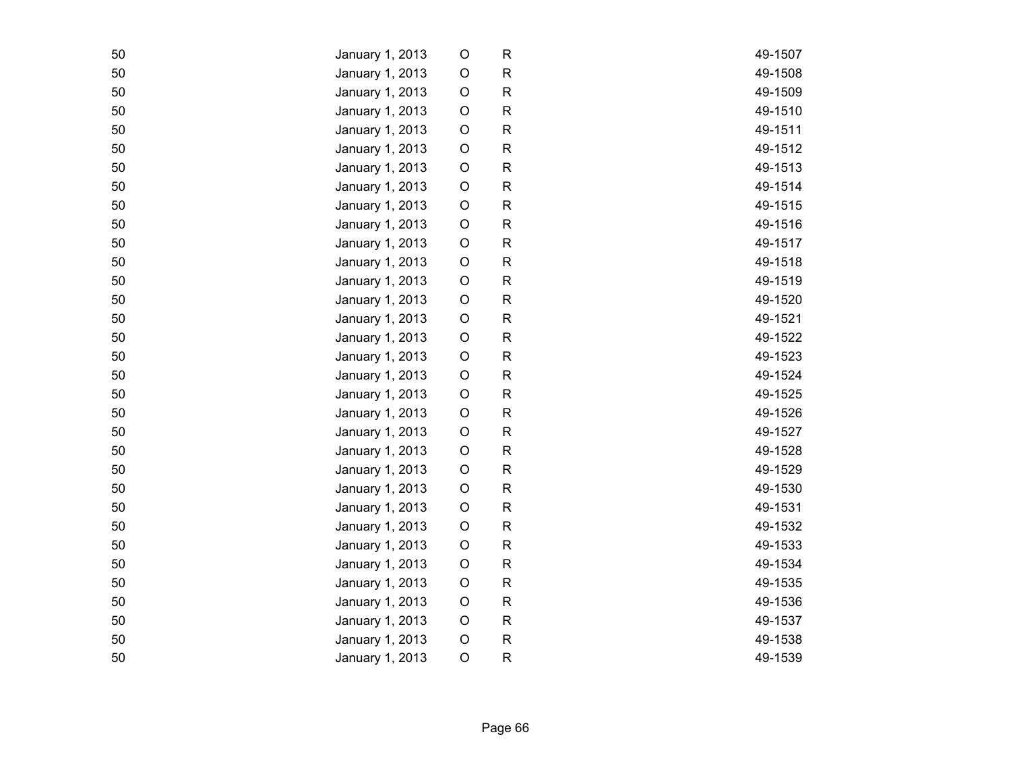| 50 | January 1, 2013 | $\mathsf O$ | $\mathsf{R}$ | 49-1507 |
|----|-----------------|-------------|--------------|---------|
| 50 | January 1, 2013 | $\circ$     | ${\sf R}$    | 49-1508 |
| 50 | January 1, 2013 | O           | $\mathsf R$  | 49-1509 |
| 50 | January 1, 2013 | $\circ$     | $\mathsf R$  | 49-1510 |
| 50 | January 1, 2013 | O           | ${\sf R}$    | 49-1511 |
| 50 | January 1, 2013 | $\circ$     | ${\sf R}$    | 49-1512 |
| 50 | January 1, 2013 | $\circ$     | ${\sf R}$    | 49-1513 |
| 50 | January 1, 2013 | $\circ$     | ${\sf R}$    | 49-1514 |
| 50 | January 1, 2013 | O           | ${\sf R}$    | 49-1515 |
| 50 | January 1, 2013 | O           | $\mathsf R$  | 49-1516 |
| 50 | January 1, 2013 | $\circ$     | $\mathsf R$  | 49-1517 |
| 50 | January 1, 2013 | $\circ$     | $\mathsf R$  | 49-1518 |
| 50 | January 1, 2013 | $\circ$     | ${\sf R}$    | 49-1519 |
| 50 | January 1, 2013 | $\circ$     | $\mathsf R$  | 49-1520 |
| 50 | January 1, 2013 | $\circ$     | ${\sf R}$    | 49-1521 |
| 50 | January 1, 2013 | $\mathsf O$ | ${\sf R}$    | 49-1522 |
| 50 | January 1, 2013 | $\circ$     | ${\sf R}$    | 49-1523 |
| 50 | January 1, 2013 | O           | $\mathsf R$  | 49-1524 |
| 50 | January 1, 2013 | $\circ$     | ${\sf R}$    | 49-1525 |
| 50 | January 1, 2013 | $\circ$     | ${\sf R}$    | 49-1526 |
| 50 | January 1, 2013 | $\circ$     | $\mathsf R$  | 49-1527 |
| 50 | January 1, 2013 | $\circ$     | ${\sf R}$    | 49-1528 |
| 50 | January 1, 2013 | O           | $\mathsf R$  | 49-1529 |
| 50 | January 1, 2013 | $\circ$     | ${\sf R}$    | 49-1530 |
| 50 | January 1, 2013 | O           | $\mathsf R$  | 49-1531 |
| 50 | January 1, 2013 | $\circ$     | ${\sf R}$    | 49-1532 |
| 50 | January 1, 2013 | O           | ${\sf R}$    | 49-1533 |
| 50 | January 1, 2013 | $\circ$     | ${\sf R}$    | 49-1534 |
| 50 | January 1, 2013 | $\circ$     | $\mathsf R$  | 49-1535 |
| 50 | January 1, 2013 | $\circ$     | ${\sf R}$    | 49-1536 |
| 50 | January 1, 2013 | O           | ${\sf R}$    | 49-1537 |
| 50 | January 1, 2013 | $\circ$     | ${\sf R}$    | 49-1538 |
| 50 | January 1, 2013 | $\circ$     | ${\sf R}$    | 49-1539 |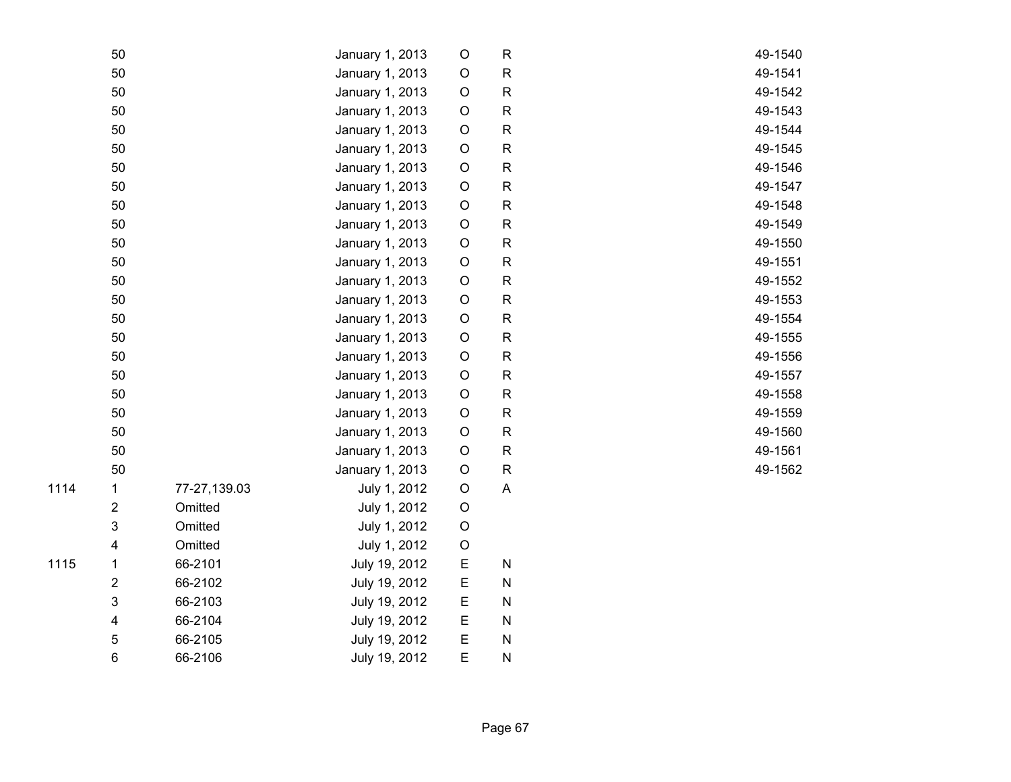| 50             |              | January 1, 2013 | $\circ$     | ${\sf R}$    | 49-1540 |
|----------------|--------------|-----------------|-------------|--------------|---------|
| 50             |              | January 1, 2013 | $\bigcirc$  | ${\sf R}$    | 49-1541 |
| 50             |              | January 1, 2013 | $\circ$     | ${\sf R}$    | 49-1542 |
| 50             |              | January 1, 2013 | $\circ$     | ${\sf R}$    | 49-1543 |
| 50             |              | January 1, 2013 | $\circ$     | ${\sf R}$    | 49-1544 |
| 50             |              | January 1, 2013 | $\circ$     | $\mathsf{R}$ | 49-1545 |
| 50             |              | January 1, 2013 | $\circ$     | ${\sf R}$    | 49-1546 |
| 50             |              | January 1, 2013 | $\circ$     | ${\sf R}$    | 49-1547 |
| 50             |              | January 1, 2013 | $\circ$     | ${\sf R}$    | 49-1548 |
| 50             |              | January 1, 2013 | $\bigcirc$  | ${\sf R}$    | 49-1549 |
| 50             |              | January 1, 2013 | $\bigcirc$  | ${\sf R}$    | 49-1550 |
| 50             |              | January 1, 2013 | $\circ$     | ${\sf R}$    | 49-1551 |
| 50             |              | January 1, 2013 | $\bigcirc$  | ${\sf R}$    | 49-1552 |
| 50             |              | January 1, 2013 | $\circ$     | ${\sf R}$    | 49-1553 |
| 50             |              | January 1, 2013 | $\circ$     | ${\sf R}$    | 49-1554 |
| 50             |              | January 1, 2013 | $\circ$     | ${\sf R}$    | 49-1555 |
| 50             |              | January 1, 2013 | $\circ$     | $\mathsf{R}$ | 49-1556 |
| 50             |              | January 1, 2013 | $\circ$     | ${\sf R}$    | 49-1557 |
| 50             |              | January 1, 2013 | $\mathsf O$ | ${\sf R}$    | 49-1558 |
| 50             |              | January 1, 2013 | $\circ$     | ${\sf R}$    | 49-1559 |
| 50             |              | January 1, 2013 | $\circ$     | ${\sf R}$    | 49-1560 |
| 50             |              | January 1, 2013 | $\circ$     | ${\sf R}$    | 49-1561 |
| 50             |              | January 1, 2013 | $\circ$     | ${\sf R}$    | 49-1562 |
| 1              | 77-27,139.03 | July 1, 2012    | $\circ$     | $\mathsf A$  |         |
| $\overline{2}$ | Omitted      | July 1, 2012    | $\circ$     |              |         |
| $\mathfrak{S}$ | Omitted      | July 1, 2012    | $\circ$     |              |         |
| 4              | Omitted      | July 1, 2012    | $\mathsf O$ |              |         |
| 1              | 66-2101      | July 19, 2012   | E           | ${\sf N}$    |         |
| $\overline{2}$ | 66-2102      | July 19, 2012   | E           | ${\sf N}$    |         |
| 3              | 66-2103      | July 19, 2012   | E           | ${\sf N}$    |         |
| 4              | 66-2104      | July 19, 2012   | E           | ${\sf N}$    |         |
| 5              | 66-2105      | July 19, 2012   | E           | ${\sf N}$    |         |
| 6              | 66-2106      | July 19, 2012   | E           | N            |         |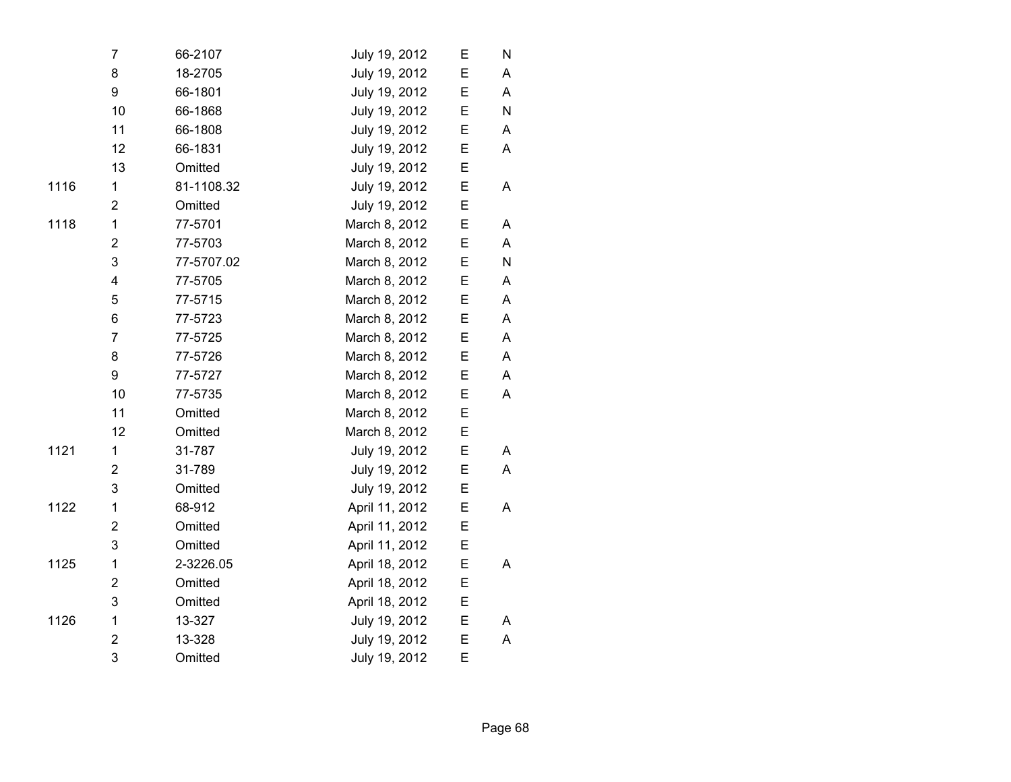|      | 7                       | 66-2107    | July 19, 2012  | E | N |
|------|-------------------------|------------|----------------|---|---|
|      | 8                       | 18-2705    | July 19, 2012  | E | A |
|      | 9                       | 66-1801    | July 19, 2012  | E | A |
|      | 10                      | 66-1868    | July 19, 2012  | E | N |
|      | 11                      | 66-1808    | July 19, 2012  | Е | A |
|      | 12                      | 66-1831    | July 19, 2012  | E | A |
|      | 13                      | Omitted    | July 19, 2012  | Е |   |
| 1116 | $\mathbf{1}$            | 81-1108.32 | July 19, 2012  | E | A |
|      | $\overline{2}$          | Omitted    | July 19, 2012  | E |   |
| 1118 | $\mathbf{1}$            | 77-5701    | March 8, 2012  | E | A |
|      | $\overline{2}$          | 77-5703    | March 8, 2012  | E | A |
|      | 3                       | 77-5707.02 | March 8, 2012  | Е | N |
|      | $\overline{\mathbf{4}}$ | 77-5705    | March 8, 2012  | E | A |
|      | 5                       | 77-5715    | March 8, 2012  | E | A |
|      | 6                       | 77-5723    | March 8, 2012  | E | A |
|      | $\overline{7}$          | 77-5725    | March 8, 2012  | E | A |
|      | 8                       | 77-5726    | March 8, 2012  | E | A |
|      | 9                       | 77-5727    | March 8, 2012  | E | A |
|      | 10                      | 77-5735    | March 8, 2012  | Е | A |
|      | 11                      | Omitted    | March 8, 2012  | E |   |
|      | 12                      | Omitted    | March 8, 2012  | Е |   |
| 1121 | $\mathbf{1}$            | 31-787     | July 19, 2012  | E | A |
|      | $\overline{2}$          | 31-789     | July 19, 2012  | E | A |
|      | 3                       | Omitted    | July 19, 2012  | E |   |
| 1122 | 1                       | 68-912     | April 11, 2012 | E | A |
|      | $\overline{\mathbf{c}}$ | Omitted    | April 11, 2012 | E |   |
|      | 3                       | Omitted    | April 11, 2012 | E |   |
| 1125 | $\mathbf{1}$            | 2-3226.05  | April 18, 2012 | E | A |
|      | $\overline{2}$          | Omitted    | April 18, 2012 | E |   |
|      | 3                       | Omitted    | April 18, 2012 | E |   |
| 1126 | $\mathbf{1}$            | 13-327     | July 19, 2012  | Е | A |
|      | $\overline{2}$          | 13-328     | July 19, 2012  | E | A |
|      | 3                       | Omitted    | July 19, 2012  | E |   |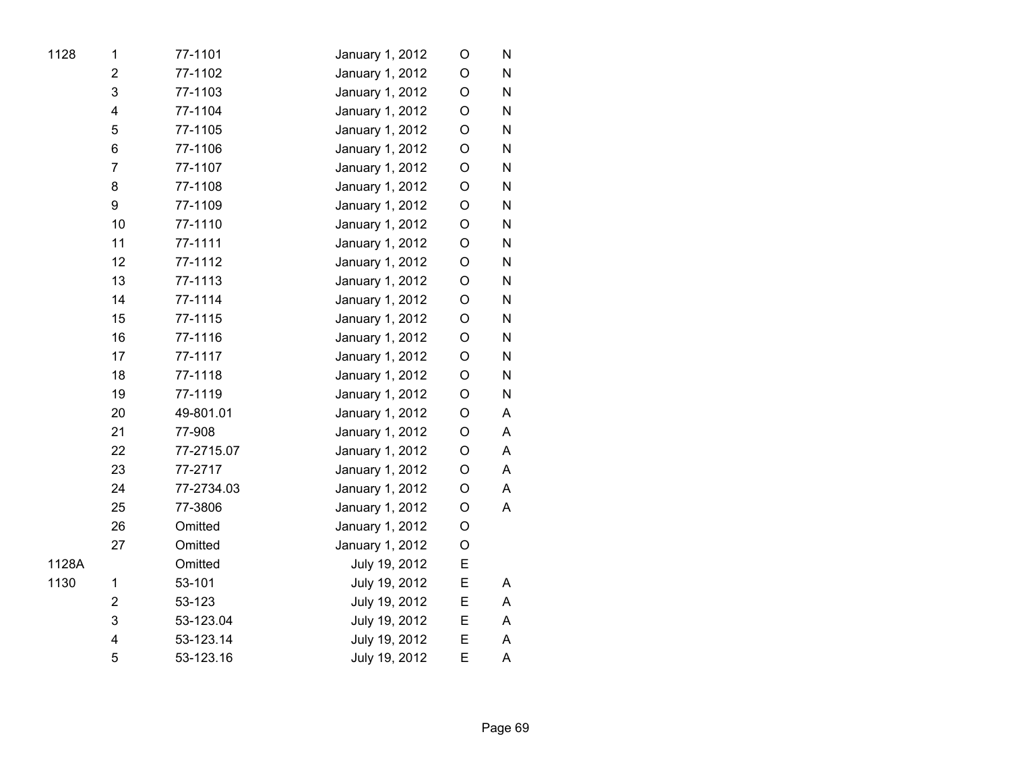| 1128  | 1                       | 77-1101    | January 1, 2012 | O           | N         |
|-------|-------------------------|------------|-----------------|-------------|-----------|
|       | $\overline{2}$          | 77-1102    | January 1, 2012 | O           | N         |
|       | 3                       | 77-1103    | January 1, 2012 | O           | N         |
|       | $\overline{\mathbf{4}}$ | 77-1104    | January 1, 2012 | O           | N         |
|       | 5                       | 77-1105    | January 1, 2012 | O           | ${\sf N}$ |
|       | 6                       | 77-1106    | January 1, 2012 | O           | ${\sf N}$ |
|       | $\overline{7}$          | 77-1107    | January 1, 2012 | $\mathsf O$ | ${\sf N}$ |
|       | 8                       | 77-1108    | January 1, 2012 | $\mathsf O$ | ${\sf N}$ |
|       | 9                       | 77-1109    | January 1, 2012 | O           | ${\sf N}$ |
|       | 10                      | 77-1110    | January 1, 2012 | O           | N         |
|       | 11                      | 77-1111    | January 1, 2012 | O           | N         |
|       | 12                      | 77-1112    | January 1, 2012 | O           | N         |
|       | 13                      | 77-1113    | January 1, 2012 | O           | N         |
|       | 14                      | 77-1114    | January 1, 2012 | O           | N         |
|       | 15                      | 77-1115    | January 1, 2012 | O           | N         |
|       | 16                      | 77-1116    | January 1, 2012 | O           | N         |
|       | 17                      | 77-1117    | January 1, 2012 | $\mathsf O$ | N         |
|       | 18                      | 77-1118    | January 1, 2012 | O           | ${\sf N}$ |
|       | 19                      | 77-1119    | January 1, 2012 | O           | N         |
|       | 20                      | 49-801.01  | January 1, 2012 | O           | Α         |
|       | 21                      | 77-908     | January 1, 2012 | O           | Α         |
|       | 22                      | 77-2715.07 | January 1, 2012 | O           | A         |
|       | 23                      | 77-2717    | January 1, 2012 | O           | A         |
|       | 24                      | 77-2734.03 | January 1, 2012 | O           | A         |
|       | 25                      | 77-3806    | January 1, 2012 | O           | A         |
|       | 26                      | Omitted    | January 1, 2012 | O           |           |
|       | 27                      | Omitted    | January 1, 2012 | O           |           |
| 1128A |                         | Omitted    | July 19, 2012   | Е           |           |
| 1130  | $\mathbf 1$             | 53-101     | July 19, 2012   | E           | A         |
|       | $\overline{2}$          | 53-123     | July 19, 2012   | E           | A         |
|       | 3                       | 53-123.04  | July 19, 2012   | E           | A         |
|       | 4                       | 53-123.14  | July 19, 2012   | E           | A         |
|       | 5                       | 53-123.16  | July 19, 2012   | E           | A         |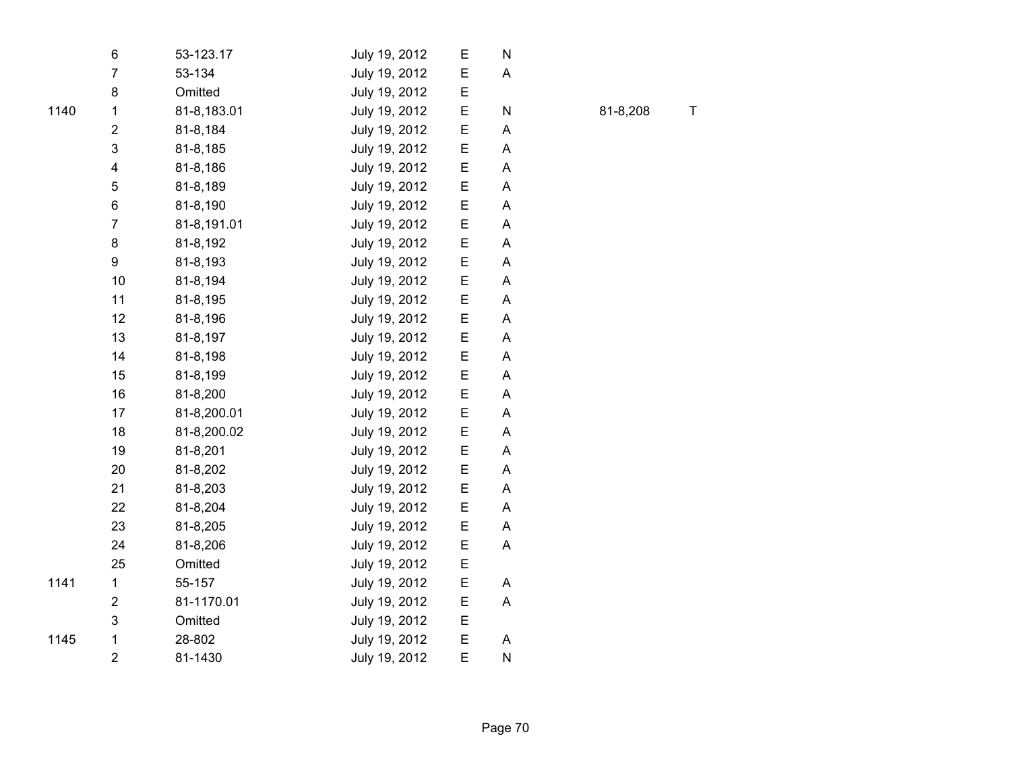|      | 6                       | 53-123.17   | July 19, 2012 | Е | N |  |
|------|-------------------------|-------------|---------------|---|---|--|
|      | $\overline{7}$          | 53-134      | July 19, 2012 | E | A |  |
|      | 8                       | Omitted     | July 19, 2012 | Ε |   |  |
| 1140 | 1                       | 81-8,183.01 | July 19, 2012 | E | N |  |
|      | $\overline{2}$          | 81-8,184    | July 19, 2012 | Е | A |  |
|      | 3                       | 81-8,185    | July 19, 2012 | E | A |  |
|      | 4                       | 81-8,186    | July 19, 2012 | E | Α |  |
|      | 5                       | 81-8,189    | July 19, 2012 | E | A |  |
|      | 6                       | 81-8,190    | July 19, 2012 | Е | A |  |
|      | $\overline{7}$          | 81-8,191.01 | July 19, 2012 | E | A |  |
|      | 8                       | 81-8,192    | July 19, 2012 | E | A |  |
|      | 9                       | 81-8,193    | July 19, 2012 | Е | Α |  |
|      | 10                      | 81-8,194    | July 19, 2012 | Е | Α |  |
|      | 11                      | 81-8,195    | July 19, 2012 | E | Α |  |
|      | 12                      | 81-8,196    | July 19, 2012 | E | A |  |
|      | 13                      | 81-8,197    | July 19, 2012 | E | A |  |
|      | 14                      | 81-8,198    | July 19, 2012 | Е | A |  |
|      | 15                      | 81-8,199    | July 19, 2012 | E | A |  |
|      | 16                      | 81-8,200    | July 19, 2012 | E | Α |  |
|      | 17                      | 81-8,200.01 | July 19, 2012 | Е | A |  |
|      | 18                      | 81-8,200.02 | July 19, 2012 | Е | Α |  |
|      | 19                      | 81-8,201    | July 19, 2012 | E | A |  |
|      | 20                      | 81-8,202    | July 19, 2012 | E | A |  |
|      | 21                      | 81-8,203    | July 19, 2012 | Е | A |  |
|      | 22                      | 81-8,204    | July 19, 2012 | E | A |  |
|      | 23                      | 81-8,205    | July 19, 2012 | E | A |  |
|      | 24                      | 81-8,206    | July 19, 2012 | E | A |  |
|      | 25                      | Omitted     | July 19, 2012 | E |   |  |
| 1141 | $\mathbf 1$             | 55-157      | July 19, 2012 | Е | A |  |
|      | $\overline{\mathbf{c}}$ | 81-1170.01  | July 19, 2012 | E | A |  |
|      | 3                       | Omitted     | July 19, 2012 | E |   |  |
| 1145 | 1                       | 28-802      | July 19, 2012 | E | A |  |
|      | $\overline{2}$          | 81-1430     | July 19, 2012 | E | N |  |

N 81-8,208 T

Page 70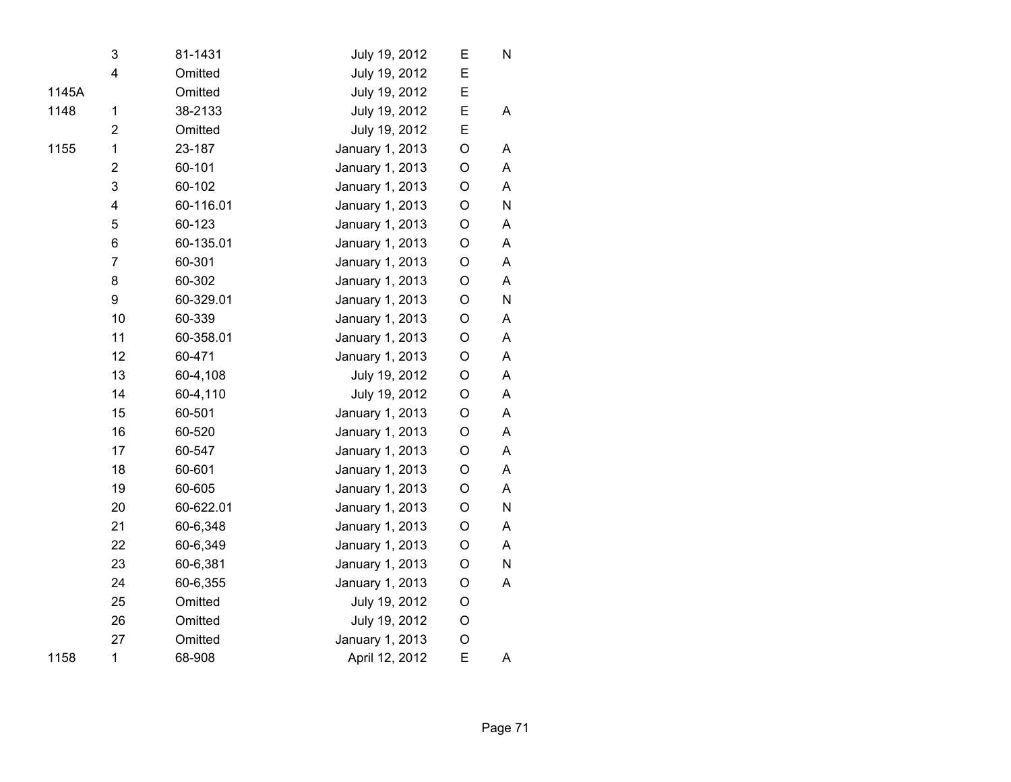|       | 3                       | 81-1431   | July 19, 2012   | Е           | N         |
|-------|-------------------------|-----------|-----------------|-------------|-----------|
|       | 4                       | Omitted   | July 19, 2012   | E           |           |
| 1145A |                         | Omitted   | July 19, 2012   | E           |           |
| 1148  | 1                       | 38-2133   | July 19, 2012   | Ε           | A         |
|       | 2                       | Omitted   | July 19, 2012   | E           |           |
| 1155  | 1                       | 23-187    | January 1, 2013 | O           | Α         |
|       | $\overline{c}$          | 60-101    | January 1, 2013 | O           | A         |
|       | 3                       | 60-102    | January 1, 2013 | O           | A         |
|       | $\overline{\mathbf{4}}$ | 60-116.01 | January 1, 2013 | $\mathsf O$ | ${\sf N}$ |
|       | 5                       | 60-123    | January 1, 2013 | O           | A         |
|       | 6                       | 60-135.01 | January 1, 2013 | O           | A         |
|       | $\overline{7}$          | 60-301    | January 1, 2013 | $\circ$     | A         |
|       | 8                       | 60-302    | January 1, 2013 | O           | A         |
|       | 9                       | 60-329.01 | January 1, 2013 | O           | ${\sf N}$ |
|       | 10                      | 60-339    | January 1, 2013 | O           | A         |
|       | 11                      | 60-358.01 | January 1, 2013 | O           | A         |
|       | 12                      | 60-471    | January 1, 2013 | O           | A         |
|       | 13                      | 60-4,108  | July 19, 2012   | O           | A         |
|       | 14                      | 60-4,110  | July 19, 2012   | $\circ$     | A         |
|       | 15                      | 60-501    | January 1, 2013 | O           | A         |
|       | 16                      | 60-520    | January 1, 2013 | O           | A         |
|       | 17                      | 60-547    | January 1, 2013 | O           | A         |
|       | 18                      | 60-601    | January 1, 2013 | $\mathsf O$ | A         |
|       | 19                      | 60-605    | January 1, 2013 | O           | A         |
|       | 20                      | 60-622.01 | January 1, 2013 | O           | ${\sf N}$ |
|       | 21                      | 60-6,348  | January 1, 2013 | O           | A         |
|       | 22                      | 60-6,349  | January 1, 2013 | O           | A         |
|       | 23                      | 60-6,381  | January 1, 2013 | O           | N         |
|       | 24                      | 60-6,355  | January 1, 2013 | O           | A         |
|       | 25                      | Omitted   | July 19, 2012   | O           |           |
|       | 26                      | Omitted   | July 19, 2012   | O           |           |
|       | 27                      | Omitted   | January 1, 2013 | O           |           |
| 1158  | $\mathbf 1$             | 68-908    | April 12, 2012  | E           | A         |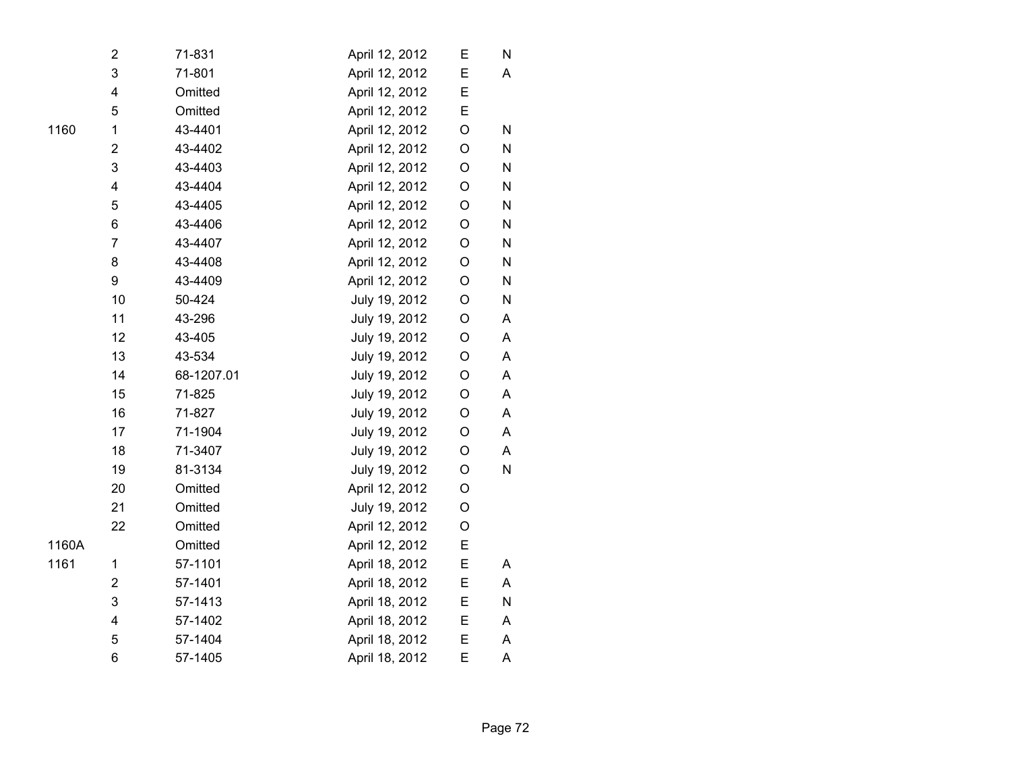|       | 2              | 71-831     | April 12, 2012 | Е           | N            |  |
|-------|----------------|------------|----------------|-------------|--------------|--|
|       | 3              | 71-801     | April 12, 2012 | E           | A            |  |
|       | 4              | Omitted    | April 12, 2012 | E           |              |  |
|       | 5              | Omitted    | April 12, 2012 | E           |              |  |
| 1160  | 1              | 43-4401    | April 12, 2012 | O           | ${\sf N}$    |  |
|       | $\overline{2}$ | 43-4402    | April 12, 2012 | O           | ${\sf N}$    |  |
|       | 3              | 43-4403    | April 12, 2012 | O           | N            |  |
|       | 4              | 43-4404    | April 12, 2012 | $\mathsf O$ | ${\sf N}$    |  |
|       | 5              | 43-4405    | April 12, 2012 | $\mathsf O$ | ${\sf N}$    |  |
|       | 6              | 43-4406    | April 12, 2012 | O           | ${\sf N}$    |  |
|       | $\overline{7}$ | 43-4407    | April 12, 2012 | O           | ${\sf N}$    |  |
|       | 8              | 43-4408    | April 12, 2012 | O           | $\mathsf{N}$ |  |
|       | 9              | 43-4409    | April 12, 2012 | O           | ${\sf N}$    |  |
|       | 10             | 50-424     | July 19, 2012  | $\mathsf O$ | N            |  |
|       | 11             | 43-296     | July 19, 2012  | O           | A            |  |
|       | 12             | 43-405     | July 19, 2012  | O           | A            |  |
|       | 13             | 43-534     | July 19, 2012  | O           | A            |  |
|       | 14             | 68-1207.01 | July 19, 2012  | O           | A            |  |
|       | 15             | 71-825     | July 19, 2012  | O           | A            |  |
|       | 16             | 71-827     | July 19, 2012  | O           | A            |  |
|       | 17             | 71-1904    | July 19, 2012  | O           | A            |  |
|       | 18             | 71-3407    | July 19, 2012  | O           | A            |  |
|       | 19             | 81-3134    | July 19, 2012  | O           | ${\sf N}$    |  |
|       | 20             | Omitted    | April 12, 2012 | O           |              |  |
|       | 21             | Omitted    | July 19, 2012  | O           |              |  |
|       | 22             | Omitted    | April 12, 2012 | O           |              |  |
| 1160A |                | Omitted    | April 12, 2012 | E           |              |  |
| 1161  | $\mathbf 1$    | 57-1101    | April 18, 2012 | E           | A            |  |
|       | $\overline{2}$ | 57-1401    | April 18, 2012 | E           | A            |  |
|       | 3              | 57-1413    | April 18, 2012 | E           | ${\sf N}$    |  |
|       | 4              | 57-1402    | April 18, 2012 | Е           | A            |  |
|       | 5              | 57-1404    | April 18, 2012 | E           | A            |  |
|       | 6              | 57-1405    | April 18, 2012 | E           | $\mathsf A$  |  |